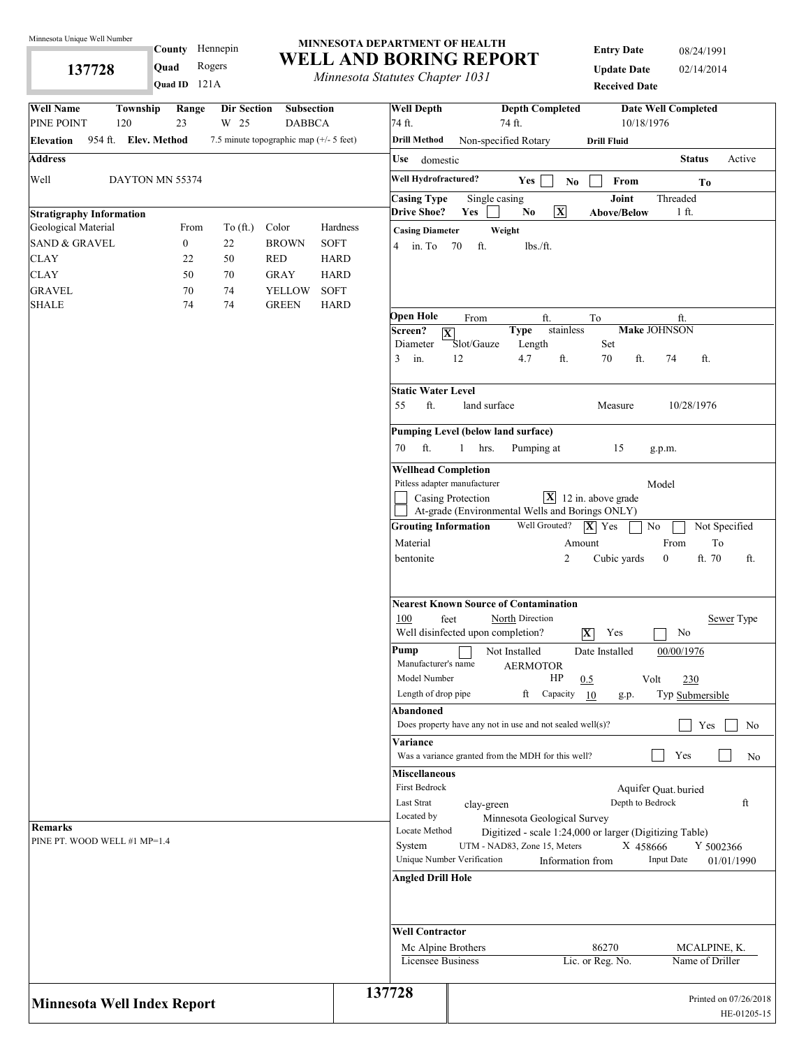**137728** 

# **County** Hennepin **Quad** Rogers

#### **MINNESOTA DEPARTMENT OF HEALTH WELL AND BORING REPORT**

**Property Alternative Chapter 1031**<br>*Minnesota Statutes Chapter 1031* 

**Entry Date** 08/24/1991 **Update Date** 02/14/2014 **Received Date**

| <b>Well Name</b>                   | Township<br>Range    | Dir Section | Subsection                                |                            | <b>Well Depth</b>                                                     |                          | <b>Depth Completed</b>                                                                                                |                         |                                                         | <b>Date Well Completed</b>              |                                      |
|------------------------------------|----------------------|-------------|-------------------------------------------|----------------------------|-----------------------------------------------------------------------|--------------------------|-----------------------------------------------------------------------------------------------------------------------|-------------------------|---------------------------------------------------------|-----------------------------------------|--------------------------------------|
| PINE POINT                         | 23<br>120            | W 25        | <b>DABBCA</b>                             |                            | 74 ft.                                                                |                          | 74 ft.                                                                                                                |                         | 10/18/1976                                              |                                         |                                      |
| Elevation                          | 954 ft. Elev. Method |             | 7.5 minute topographic map $(+/- 5$ feet) |                            | <b>Drill Method</b>                                                   |                          | Non-specified Rotary                                                                                                  |                         | <b>Drill Fluid</b>                                      |                                         |                                      |
| <b>Address</b>                     |                      |             |                                           |                            | Use<br>domestic                                                       |                          |                                                                                                                       |                         |                                                         | <b>Status</b>                           | Active                               |
| Well                               | DAYTON MN 55374      |             |                                           |                            | Well Hydrofractured?                                                  |                          | Yes                                                                                                                   | N <sub>0</sub>          | From                                                    | To                                      |                                      |
|                                    |                      |             |                                           |                            | <b>Casing Type</b>                                                    |                          | Single casing                                                                                                         |                         | Joint                                                   | Threaded                                |                                      |
| <b>Stratigraphy Information</b>    |                      |             |                                           |                            | <b>Drive Shoe?</b>                                                    | Yes                      | N <sub>0</sub>                                                                                                        | $\overline{\mathbf{X}}$ | <b>Above/Below</b>                                      | 1 ft.                                   |                                      |
| Geological Material                | From                 | To (ft.)    | Color                                     | Hardness                   | <b>Casing Diameter</b>                                                |                          | Weight                                                                                                                |                         |                                                         |                                         |                                      |
| <b>SAND &amp; GRAVEL</b>           | $\boldsymbol{0}$     | 22          | <b>BROWN</b>                              | <b>SOFT</b>                | 4 in. To 70                                                           | ft.                      | lbs./ft.                                                                                                              |                         |                                                         |                                         |                                      |
| CLAY                               | 22                   | 50          | <b>RED</b>                                | <b>HARD</b>                |                                                                       |                          |                                                                                                                       |                         |                                                         |                                         |                                      |
| <b>CLAY</b>                        | 50                   | 70          | <b>GRAY</b>                               | <b>HARD</b>                |                                                                       |                          |                                                                                                                       |                         |                                                         |                                         |                                      |
| <b>GRAVEL</b><br><b>SHALE</b>      | 70<br>74             | 74<br>74    | <b>YELLOW</b><br><b>GREEN</b>             | <b>SOFT</b><br><b>HARD</b> |                                                                       |                          |                                                                                                                       |                         |                                                         |                                         |                                      |
|                                    |                      |             |                                           |                            | <b>Open Hole</b><br>Screen?<br>$ \mathbf{X} $<br>Diameter<br>in.<br>3 | From<br>Slot/Gauze<br>12 | ft.<br><b>Type</b><br>Length<br>4.7                                                                                   | stainless<br>ft.        | To<br>Set<br>70<br>ft.                                  | ft.<br><b>Make JOHNSON</b><br>74<br>ft. |                                      |
|                                    |                      |             |                                           |                            | <b>Static Water Level</b><br>ft.<br>55                                |                          | land surface                                                                                                          |                         | Measure                                                 | 10/28/1976                              |                                      |
|                                    |                      |             |                                           |                            |                                                                       |                          | <b>Pumping Level (below land surface)</b>                                                                             |                         |                                                         |                                         |                                      |
|                                    |                      |             |                                           |                            | ft.<br>70                                                             | $\mathbf{1}$<br>hrs.     | Pumping at                                                                                                            |                         | 15                                                      | g.p.m.                                  |                                      |
|                                    |                      |             |                                           |                            |                                                                       |                          |                                                                                                                       |                         |                                                         |                                         |                                      |
|                                    |                      |             |                                           |                            | <b>Wellhead Completion</b><br>Pitless adapter manufacturer            |                          |                                                                                                                       |                         |                                                         | Model                                   |                                      |
|                                    |                      |             |                                           |                            |                                                                       | Casing Protection        |                                                                                                                       |                         | $\boxed{\mathbf{X}}$ 12 in. above grade                 |                                         |                                      |
|                                    |                      |             |                                           |                            |                                                                       |                          | At-grade (Environmental Wells and Borings ONLY)                                                                       |                         |                                                         |                                         |                                      |
|                                    |                      |             |                                           |                            | <b>Grouting Information</b>                                           |                          | Well Grouted?                                                                                                         |                         | $ \mathbf{X} $ Yes                                      | No                                      | Not Specified                        |
|                                    |                      |             |                                           |                            | Material                                                              |                          |                                                                                                                       | Amount                  |                                                         | From                                    | To                                   |
|                                    |                      |             |                                           |                            | bentonite                                                             |                          |                                                                                                                       | 2                       | Cubic yards                                             | ft. 70<br>$\boldsymbol{0}$              | ft.                                  |
|                                    |                      |             |                                           |                            | 100<br>Pump                                                           | feet                     | <b>Nearest Known Source of Contamination</b><br>North Direction<br>Well disinfected upon completion?<br>Not Installed |                         | Yes<br>$\overline{\mathbf{X}}$<br>Date Installed        | No<br>00/00/1976                        | Sewer Type                           |
|                                    |                      |             |                                           |                            | Manufacturer's name<br>Model Number                                   |                          | <b>AERMOTOR</b>                                                                                                       |                         | $HP$ 0.5                                                | 230<br>Volt                             |                                      |
|                                    |                      |             |                                           |                            | Length of drop pipe                                                   |                          | ft                                                                                                                    | Capacity 10             | g.p.                                                    | Typ Submersible                         |                                      |
|                                    |                      |             |                                           |                            | Abandoned                                                             |                          | Does property have any not in use and not sealed well(s)?                                                             |                         |                                                         | Yes                                     | No                                   |
|                                    |                      |             |                                           |                            | Variance                                                              |                          |                                                                                                                       |                         |                                                         |                                         |                                      |
|                                    |                      |             |                                           |                            |                                                                       |                          | Was a variance granted from the MDH for this well?                                                                    |                         |                                                         | Yes                                     | No                                   |
|                                    |                      |             |                                           |                            | <b>Miscellaneous</b>                                                  |                          |                                                                                                                       |                         |                                                         |                                         |                                      |
|                                    |                      |             |                                           |                            | First Bedrock                                                         |                          |                                                                                                                       |                         |                                                         | Aquifer Quat. buried                    |                                      |
|                                    |                      |             |                                           |                            | Last Strat                                                            |                          | clay-green                                                                                                            |                         | Depth to Bedrock                                        |                                         | ft                                   |
|                                    |                      |             |                                           |                            | Located by                                                            |                          | Minnesota Geological Survey                                                                                           |                         |                                                         |                                         |                                      |
| <b>Remarks</b>                     |                      |             |                                           |                            | Locate Method                                                         |                          |                                                                                                                       |                         | Digitized - scale 1:24,000 or larger (Digitizing Table) |                                         |                                      |
| PINE PT. WOOD WELL #1 MP=1.4       |                      |             |                                           |                            | System                                                                |                          | UTM - NAD83, Zone 15, Meters                                                                                          |                         | X 458666                                                |                                         | Y 5002366                            |
|                                    |                      |             |                                           |                            | Unique Number Verification                                            |                          |                                                                                                                       | Information from        |                                                         | <b>Input Date</b>                       | 01/01/1990                           |
|                                    |                      |             |                                           |                            | <b>Angled Drill Hole</b>                                              |                          |                                                                                                                       |                         |                                                         |                                         |                                      |
|                                    |                      |             |                                           |                            | <b>Well Contractor</b>                                                |                          |                                                                                                                       |                         |                                                         |                                         |                                      |
|                                    |                      |             |                                           |                            | Mc Alpine Brothers<br>Licensee Business                               |                          |                                                                                                                       |                         | 86270<br>Lic. or Reg. No.                               | MCALPINE, K.<br>Name of Driller         |                                      |
|                                    |                      |             |                                           |                            |                                                                       |                          |                                                                                                                       |                         |                                                         |                                         |                                      |
| <b>Minnesota Well Index Report</b> |                      |             |                                           |                            | 137728                                                                |                          |                                                                                                                       |                         |                                                         |                                         | Printed on 07/26/2018<br>HE-01205-15 |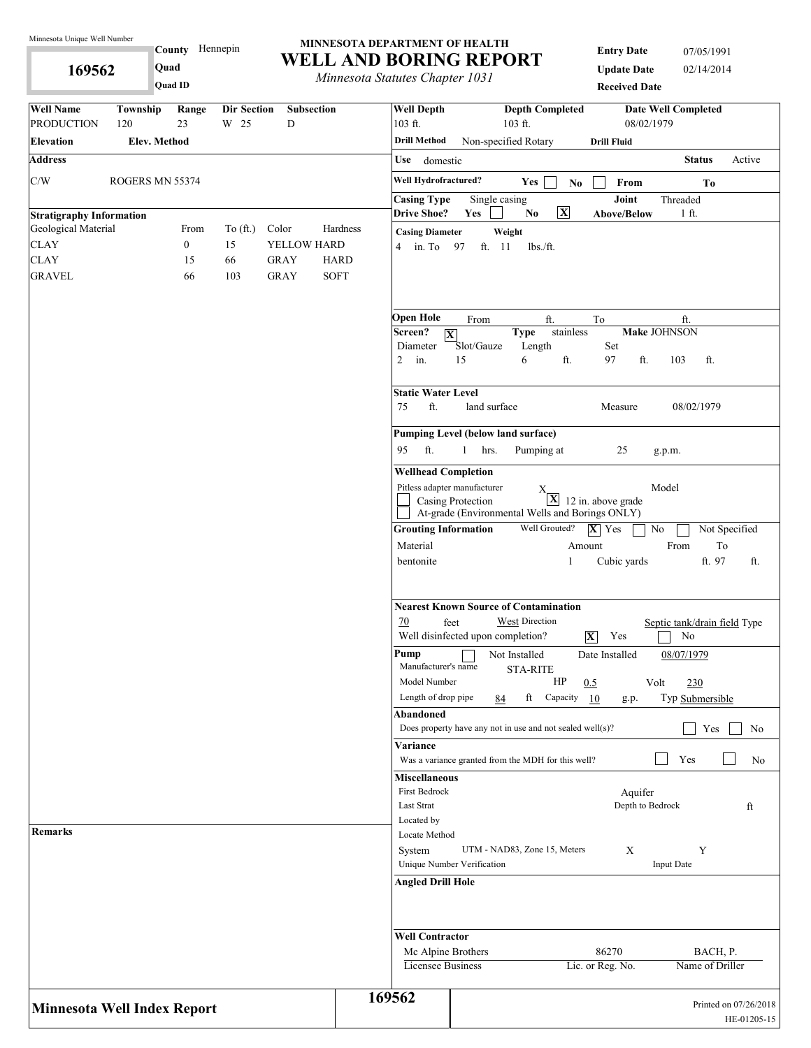**169562** 

**County** Hennepin **Quad**

#### **MINNESOTA DEPARTMENT OF HEALTH WELL AND BORING REPORT**

**Entry Date** 07/05/1991 **Update Date** 02/14/2014

| 169562                                                 |                 | Quad<br>Quad ID  |                            |                           | Minnesota Statutes Chapter 1031 |                                                                                                 |                      |                                   |                      | <b>Update Date</b><br><b>Received Date</b>                            | 02/14/2014                         |                             |             |
|--------------------------------------------------------|-----------------|------------------|----------------------------|---------------------------|---------------------------------|-------------------------------------------------------------------------------------------------|----------------------|-----------------------------------|----------------------|-----------------------------------------------------------------------|------------------------------------|-----------------------------|-------------|
| <b>Well Name</b><br><b>PRODUCTION</b>                  | Township<br>120 | Range<br>23      | <b>Dir Section</b><br>W 25 | Subsection<br>$\mathbf D$ |                                 | <b>Well Depth</b><br>103 ft.                                                                    |                      | <b>Depth Completed</b><br>103 ft. |                      | 08/02/1979                                                            | <b>Date Well Completed</b>         |                             |             |
| Elevation                                              | Elev. Method    |                  |                            |                           |                                 | Drill Method                                                                                    |                      | Non-specified Rotary              |                      | <b>Drill Fluid</b>                                                    |                                    |                             |             |
| <b>Address</b>                                         |                 |                  |                            |                           |                                 | Use<br>domestic                                                                                 |                      |                                   |                      |                                                                       | <b>Status</b>                      |                             | Active      |
| C/W                                                    | ROGERS MN 55374 |                  |                            |                           |                                 | Well Hydrofractured?                                                                            |                      | Yes                               | N <sub>0</sub>       | From                                                                  |                                    | T <sub>0</sub>              |             |
|                                                        |                 |                  |                            |                           |                                 | <b>Casing Type</b><br><b>Drive Shoe?</b>                                                        | Single casing<br>Yes | No.                               | $\boxed{\mathbf{X}}$ | Joint<br>Above/Below                                                  | Threaded<br>1 ft.                  |                             |             |
| <b>Stratigraphy Information</b><br>Geological Material |                 | From             | To $(\text{ft.})$          | Color                     | Hardness                        | <b>Casing Diameter</b>                                                                          |                      | Weight                            |                      |                                                                       |                                    |                             |             |
| <b>CLAY</b>                                            |                 | $\boldsymbol{0}$ | 15                         | YELLOW HARD               |                                 | $4 \quad \text{in. To}$                                                                         | 97<br>ft. 11         | lbs./ft.                          |                      |                                                                       |                                    |                             |             |
| <b>CLAY</b>                                            |                 | 15               | 66                         | <b>GRAY</b>               | <b>HARD</b>                     |                                                                                                 |                      |                                   |                      |                                                                       |                                    |                             |             |
| <b>GRAVEL</b>                                          |                 | 66               | 103                        | <b>GRAY</b>               | <b>SOFT</b>                     |                                                                                                 |                      |                                   |                      |                                                                       |                                    |                             |             |
|                                                        |                 |                  |                            |                           |                                 | Open Hole                                                                                       | From                 |                                   | ft.                  | To                                                                    | ft.                                |                             |             |
|                                                        |                 |                  |                            |                           |                                 | Screen?<br>$\overline{\mathbf{X}}$                                                              |                      | <b>Type</b>                       | stainless            |                                                                       | <b>Make JOHNSON</b>                |                             |             |
|                                                        |                 |                  |                            |                           |                                 | Diameter<br>$\overline{2}$<br>in.                                                               | Slot/Gauze<br>15     | Length<br>6                       | ft.                  | Set<br>97<br>ft.                                                      | 103                                | ft.                         |             |
|                                                        |                 |                  |                            |                           |                                 | <b>Static Water Level</b>                                                                       |                      |                                   |                      |                                                                       |                                    |                             |             |
|                                                        |                 |                  |                            |                           |                                 | ft.<br>75                                                                                       | land surface         |                                   |                      | Measure                                                               | 08/02/1979                         |                             |             |
|                                                        |                 |                  |                            |                           |                                 | <b>Pumping Level (below land surface)</b><br>ft.<br>95                                          | $\mathbf{1}$<br>hrs. | Pumping at                        |                      | 25                                                                    | g.p.m.                             |                             |             |
|                                                        |                 |                  |                            |                           |                                 | <b>Wellhead Completion</b>                                                                      |                      |                                   |                      |                                                                       |                                    |                             |             |
|                                                        |                 |                  |                            |                           |                                 | Pitless adapter manufacturer                                                                    | Casing Protection    | Х.                                | $\mathbf{X}$         | 12 in. above grade<br>At-grade (Environmental Wells and Borings ONLY) | Model                              |                             |             |
|                                                        |                 |                  |                            |                           |                                 | <b>Grouting Information</b>                                                                     |                      | Well Grouted?                     |                      | $ \mathbf{X} $ Yes                                                    | No                                 | Not Specified               |             |
|                                                        |                 |                  |                            |                           |                                 | Material                                                                                        |                      |                                   | Amount               |                                                                       | From                               | To                          |             |
|                                                        |                 |                  |                            |                           |                                 | bentonite                                                                                       |                      |                                   | 1                    | Cubic yards                                                           |                                    | ft. 97                      | ft.         |
|                                                        |                 |                  |                            |                           |                                 | <b>Nearest Known Source of Contamination</b><br>70<br>feet<br>Well disinfected upon completion? |                      | West Direction                    |                      | $\overline{\mathbf{X}}$<br>Yes                                        | Septic tank/drain field Type<br>No |                             |             |
|                                                        |                 |                  |                            |                           |                                 | Pump<br>Manufacturer's name<br>Model Number                                                     |                      | Not Installed<br><b>STA-RITE</b>  | HP                   | Date Installed<br>0.5                                                 | 08/07/1979<br>Volt<br>230          |                             |             |
|                                                        |                 |                  |                            |                           |                                 | Length of drop pipe                                                                             |                      | ft<br>84                          | Capacity             | 10<br>g.p.                                                            | Typ Submersible                    |                             |             |
|                                                        |                 |                  |                            |                           |                                 | Abandoned<br>Does property have any not in use and not sealed well $(s)$ ?                      |                      |                                   |                      |                                                                       |                                    | Yes                         | No          |
|                                                        |                 |                  |                            |                           |                                 | Variance<br>Was a variance granted from the MDH for this well?                                  |                      |                                   |                      |                                                                       | Yes                                |                             | No          |
|                                                        |                 |                  |                            |                           |                                 | <b>Miscellaneous</b>                                                                            |                      |                                   |                      |                                                                       |                                    |                             |             |
|                                                        |                 |                  |                            |                           |                                 | First Bedrock                                                                                   |                      |                                   |                      | Aquifer                                                               |                                    |                             |             |
|                                                        |                 |                  |                            |                           |                                 | Last Strat                                                                                      |                      |                                   |                      | Depth to Bedrock                                                      |                                    |                             | ft          |
| Remarks                                                |                 |                  |                            |                           |                                 | Located by<br>Locate Method                                                                     |                      |                                   |                      |                                                                       |                                    |                             |             |
|                                                        |                 |                  |                            |                           |                                 | System                                                                                          |                      | UTM - NAD83, Zone 15, Meters      |                      | X                                                                     | Y                                  |                             |             |
|                                                        |                 |                  |                            |                           |                                 | Unique Number Verification                                                                      |                      |                                   |                      |                                                                       | <b>Input Date</b>                  |                             |             |
|                                                        |                 |                  |                            |                           |                                 | <b>Angled Drill Hole</b>                                                                        |                      |                                   |                      |                                                                       |                                    |                             |             |
|                                                        |                 |                  |                            |                           |                                 | <b>Well Contractor</b>                                                                          |                      |                                   |                      |                                                                       |                                    |                             |             |
|                                                        |                 |                  |                            |                           |                                 | Mc Alpine Brothers<br>Licensee Business                                                         |                      |                                   |                      | 86270<br>Lic. or Reg. No.                                             |                                    | BACH, P.<br>Name of Driller |             |
| Minnesota Well Index Report                            |                 |                  |                            |                           |                                 | 169562                                                                                          |                      |                                   |                      |                                                                       |                                    | Printed on 07/26/2018       | HE-01205-15 |
|                                                        |                 |                  |                            |                           |                                 |                                                                                                 |                      |                                   |                      |                                                                       |                                    |                             |             |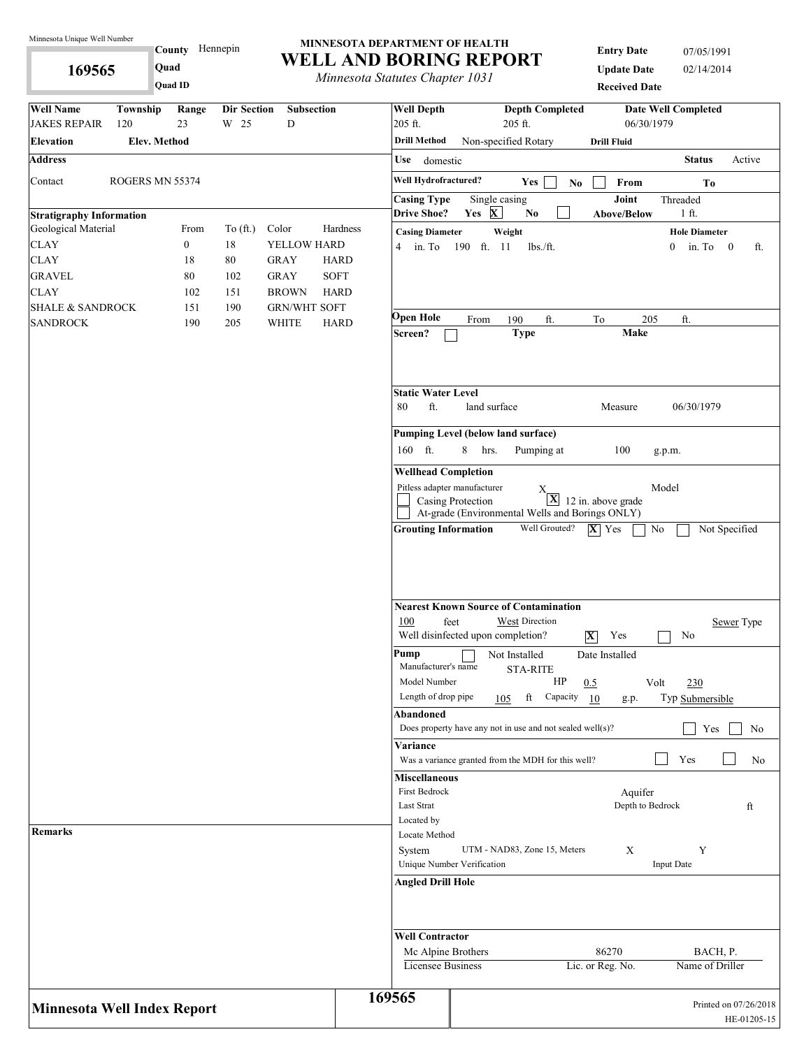**169565** 

**County** Hennepin **Quad**

#### **MINNESOTA DEPARTMENT OF HEALTH WELL AND BORING REPORT**

*Minnesota Statutes Chapter 1031*

**Entry Date** 07/05/1991 **Update Date** 02/14/2014 **Received Date**

|                                    |                 | Quad ID          |                    |                     |             | <i>Minnesoud Suttitues Chapter 1051</i>  |                   |                                                                       | <b>Received Date</b>                    |                                |                                      |
|------------------------------------|-----------------|------------------|--------------------|---------------------|-------------|------------------------------------------|-------------------|-----------------------------------------------------------------------|-----------------------------------------|--------------------------------|--------------------------------------|
| <b>Well Name</b>                   | Township        | Range            | <b>Dir Section</b> | Subsection          |             | <b>Well Depth</b>                        |                   | <b>Depth Completed</b>                                                |                                         | <b>Date Well Completed</b>     |                                      |
| <b>JAKES REPAIR</b>                | 120             | 23               | W 25               | D                   |             | 205 ft.                                  |                   | 205 ft.                                                               | 06/30/1979                              |                                |                                      |
| <b>Elevation</b>                   | Elev. Method    |                  |                    |                     |             | <b>Drill Method</b>                      |                   | Non-specified Rotary                                                  | <b>Drill Fluid</b>                      |                                |                                      |
| <b>Address</b>                     |                 |                  |                    |                     |             | Use<br>domestic                          |                   |                                                                       |                                         | <b>Status</b>                  | Active                               |
| Contact                            | ROGERS MN 55374 |                  |                    |                     |             | Well Hydrofractured?                     |                   | Yes<br>$\mathbf{No}$                                                  | From                                    | Tо                             |                                      |
| <b>Stratigraphy Information</b>    |                 |                  |                    |                     |             | <b>Casing Type</b><br><b>Drive Shoe?</b> | Yes X             | Single casing<br>No                                                   | Joint<br>Above/Below                    | Threaded<br>$1$ ft.            |                                      |
| Geological Material                |                 | From             | To $(\text{ft.})$  | Color               | Hardness    | <b>Casing Diameter</b>                   |                   | Weight                                                                |                                         | <b>Hole Diameter</b>           |                                      |
| <b>CLAY</b>                        |                 | $\boldsymbol{0}$ | 18                 | YELLOW HARD         |             | $4 \quad$ in. To                         | 190 ft. 11        | $lbs$ ./ft.                                                           |                                         | in. To $0$<br>$\overline{0}$   | ft.                                  |
| <b>CLAY</b>                        |                 | 18               | $80\,$             | <b>GRAY</b>         | <b>HARD</b> |                                          |                   |                                                                       |                                         |                                |                                      |
| <b>GRAVEL</b>                      |                 | 80               | 102                | <b>GRAY</b>         | <b>SOFT</b> |                                          |                   |                                                                       |                                         |                                |                                      |
| <b>CLAY</b>                        |                 | 102              | 151                | <b>BROWN</b>        | <b>HARD</b> |                                          |                   |                                                                       |                                         |                                |                                      |
| <b>SHALE &amp; SANDROCK</b>        |                 | 151              | 190                | <b>GRN/WHT SOFT</b> |             |                                          |                   |                                                                       |                                         |                                |                                      |
| <b>SANDROCK</b>                    |                 | 190              | 205                | <b>WHITE</b>        | <b>HARD</b> | Open Hole<br>Screen?                     | From              | 190<br>ft.<br><b>Type</b>                                             | To<br>205<br><b>Make</b>                | ft.                            |                                      |
|                                    |                 |                  |                    |                     |             | <b>Static Water Level</b><br>ft.<br>80   | land surface      |                                                                       | Measure                                 | 06/30/1979                     |                                      |
|                                    |                 |                  |                    |                     |             |                                          |                   | Pumping Level (below land surface)                                    |                                         |                                |                                      |
|                                    |                 |                  |                    |                     |             | 160 ft.                                  | 8<br>hrs.         | Pumping at                                                            | 100                                     | g.p.m.                         |                                      |
|                                    |                 |                  |                    |                     |             | <b>Wellhead Completion</b>               |                   |                                                                       |                                         |                                |                                      |
|                                    |                 |                  |                    |                     |             | Pitless adapter manufacturer             |                   |                                                                       |                                         | Model                          |                                      |
|                                    |                 |                  |                    |                     |             |                                          | Casing Protection | Χ<br>At-grade (Environmental Wells and Borings ONLY)                  | $\boxed{\mathbf{X}}$ 12 in. above grade |                                |                                      |
|                                    |                 |                  |                    |                     |             | 100<br>feet                              |                   | <b>Nearest Known Source of Contamination</b><br><b>West Direction</b> |                                         |                                | Sewer Type                           |
|                                    |                 |                  |                    |                     |             |                                          |                   | Well disinfected upon completion?                                     | Yes<br>$ \mathbf{X} $                   | No                             |                                      |
|                                    |                 |                  |                    |                     |             | Pump<br>Manufacturer's name              |                   | Not Installed<br><b>STA-RITE</b>                                      | Date Installed                          |                                |                                      |
|                                    |                 |                  |                    |                     |             | Model Number<br>Length of drop pipe      |                   | HP<br>Capacity<br>ft<br>105                                           | 0.5<br>10<br>g.p.                       | Volt<br>230<br>Typ Submersible |                                      |
|                                    |                 |                  |                    |                     |             | Abandoned                                |                   | Does property have any not in use and not sealed well $(s)$ ?         |                                         | Yes                            | No                                   |
|                                    |                 |                  |                    |                     |             | Variance                                 |                   |                                                                       |                                         |                                |                                      |
|                                    |                 |                  |                    |                     |             | <b>Miscellaneous</b>                     |                   | Was a variance granted from the MDH for this well?                    |                                         | Yes                            | No                                   |
|                                    |                 |                  |                    |                     |             | First Bedrock<br>Last Strat              |                   |                                                                       | Aquifer<br>Depth to Bedrock             |                                | ft                                   |
|                                    |                 |                  |                    |                     |             | Located by                               |                   |                                                                       |                                         |                                |                                      |
| <b>Remarks</b>                     |                 |                  |                    |                     |             | Locate Method                            |                   |                                                                       |                                         |                                |                                      |
|                                    |                 |                  |                    |                     |             | System<br>Unique Number Verification     |                   | UTM - NAD83, Zone 15, Meters                                          | X                                       | Y<br><b>Input Date</b>         |                                      |
|                                    |                 |                  |                    |                     |             | <b>Angled Drill Hole</b>                 |                   |                                                                       |                                         |                                |                                      |
|                                    |                 |                  |                    |                     |             | <b>Well Contractor</b>                   |                   |                                                                       |                                         |                                |                                      |
|                                    |                 |                  |                    |                     |             | Mc Alpine Brothers                       |                   |                                                                       | 86270                                   | BACH, P.                       |                                      |
|                                    |                 |                  |                    |                     |             | Licensee Business                        |                   |                                                                       | Lic. or Reg. No.                        | Name of Driller                |                                      |
| <b>Minnesota Well Index Report</b> |                 |                  |                    |                     |             | 169565                                   |                   |                                                                       |                                         |                                | Printed on 07/26/2018<br>HE-01205-15 |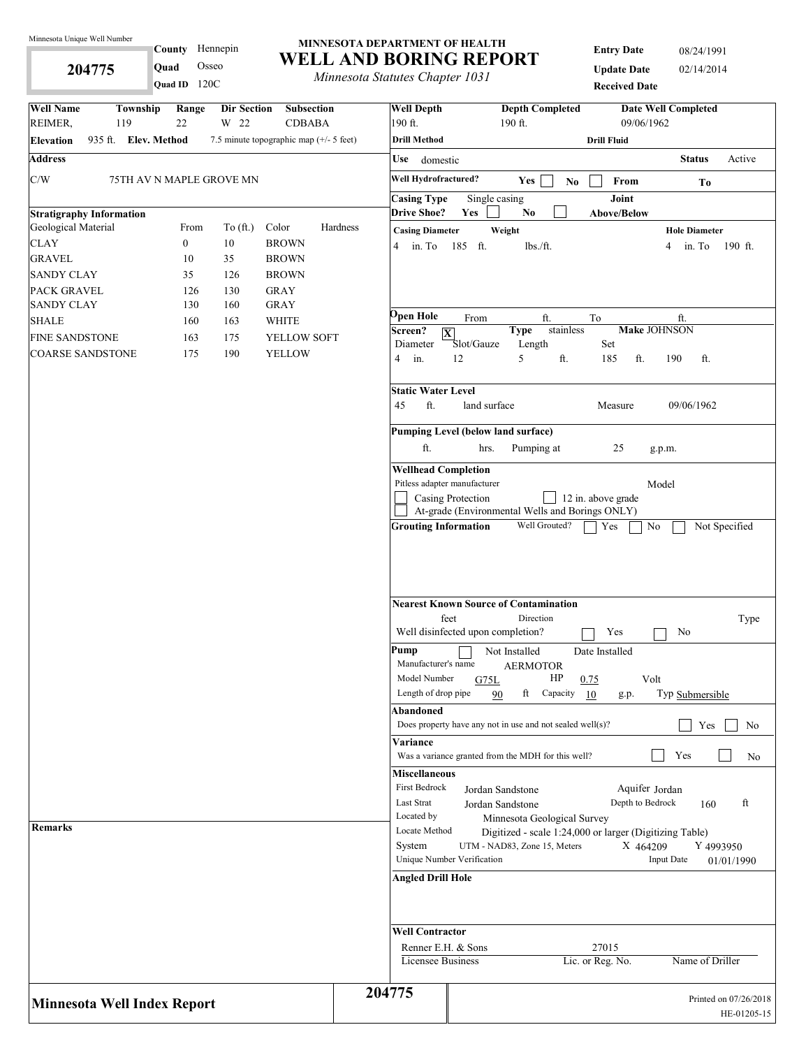**204775** 

# County Hennepin **Quad** Osseo

**Quad ID** 120C

#### **MINNESOTA DEPARTMENT OF HEALTH WELL AND BORING REPORT**

*Minnesota Statutes Chapter 1031*

**Entry Date** 08/24/1991 **Update Date** 02/14/2014 **Received Date**

| <b>Well Name</b><br>Township<br>Dir Section<br>Subsection<br>Range<br>22<br>W 22<br>REIMER,<br>119<br><b>CDBABA</b> | <b>Well Depth</b><br>190 ft.                 | <b>Depth Completed</b><br><b>Date Well Completed</b><br>$190$ ft.<br>09/06/1962                                             |
|---------------------------------------------------------------------------------------------------------------------|----------------------------------------------|-----------------------------------------------------------------------------------------------------------------------------|
| 935 ft. Elev. Method<br>7.5 minute topographic map $(+/- 5$ feet)<br><b>Elevation</b>                               | <b>Drill Method</b>                          | <b>Drill Fluid</b>                                                                                                          |
| <b>Address</b>                                                                                                      | Use<br>domestic                              | <b>Status</b><br>Active                                                                                                     |
|                                                                                                                     | Well Hydrofractured?                         |                                                                                                                             |
| C/W<br>75TH AV N MAPLE GROVE MN                                                                                     |                                              | Yes<br>From<br>$\bf No$<br>To                                                                                               |
|                                                                                                                     | <b>Casing Type</b><br><b>Drive Shoe?</b>     | Joint<br>Single casing<br>Yes<br>N <sub>0</sub><br><b>Above/Below</b>                                                       |
| <b>Stratigraphy Information</b><br>Geological Material<br>Color<br>From<br>To $(\text{ft.})$                        | Hardness                                     | Weight                                                                                                                      |
| <b>CLAY</b><br>$\boldsymbol{0}$<br>$10\,$<br><b>BROWN</b>                                                           | <b>Casing Diameter</b><br>in. To<br>4        | <b>Hole Diameter</b><br>185 ft.<br>lbs./ft.<br>in. To<br>190 ft.<br>4                                                       |
| <b>GRAVEL</b><br>35<br>10<br><b>BROWN</b>                                                                           |                                              |                                                                                                                             |
| 35<br><b>SANDY CLAY</b><br>126<br><b>BROWN</b>                                                                      |                                              |                                                                                                                             |
| <b>PACK GRAVEL</b><br>130<br><b>GRAY</b><br>126                                                                     |                                              |                                                                                                                             |
| <b>SANDY CLAY</b><br>130<br><b>GRAY</b><br>160                                                                      |                                              |                                                                                                                             |
| <b>SHALE</b><br><b>WHITE</b><br>160<br>163                                                                          | Эреп Hole                                    | From<br>ft.<br>To<br>ft.                                                                                                    |
| <b>FINE SANDSTONE</b><br>163<br>175<br>YELLOW SOFT                                                                  | Screen?                                      | stainless<br><b>Make JOHNSON</b><br><b>Type</b><br>$\overline{\mathbf{X}}$<br>Slot/Gauze<br>Set                             |
| 190<br><b>COARSE SANDSTONE</b><br>175<br><b>YELLOW</b>                                                              | Diameter<br>$\overline{4}$<br>in.            | Length<br>5<br>12<br>ft.<br>185<br>190<br>ft.<br>ft.                                                                        |
|                                                                                                                     | <b>Static Water Level</b>                    |                                                                                                                             |
|                                                                                                                     | ft.<br>45                                    | land surface<br>09/06/1962<br>Measure                                                                                       |
|                                                                                                                     |                                              | Pumping Level (below land surface)                                                                                          |
|                                                                                                                     | ft.                                          | Pumping at<br>25<br>hrs.<br>g.p.m.                                                                                          |
|                                                                                                                     |                                              |                                                                                                                             |
|                                                                                                                     | <b>Wellhead Completion</b>                   | Pitless adapter manufacturer<br>Model                                                                                       |
|                                                                                                                     |                                              | 12 in. above grade<br>Casing Protection                                                                                     |
|                                                                                                                     |                                              | At-grade (Environmental Wells and Borings ONLY)                                                                             |
|                                                                                                                     | <b>Grouting Information</b>                  | Well Grouted?<br>Not Specified<br>No<br>Yes                                                                                 |
|                                                                                                                     |                                              | <b>Nearest Known Source of Contamination</b><br>feet<br>Direction<br>Type<br>Well disinfected upon completion?<br>Yes<br>No |
|                                                                                                                     | Pump<br>Manufacturer's name<br>Model Number  | Not Installed<br>Date Installed<br><b>AERMOTOR</b><br>HP<br>0.75<br>Volt<br>G75L                                            |
|                                                                                                                     | Length of drop pipe                          | ft<br>Typ Submersible<br>Capacity 10<br>90<br>g.p.                                                                          |
|                                                                                                                     | Abandoned                                    |                                                                                                                             |
|                                                                                                                     |                                              | Does property have any not in use and not sealed well $(s)$ ?<br>Yes<br>No                                                  |
|                                                                                                                     | Variance                                     |                                                                                                                             |
|                                                                                                                     |                                              | Yes<br>Was a variance granted from the MDH for this well?<br>No                                                             |
|                                                                                                                     | <b>Miscellaneous</b><br><b>First Bedrock</b> | Aquifer Jordan<br>Jordan Sandstone                                                                                          |
|                                                                                                                     | Last Strat                                   | Depth to Bedrock<br>ft<br>Jordan Sandstone<br>160                                                                           |
| <b>Remarks</b>                                                                                                      | Located by<br>Locate Method                  | Minnesota Geological Survey                                                                                                 |
|                                                                                                                     | System                                       | Digitized - scale 1:24,000 or larger (Digitizing Table)<br>UTM - NAD83, Zone 15, Meters<br>X 464209<br>Y 4993950            |
|                                                                                                                     |                                              | Unique Number Verification<br><b>Input Date</b><br>01/01/1990                                                               |
|                                                                                                                     | Angled Drill Hole                            |                                                                                                                             |
|                                                                                                                     |                                              |                                                                                                                             |
|                                                                                                                     | <b>Well Contractor</b>                       |                                                                                                                             |
|                                                                                                                     |                                              | Renner E.H. & Sons<br>27015                                                                                                 |
|                                                                                                                     | Licensee Business                            | Lic. or Reg. No.<br>Name of Driller                                                                                         |
| <b>Minnesota Well Index Report</b>                                                                                  | 204775                                       | Printed on 07/26/2018<br>HE-01205-15                                                                                        |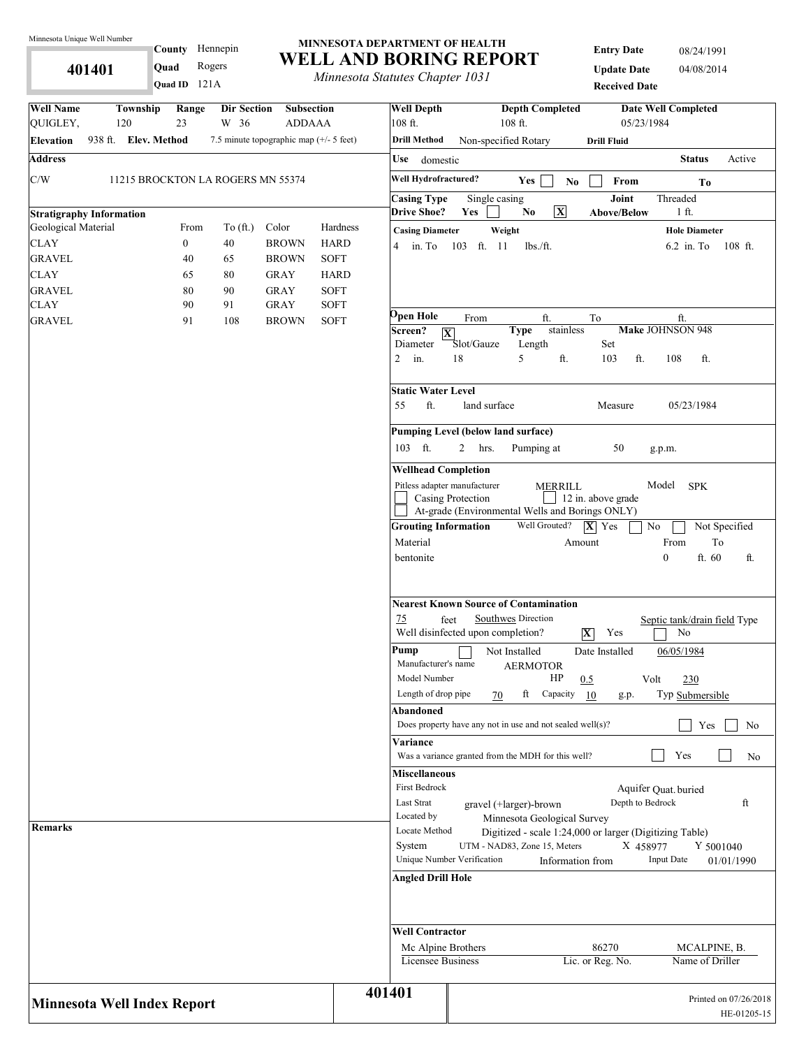**401401** 

### County Hennepin 121A **Quad ID Quad** Rogers

### **MINNESOTA DEPARTMENT OF HEALTH WELL AND BORING REPORT**

*Minnesota Statutes Chapter 1031*

| <b>Entry Date</b>    | 08/24/1991 |
|----------------------|------------|
| <b>Update Date</b>   | 04/08/2014 |
| <b>Received Date</b> |            |

| <b>Well Name</b><br>QUIGLEY,                           | Township<br>120      | Range<br>23      | Dir Section<br>W 36               | Subsection<br><b>ADDAAA</b>             |             | <b>Well Depth</b><br>108 ft.                                                       | 108 ft.                                                                                                         | <b>Depth Completed</b>                   | 05/23/1984                                                                  | <b>Date Well Completed</b>                 |                                      |
|--------------------------------------------------------|----------------------|------------------|-----------------------------------|-----------------------------------------|-------------|------------------------------------------------------------------------------------|-----------------------------------------------------------------------------------------------------------------|------------------------------------------|-----------------------------------------------------------------------------|--------------------------------------------|--------------------------------------|
| <b>Elevation</b>                                       | 938 ft. Elev. Method |                  |                                   | 7.5 minute topographic map (+/- 5 feet) |             | <b>Drill Method</b>                                                                | Non-specified Rotary                                                                                            |                                          | <b>Drill Fluid</b>                                                          |                                            |                                      |
| <b>Address</b>                                         |                      |                  |                                   |                                         |             | Use<br>domestic                                                                    |                                                                                                                 |                                          |                                                                             | <b>Status</b>                              | Active                               |
|                                                        |                      |                  |                                   |                                         |             |                                                                                    |                                                                                                                 |                                          |                                                                             |                                            |                                      |
| C/W                                                    |                      |                  | 11215 BROCKTON LA ROGERS MN 55374 |                                         |             | Well Hydrofractured?                                                               | Yes                                                                                                             | $\mathbf{No}$                            | From                                                                        | Tо                                         |                                      |
|                                                        |                      |                  |                                   |                                         |             | <b>Casing Type</b><br><b>Drive Shoe?</b>                                           | Single casing<br>Yes<br>No                                                                                      | $\overline{\mathbf{X}}$                  | Joint<br>Above/Below                                                        | Threaded<br>$1$ ft.                        |                                      |
| <b>Stratigraphy Information</b><br>Geological Material |                      | From             | To $(\text{ft.})$                 | Color                                   | Hardness    |                                                                                    |                                                                                                                 |                                          |                                                                             |                                            |                                      |
| <b>CLAY</b>                                            |                      | $\boldsymbol{0}$ | 40                                | <b>BROWN</b>                            | <b>HARD</b> | <b>Casing Diameter</b><br>$4 \quad$ in. To                                         | Weight<br>103 ft. 11                                                                                            | $lbs$ ./ft.                              |                                                                             | <b>Hole Diameter</b><br>$6.2$ in. To       | $108$ ft.                            |
| <b>GRAVEL</b>                                          |                      | 40               | 65                                | <b>BROWN</b>                            | <b>SOFT</b> |                                                                                    |                                                                                                                 |                                          |                                                                             |                                            |                                      |
| <b>CLAY</b>                                            |                      | 65               | 80                                | <b>GRAY</b>                             | <b>HARD</b> |                                                                                    |                                                                                                                 |                                          |                                                                             |                                            |                                      |
| <b>GRAVEL</b>                                          |                      | 80               | 90                                | <b>GRAY</b>                             | <b>SOFT</b> |                                                                                    |                                                                                                                 |                                          |                                                                             |                                            |                                      |
| <b>CLAY</b>                                            |                      | 90               | 91                                | <b>GRAY</b>                             | <b>SOFT</b> |                                                                                    |                                                                                                                 |                                          |                                                                             |                                            |                                      |
| <b>GRAVEL</b>                                          |                      | 91               | 108                               | <b>BROWN</b>                            | <b>SOFT</b> | Open Hole<br>Screen?<br>$\overline{\mathbf{X}}$<br>Diameter<br>$\mathbf{2}$<br>in. | From<br><b>Type</b><br>Slot/Gauze<br>5<br>18                                                                    | ft.<br>stainless<br>Length<br>ft.        | To<br>Set<br>103<br>ft.                                                     | ft.<br>Make JOHNSON 948<br>108<br>ft.      |                                      |
|                                                        |                      |                  |                                   |                                         |             | <b>Static Water Level</b><br>ft.<br>55                                             | land surface                                                                                                    |                                          | Measure                                                                     | 05/23/1984                                 |                                      |
|                                                        |                      |                  |                                   |                                         |             |                                                                                    | Pumping Level (below land surface)                                                                              |                                          |                                                                             |                                            |                                      |
|                                                        |                      |                  |                                   |                                         |             | 103 ft.                                                                            | 2<br>hrs.                                                                                                       | Pumping at                               | 50                                                                          | g.p.m.                                     |                                      |
|                                                        |                      |                  |                                   |                                         |             | <b>Wellhead Completion</b>                                                         |                                                                                                                 |                                          |                                                                             |                                            |                                      |
|                                                        |                      |                  |                                   |                                         |             | Pitless adapter manufacturer                                                       | Casing Protection<br>At-grade (Environmental Wells and Borings ONLY)                                            | <b>MERRILL</b>                           | 12 in. above grade                                                          | Model<br><b>SPK</b>                        |                                      |
|                                                        |                      |                  |                                   |                                         |             | <b>Grouting Information</b><br>Material<br>bentonite                               |                                                                                                                 | Well Grouted?<br>Amount                  | $ \mathbf{X} $ Yes                                                          | No<br>To<br>From<br>$\mathbf{0}$<br>ft. 60 | Not Specified<br>ft.                 |
|                                                        |                      |                  |                                   |                                         |             | 75                                                                                 | <b>Nearest Known Source of Contamination</b><br>Southwes Direction<br>feet<br>Well disinfected upon completion? |                                          | $ \mathbf{X} $<br>Yes                                                       | Septic tank/drain field Type<br>No         |                                      |
|                                                        |                      |                  |                                   |                                         |             | Pump<br>Manufacturer's name<br>Model Number<br>Length of drop pipe                 | Not Installed<br>ft<br>70                                                                                       | <b>AERMOTOR</b><br>HP<br>0.5<br>Capacity | Date Installed<br>Volt<br>-10<br>g.p.                                       | 06/05/1984<br>230<br>Typ Submersible       |                                      |
|                                                        |                      |                  |                                   |                                         |             | Abandoned                                                                          | Does property have any not in use and not sealed well(s)?                                                       |                                          |                                                                             | Yes                                        | No                                   |
|                                                        |                      |                  |                                   |                                         |             | Variance                                                                           | Was a variance granted from the MDH for this well?                                                              |                                          |                                                                             | Yes                                        | No                                   |
| Remarks                                                |                      |                  |                                   |                                         |             | <b>Miscellaneous</b><br>First Bedrock<br>Last Strat<br>Located by<br>Locate Method | gravel (+larger)-brown                                                                                          | Minnesota Geological Survey              | Depth to Bedrock<br>Digitized - scale 1:24,000 or larger (Digitizing Table) | Aquifer Quat. buried                       | ft                                   |
|                                                        |                      |                  |                                   |                                         |             | System<br><b>Angled Drill Hole</b>                                                 | UTM - NAD83, Zone 15, Meters<br>Unique Number Verification                                                      | Information from                         | X 458977                                                                    | Y 5001040<br><b>Input Date</b>             | 01/01/1990                           |
|                                                        |                      |                  |                                   |                                         |             | <b>Well Contractor</b>                                                             |                                                                                                                 |                                          | 86270                                                                       |                                            |                                      |
|                                                        |                      |                  |                                   |                                         |             | Mc Alpine Brothers<br><b>Licensee Business</b>                                     |                                                                                                                 |                                          | Lic. or Reg. No.                                                            | MCALPINE, B.<br>Name of Driller            |                                      |
| <b>Minnesota Well Index Report</b>                     |                      |                  |                                   |                                         |             | 401401                                                                             |                                                                                                                 |                                          |                                                                             |                                            | Printed on 07/26/2018<br>HE-01205-15 |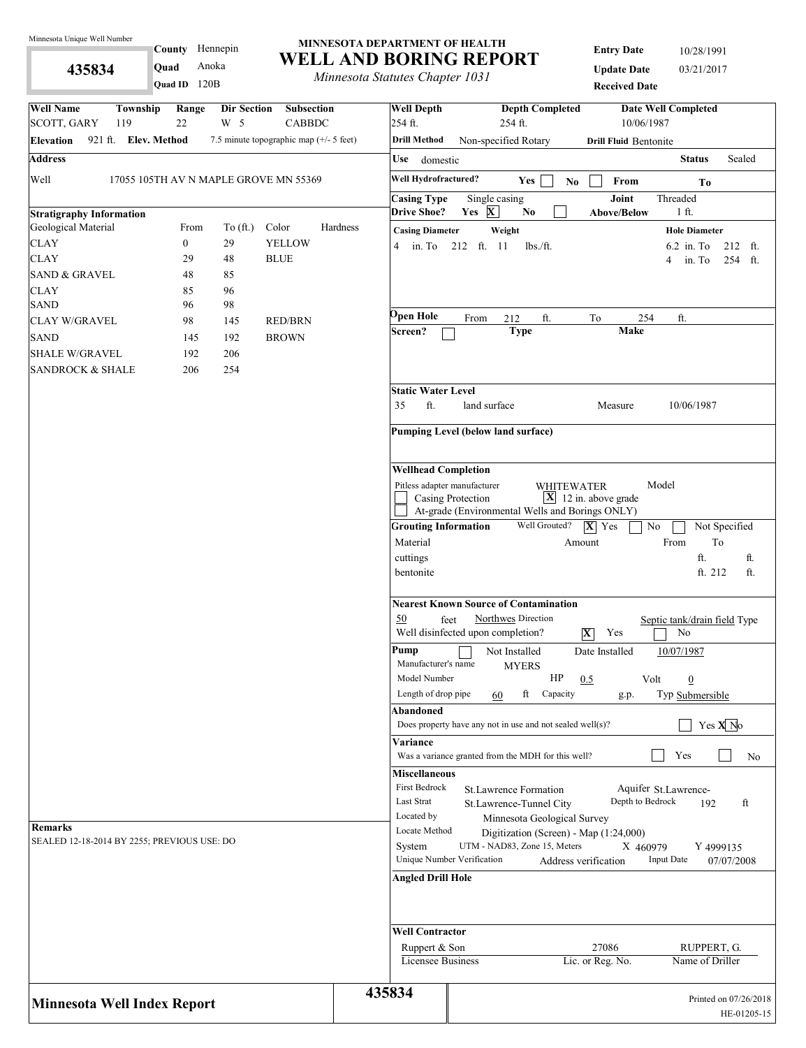**435834** 

**Quad ID** 120B

#### **MINNESOTA DEPARTMENT OF HEALTH WELL AND BORING REPORT** County Hennepin **Quad** Anoka

*Minnesota Statutes Chapter 1031*

| <b>Entry Date</b>    | 10/28/1991 |
|----------------------|------------|
| <b>Update Date</b>   | 03/21/2017 |
| <b>Received Date</b> |            |

| <b>Well Name</b><br>Township<br>Range<br>Dir Section<br>Subsection                                           | <b>Well Depth</b>                           | <b>Depth Completed</b><br><b>Date Well Completed</b>                                                                                           |
|--------------------------------------------------------------------------------------------------------------|---------------------------------------------|------------------------------------------------------------------------------------------------------------------------------------------------|
| W <sub>5</sub><br>SCOTT, GARY<br>22<br><b>CABBDC</b><br>119                                                  | 254 ft.                                     | 254 ft.<br>10/06/1987                                                                                                                          |
| 921 ft. Elev. Method<br>7.5 minute topographic map (+/- 5 feet)<br><b>Elevation</b>                          | <b>Drill Method</b>                         | Non-specified Rotary<br><b>Drill Fluid Bentonite</b>                                                                                           |
| <b>Address</b>                                                                                               | Use<br>domestic                             | Sealed<br><b>Status</b>                                                                                                                        |
| Well<br>17055 105TH AV N MAPLE GROVE MN 55369                                                                | Well Hydrofractured?                        | Yes<br>$\ensuremath{\textnormal{\textbf{From}}}$<br>No.<br>To                                                                                  |
|                                                                                                              | <b>Casing Type</b>                          | Single casing<br>Joint<br>Threaded                                                                                                             |
| <b>Stratigraphy Information</b>                                                                              | <b>Drive Shoe?</b>                          | Yes X<br>N <sub>0</sub><br><b>Above/Below</b><br>1 ft.                                                                                         |
| Geological Material<br>From<br>To $(\text{ft.})$<br>Color<br><b>CLAY</b><br>$\boldsymbol{0}$<br>29<br>YELLOW | Hardness<br><b>Casing Diameter</b>          | Weight<br><b>Hole Diameter</b>                                                                                                                 |
| <b>CLAY</b><br>29<br>48<br><b>BLUE</b>                                                                       | 4                                           | in. To 212 ft. 11<br>$lbs$ ./ft.<br>$6.2$ in. To<br>212 ft.<br>254 ft.<br>in. To<br>4                                                          |
| <b>SAND &amp; GRAVEL</b><br>48<br>85                                                                         |                                             |                                                                                                                                                |
| 96<br><b>CLAY</b><br>85                                                                                      |                                             |                                                                                                                                                |
| <b>SAND</b><br>98<br>96                                                                                      |                                             |                                                                                                                                                |
| <b>CLAY W/GRAVEL</b><br>98<br>145<br><b>RED/BRN</b>                                                          | Open Hole                                   | ft.<br>254<br>ft.<br>From<br>212<br>To                                                                                                         |
| <b>SAND</b><br>145<br>192<br><b>BROWN</b>                                                                    | Screen?                                     | <b>Type</b><br><b>Make</b>                                                                                                                     |
| <b>SHALE W/GRAVEL</b><br>192<br>206                                                                          |                                             |                                                                                                                                                |
| 254<br><b>SANDROCK &amp; SHALE</b><br>206                                                                    |                                             |                                                                                                                                                |
|                                                                                                              | <b>Static Water Level</b>                   |                                                                                                                                                |
|                                                                                                              | ft.<br>35                                   | land surface<br>10/06/1987<br>Measure                                                                                                          |
|                                                                                                              |                                             |                                                                                                                                                |
|                                                                                                              |                                             | Pumping Level (below land surface)                                                                                                             |
|                                                                                                              | <b>Wellhead Completion</b>                  |                                                                                                                                                |
|                                                                                                              |                                             | Pitless adapter manufacturer<br>Model<br>WHITEWATER                                                                                            |
|                                                                                                              |                                             | $\mathbf{X}$ 12 in. above grade<br>Casing Protection                                                                                           |
|                                                                                                              |                                             | At-grade (Environmental Wells and Borings ONLY)                                                                                                |
|                                                                                                              | <b>Grouting Information</b>                 | Well Grouted?<br>$ \mathbf{X} $ Yes<br>$\rm No$<br>Not Specified                                                                               |
|                                                                                                              | Material                                    | To<br>From<br>Amount                                                                                                                           |
|                                                                                                              | cuttings                                    | ft.<br>ft.                                                                                                                                     |
|                                                                                                              | bentonite                                   | ft. 212<br>ft.                                                                                                                                 |
|                                                                                                              |                                             | <b>Nearest Known Source of Contamination</b>                                                                                                   |
|                                                                                                              | 50                                          | Northwes Direction<br>feet<br>Septic tank/drain field Type<br>Well disinfected upon completion?<br>No<br>$ \mathbf{X} $<br>Yes                 |
|                                                                                                              | Pump<br>Manufacturer's name<br>Model Number | 10/07/1987<br>Not Installed<br>Date Installed<br><b>MYERS</b><br>HP<br>0.5<br>Volt<br>$\overline{0}$                                           |
|                                                                                                              | Length of drop pipe                         | ft<br>Capacity<br>Typ Submersible<br>60<br>g.p.                                                                                                |
|                                                                                                              | Abandoned                                   |                                                                                                                                                |
|                                                                                                              |                                             | Yes $X$ <sup>No</sup><br>Does property have any not in use and not sealed well $(s)$ ?                                                         |
|                                                                                                              | Variance                                    | Yes<br>Was a variance granted from the MDH for this well?<br>No                                                                                |
|                                                                                                              | <b>Miscellaneous</b>                        |                                                                                                                                                |
|                                                                                                              | First Bedrock                               | Aquifer St.Lawrence-<br>St.Lawrence Formation                                                                                                  |
|                                                                                                              | Last Strat                                  | Depth to Bedrock<br>ft<br>St.Lawrence-Tunnel City<br>192                                                                                       |
| <b>Remarks</b>                                                                                               | Located by                                  | Minnesota Geological Survey                                                                                                                    |
| SEALED 12-18-2014 BY 2255; PREVIOUS USE: DO                                                                  | Locate Method                               | Digitization (Screen) - Map (1:24,000)                                                                                                         |
|                                                                                                              | System                                      | UTM - NAD83, Zone 15, Meters<br>X 460979<br>Y 4999135<br>Unique Number Verification<br><b>Input Date</b><br>Address verification<br>07/07/2008 |
|                                                                                                              | <b>Angled Drill Hole</b>                    |                                                                                                                                                |
|                                                                                                              |                                             |                                                                                                                                                |
|                                                                                                              | <b>Well Contractor</b>                      |                                                                                                                                                |
|                                                                                                              | Ruppert & Son                               | 27086<br>RUPPERT, G.                                                                                                                           |
|                                                                                                              | <b>Licensee Business</b>                    | Lic. or Reg. No.<br>Name of Driller                                                                                                            |
| <b>Minnesota Well Index Report</b>                                                                           | 435834                                      | Printed on 07/26/2018<br>HE-01205-15                                                                                                           |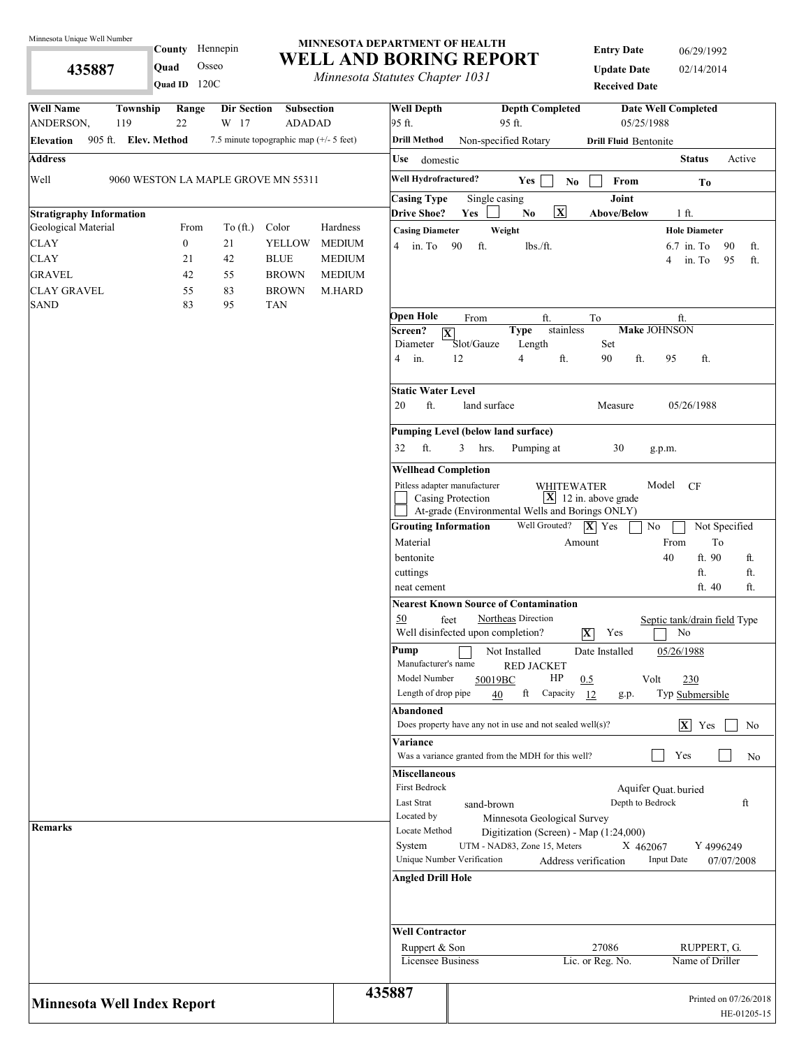**435887** 

# County Hennepin **Quad** Osseo

#### **MINNESOTA DEPARTMENT OF HEALTH WELL AND BORING REPORT**

*Minnesota Statutes Chapter 1031*

**Entry Date** 06/29/1992 **Update Date** 02/14/2014 **Received Date**

| Quad ID 120C                                                                                                                 | minicson saudics chapter 1051              | <b>Received Date</b>                                                                                                                    |
|------------------------------------------------------------------------------------------------------------------------------|--------------------------------------------|-----------------------------------------------------------------------------------------------------------------------------------------|
| <b>Well Name</b><br>Township<br>Range<br>Dir Section<br><b>Subsection</b><br>119<br>22<br>ANDERSON,<br>W 17<br><b>ADADAD</b> | <b>Well Depth</b><br>95 ft.                | <b>Depth Completed</b><br><b>Date Well Completed</b><br>05/25/1988<br>95 ft.                                                            |
| 905 ft. Elev. Method<br>7.5 minute topographic map (+/- 5 feet)<br><b>Elevation</b>                                          | <b>Drill Method</b>                        | Non-specified Rotary<br><b>Drill Fluid Bentonite</b>                                                                                    |
| <b>Address</b>                                                                                                               | Use domestic                               | <b>Status</b><br>Active                                                                                                                 |
|                                                                                                                              |                                            |                                                                                                                                         |
| Well<br>9060 WESTON LA MAPLE GROVE MN 55311                                                                                  | Well Hydrofractured?<br><b>Casing Type</b> | Yes<br>No<br>From<br>To<br>Joint<br>Single casing                                                                                       |
| <b>Stratigraphy Information</b>                                                                                              | <b>Drive Shoe?</b>                         | $\overline{\mathbf{x}}$<br>Yes<br>$\mathbf{No}$<br>$1$ ft.<br>Above/Below                                                               |
| Geological Material<br>To $(\text{ft.})$<br>Color<br>Hardness<br>From                                                        | <b>Casing Diameter</b>                     | Weight<br><b>Hole Diameter</b>                                                                                                          |
| <b>CLAY</b><br>$\boldsymbol{0}$<br>21<br><b>YELLOW</b><br><b>MEDIUM</b>                                                      | 4 in To $90$                               | ft.<br>lbs./ft.<br>$6.7$ in. To<br>90<br>ft.                                                                                            |
| <b>CLAY</b><br>42<br>21<br><b>BLUE</b>                                                                                       | <b>MEDIUM</b>                              | in. To<br>95<br>ft.<br>4                                                                                                                |
| <b>GRAVEL</b><br><b>BROWN</b><br>42<br>55                                                                                    | <b>MEDIUM</b>                              |                                                                                                                                         |
| <b>CLAY GRAVEL</b><br>83<br><b>BROWN</b><br>55<br>M.HARD                                                                     |                                            |                                                                                                                                         |
| <b>SAND</b><br>83<br>95<br><b>TAN</b>                                                                                        |                                            |                                                                                                                                         |
|                                                                                                                              | Open Hole<br>Screen?                       | ft.<br>ft.<br>From<br>To<br><b>Make JOHNSON</b><br>stainless<br><b>Type</b>                                                             |
|                                                                                                                              | Diameter                                   | $ \mathbf{X} $<br>Set<br>Slot/Gauze<br>Length                                                                                           |
|                                                                                                                              | in.<br>4                                   | $\overline{4}$<br>ft.<br>ft.<br>ft.<br>12<br>90<br>95                                                                                   |
|                                                                                                                              |                                            |                                                                                                                                         |
|                                                                                                                              | <b>Static Water Level</b>                  |                                                                                                                                         |
|                                                                                                                              | ft.<br>20                                  | land surface<br>05/26/1988<br>Measure                                                                                                   |
|                                                                                                                              |                                            | <b>Pumping Level (below land surface)</b>                                                                                               |
|                                                                                                                              | ft.<br>32                                  | 3<br>Pumping at<br>30<br>hrs.<br>g.p.m.                                                                                                 |
|                                                                                                                              | <b>Wellhead Completion</b>                 |                                                                                                                                         |
|                                                                                                                              |                                            | Pitless adapter manufacturer<br>Model CF<br><b>WHITEWATER</b>                                                                           |
|                                                                                                                              |                                            | $\boxed{\mathbf{X}}$ 12 in. above grade<br>Casing Protection                                                                            |
|                                                                                                                              |                                            | At-grade (Environmental Wells and Borings ONLY)                                                                                         |
|                                                                                                                              | <b>Grouting Information</b>                | Well Grouted?<br>$ \mathbf{X} $ Yes<br>No<br>Not Specified                                                                              |
|                                                                                                                              | Material                                   | From<br>To<br>Amount                                                                                                                    |
|                                                                                                                              | bentonite                                  | 40<br>ft. 90<br>ft.                                                                                                                     |
|                                                                                                                              | cuttings                                   | ft.<br>ft.                                                                                                                              |
|                                                                                                                              | neat cement                                | ft. 40<br>ft.                                                                                                                           |
|                                                                                                                              |                                            | <b>Nearest Known Source of Contamination</b>                                                                                            |
|                                                                                                                              | 50                                         | Northeas Direction<br>feet<br>Septic tank/drain field Type<br>Well disinfected upon completion?<br>$\overline{\mathbf{X}}$<br>Yes<br>No |
|                                                                                                                              | Pump                                       | Not Installed<br>Date Installed<br>05/26/1988                                                                                           |
|                                                                                                                              | Manufacturer's name                        | <b>RED JACKET</b>                                                                                                                       |
|                                                                                                                              | Model Number                               | HP<br>Volt<br>230<br>0.5<br>50019BC                                                                                                     |
|                                                                                                                              | Length of drop pipe                        | ft<br>Capacity<br>40<br>-12<br>Typ Submersible<br>g.p.                                                                                  |
|                                                                                                                              | Abandoned                                  |                                                                                                                                         |
|                                                                                                                              |                                            | $\overline{X}$ Yes<br>Does property have any not in use and not sealed well(s)?<br>No                                                   |
|                                                                                                                              | Variance                                   | Yes<br>Was a variance granted from the MDH for this well?<br>No                                                                         |
|                                                                                                                              | <b>Miscellaneous</b>                       |                                                                                                                                         |
|                                                                                                                              | First Bedrock                              | Aquifer Quat. buried                                                                                                                    |
|                                                                                                                              | Last Strat                                 | Depth to Bedrock<br>ft<br>sand-brown                                                                                                    |
|                                                                                                                              | Located by                                 | Minnesota Geological Survey                                                                                                             |
| <b>Remarks</b>                                                                                                               | Locate Method                              | Digitization (Screen) - Map (1:24,000)                                                                                                  |
|                                                                                                                              | System                                     | UTM - NAD83, Zone 15, Meters<br>X 462067<br>Y 4996249                                                                                   |
|                                                                                                                              |                                            | Unique Number Verification<br><b>Input Date</b><br>Address verification<br>07/07/2008                                                   |
|                                                                                                                              | <b>Angled Drill Hole</b>                   |                                                                                                                                         |
|                                                                                                                              | <b>Well Contractor</b>                     |                                                                                                                                         |
|                                                                                                                              | Ruppert & Son                              | 27086<br>RUPPERT, G.                                                                                                                    |
|                                                                                                                              | Licensee Business                          | Lic. or Reg. No.<br>Name of Driller                                                                                                     |
|                                                                                                                              |                                            |                                                                                                                                         |
| <b>Minnesota Well Index Report</b>                                                                                           | 435887                                     | Printed on 07/26/2018<br>HE-01205-15                                                                                                    |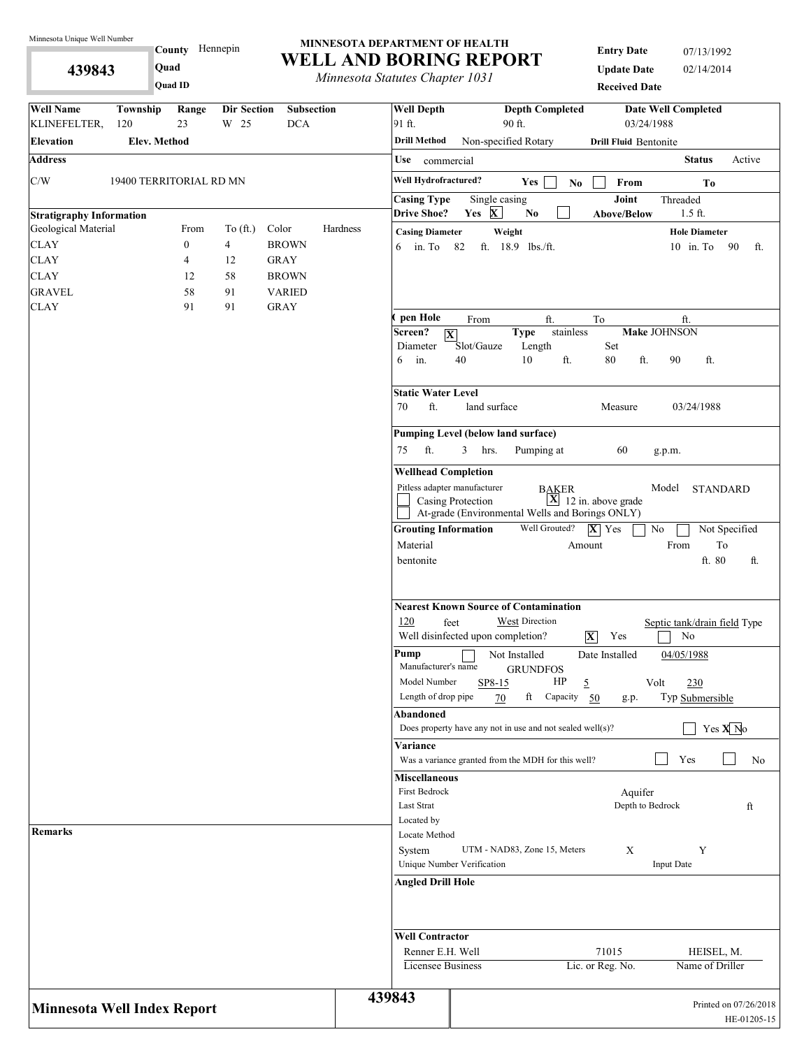**439843** 

**County** Hennepin **Quad**

**Quad ID**

#### **MINNESOTA DEPARTMENT OF HEALTH WELL AND BORING REPORT**

*Minnesota Statutes Chapter 1031*

**Entry Date** 07/13/1992 **Update Date** 02/14/2014 **Received Date**

| <b>Well Name</b><br>Township<br>KLINEFELTER,<br>120 | Range<br>23      | <b>Dir Section</b><br>W 25 | <b>Subsection</b><br><b>DCA</b> |          | <b>Well Depth</b><br>91 ft.             | <b>Depth Completed</b><br>90 ft.                                 |                                         | <b>Date Well Completed</b><br>03/24/1988 |
|-----------------------------------------------------|------------------|----------------------------|---------------------------------|----------|-----------------------------------------|------------------------------------------------------------------|-----------------------------------------|------------------------------------------|
| <b>Elev. Method</b><br><b>Elevation</b>             |                  |                            |                                 |          | <b>Drill Method</b>                     | Non-specified Rotary                                             | <b>Drill Fluid Bentonite</b>            |                                          |
| <b>Address</b>                                      |                  |                            |                                 |          | Use<br>commercial                       |                                                                  |                                         | <b>Status</b><br>Active                  |
| $\mathrm{C}/\mathrm{W}$<br>19400 TERRITORIAL RD MN  |                  |                            |                                 |          | Well Hydrofractured?                    | Yes                                                              |                                         |                                          |
|                                                     |                  |                            |                                 |          | <b>Casing Type</b>                      | Single casing                                                    | From<br>$\mathbf{N}\mathbf{o}$<br>Joint | To<br>Threaded                           |
| <b>Stratigraphy Information</b>                     |                  |                            |                                 |          | <b>Drive Shoe?</b>                      | Yes X<br>$\mathbf{No}$                                           | Above/Below                             | $1.5$ ft.                                |
| Geological Material                                 | From             | To $(\text{ft.})$          | Color                           | Hardness | <b>Casing Diameter</b>                  | Weight                                                           |                                         | <b>Hole Diameter</b>                     |
| <b>CLAY</b>                                         | $\boldsymbol{0}$ | $\overline{4}$             | <b>BROWN</b>                    |          | 6 in. To 82                             | ft. 18.9 lbs./ft.                                                |                                         | $10$ in. To<br>90<br>ft.                 |
| <b>CLAY</b>                                         | $\overline{4}$   | 12                         | <b>GRAY</b>                     |          |                                         |                                                                  |                                         |                                          |
| <b>CLAY</b>                                         | 12               | 58                         | <b>BROWN</b>                    |          |                                         |                                                                  |                                         |                                          |
| <b>GRAVEL</b>                                       | 58               | 91                         | <b>VARIED</b>                   |          |                                         |                                                                  |                                         |                                          |
| <b>CLAY</b>                                         | 91               | 91                         | <b>GRAY</b>                     |          | pen Hole                                |                                                                  |                                         |                                          |
|                                                     |                  |                            |                                 |          | Screen?<br>$\overline{\mathbf{X}}$      | From<br>ft.<br><b>Type</b>                                       | To<br>stainless                         | ft.<br><b>Make JOHNSON</b>               |
|                                                     |                  |                            |                                 |          | Diameter                                | Slot/Gauze<br>Length                                             | Set                                     |                                          |
|                                                     |                  |                            |                                 |          | $6$ in.                                 | 40<br>10                                                         | 80<br>ft.<br>ft.                        | 90<br>ft.                                |
|                                                     |                  |                            |                                 |          | <b>Static Water Level</b>               |                                                                  |                                         |                                          |
|                                                     |                  |                            |                                 |          | ft.<br>70                               | land surface                                                     | Measure                                 | 03/24/1988                               |
|                                                     |                  |                            |                                 |          |                                         | <b>Pumping Level (below land surface)</b>                        |                                         |                                          |
|                                                     |                  |                            |                                 |          | ft.<br>75                               | 3<br>hrs.<br>Pumping at                                          | 60                                      | g.p.m.                                   |
|                                                     |                  |                            |                                 |          | <b>Wellhead Completion</b>              |                                                                  |                                         |                                          |
|                                                     |                  |                            |                                 |          | Pitless adapter manufacturer            |                                                                  | <b>BAKER</b>                            | Model<br><b>STANDARD</b>                 |
|                                                     |                  |                            |                                 |          |                                         | Casing Protection                                                | $\overline{X}$ 12 in. above grade       |                                          |
|                                                     |                  |                            |                                 |          |                                         | At-grade (Environmental Wells and Borings ONLY)<br>Well Grouted? |                                         |                                          |
|                                                     |                  |                            |                                 |          | <b>Grouting Information</b><br>Material |                                                                  | $ \mathbf{X} $ Yes<br>Amount            | $\rm No$<br>Not Specified<br>From<br>To  |
|                                                     |                  |                            |                                 |          | bentonite                               |                                                                  |                                         | ft. 80<br>ft.                            |
|                                                     |                  |                            |                                 |          |                                         | <b>Nearest Known Source of Contamination</b>                     |                                         |                                          |
|                                                     |                  |                            |                                 |          | 120<br>feet                             | West Direction<br>Well disinfected upon completion?              | $ \mathbf{X} $<br>Yes                   | Septic tank/drain field Type<br>No       |
|                                                     |                  |                            |                                 |          | Pump<br>Manufacturer's name             | Not Installed<br><b>GRUNDFOS</b>                                 | Date Installed                          | 04/05/1988                               |
|                                                     |                  |                            |                                 |          | Model Number                            | SP8-15                                                           | HP<br>5                                 | Volt<br>230                              |
|                                                     |                  |                            |                                 |          | Length of drop pipe                     | ft<br>70                                                         | Capacity 50<br>g.p.                     | Typ Submersible                          |
|                                                     |                  |                            |                                 |          | Abandoned                               | Does property have any not in use and not sealed well $(s)$ ?    |                                         | Yes $X$ <sup>No</sup>                    |
|                                                     |                  |                            |                                 |          | Variance                                |                                                                  |                                         |                                          |
|                                                     |                  |                            |                                 |          |                                         | Was a variance granted from the MDH for this well?               |                                         | Yes<br>No                                |
|                                                     |                  |                            |                                 |          | <b>Miscellaneous</b>                    |                                                                  |                                         |                                          |
|                                                     |                  |                            |                                 |          | First Bedrock                           |                                                                  | Aquifer                                 |                                          |
|                                                     |                  |                            |                                 |          | Last Strat                              |                                                                  |                                         | Depth to Bedrock<br>ft                   |
|                                                     |                  |                            |                                 |          | Located by                              |                                                                  |                                         |                                          |
| Remarks                                             |                  |                            |                                 |          | Locate Method                           |                                                                  |                                         |                                          |
|                                                     |                  |                            |                                 |          | System                                  | UTM - NAD83, Zone 15, Meters                                     | X                                       | Y                                        |
|                                                     |                  |                            |                                 |          | Unique Number Verification              |                                                                  |                                         | <b>Input Date</b>                        |
|                                                     |                  |                            |                                 |          | <b>Angled Drill Hole</b>                |                                                                  |                                         |                                          |
|                                                     |                  |                            |                                 |          | <b>Well Contractor</b>                  |                                                                  |                                         |                                          |
|                                                     |                  |                            |                                 |          | Renner E.H. Well                        |                                                                  | 71015                                   | HEISEL, M.                               |
|                                                     |                  |                            |                                 |          | <b>Licensee Business</b>                |                                                                  | Lic. or Reg. No.                        | Name of Driller                          |
|                                                     |                  |                            |                                 |          |                                         |                                                                  |                                         |                                          |
| <b>Minnesota Well Index Report</b>                  |                  |                            |                                 |          | 439843                                  |                                                                  |                                         | Printed on 07/26/2018<br>HE-01205-15     |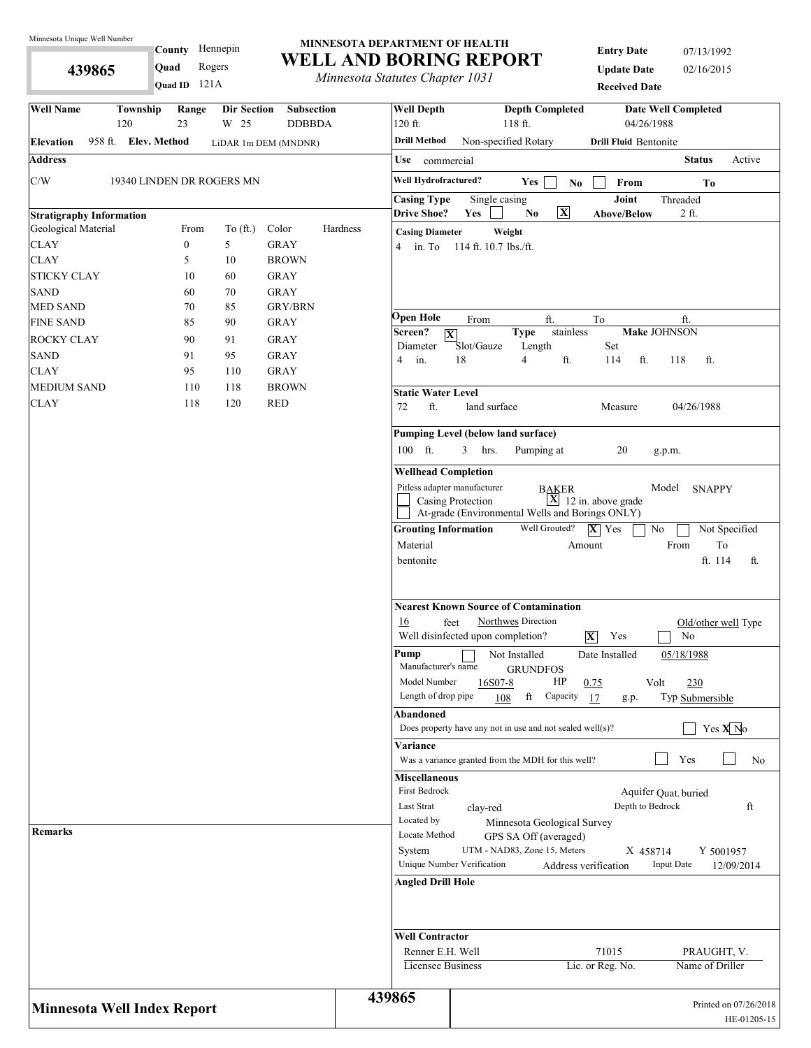**439865** 

#### County Hennepin 121A **Quad ID Quad** Rogers

#### **MINNESOTA DEPARTMENT OF HEALTH WELL AND BORING REPORT**

*Minnesota Statutes Chapter 1031*

| <b>Entry Date</b>    | 07/13/1992 |
|----------------------|------------|
| <b>Update Date</b>   | 02/16/2015 |
| <b>Received Date</b> |            |

| <b>Well Name</b><br>Township<br>120      | Range<br><b>Dir Section</b><br>23<br>W 25 | <b>Subsection</b><br><b>DDBBDA</b>      |                                                                  | <b>Well Depth</b><br>120 ft.                                       | <b>Depth Completed</b><br><b>Date Well Completed</b><br>118 ft.<br>04/26/1988                                                                                           |
|------------------------------------------|-------------------------------------------|-----------------------------------------|------------------------------------------------------------------|--------------------------------------------------------------------|-------------------------------------------------------------------------------------------------------------------------------------------------------------------------|
| 958 ft. Elev. Method<br><b>Elevation</b> |                                           | LiDAR 1m DEM (MNDNR)                    |                                                                  | <b>Drill Method</b>                                                | Non-specified Rotary<br><b>Drill Fluid Bentonite</b>                                                                                                                    |
| <b>Address</b>                           |                                           |                                         |                                                                  | Use<br>commercial                                                  | <b>Status</b><br>Active                                                                                                                                                 |
| C/W                                      | 19340 LINDEN DR ROGERS MN                 |                                         |                                                                  | Well Hydrofractured?                                               | Yes<br>From<br>N <sub>0</sub>                                                                                                                                           |
|                                          |                                           |                                         |                                                                  | <b>Casing Type</b>                                                 | To<br>Joint<br>Single casing<br>Threaded                                                                                                                                |
| <b>Stratigraphy Information</b>          |                                           |                                         |                                                                  | <b>Drive Shoe?</b>                                                 | $\overline{\mathbf{x}}$<br>No<br>Yes<br><b>Above/Below</b><br>2 ft.                                                                                                     |
| Geological Material                      | From<br>To (ft.)                          | Color                                   | Hardness                                                         | <b>Casing Diameter</b>                                             | Weight                                                                                                                                                                  |
| <b>CLAY</b>                              | 5<br>$\boldsymbol{0}$                     | <b>GRAY</b>                             |                                                                  | in. To<br>4                                                        | 114 ft. 10.7 lbs./ft.                                                                                                                                                   |
| <b>CLAY</b>                              | 5<br>10                                   | <b>BROWN</b>                            |                                                                  |                                                                    |                                                                                                                                                                         |
| STICKY CLAY                              | 10<br>60                                  | <b>GRAY</b>                             |                                                                  |                                                                    |                                                                                                                                                                         |
| SAND                                     | 60<br>70                                  | <b>GRAY</b>                             |                                                                  |                                                                    |                                                                                                                                                                         |
| <b>MED SAND</b>                          | 70<br>85                                  | <b>GRY/BRN</b>                          |                                                                  |                                                                    |                                                                                                                                                                         |
| <b>FINE SAND</b>                         | 85<br>90                                  | <b>GRAY</b>                             |                                                                  | Open Hole<br>Screen?                                               | ft.<br>From<br>To<br>ft.<br>stainless<br><b>Make JOHNSON</b>                                                                                                            |
| ROCKY CLAY                               | 90<br>91                                  | <b>GRAY</b>                             |                                                                  | Diameter                                                           | <b>Type</b><br>$\overline{\mathbf{X}}$<br>Slot/Gauze<br>Length<br>Set                                                                                                   |
| SAND                                     | 95<br>91                                  | <b>GRAY</b>                             |                                                                  | in.<br>4                                                           | 18<br>$\overline{4}$<br>ft.<br>114<br>ft.<br>118<br>ft.                                                                                                                 |
| CLAY                                     | 95<br>110                                 | <b>GRAY</b>                             |                                                                  |                                                                    |                                                                                                                                                                         |
| <b>MEDIUM SAND</b>                       | 110<br>118                                | <b>BROWN</b>                            |                                                                  | <b>Static Water Level</b>                                          |                                                                                                                                                                         |
| CLAY                                     | 118<br>120                                | <b>RED</b>                              |                                                                  | ft.<br>72                                                          | land surface<br>Measure<br>04/26/1988                                                                                                                                   |
|                                          |                                           |                                         |                                                                  |                                                                    |                                                                                                                                                                         |
|                                          |                                           |                                         |                                                                  |                                                                    | Pumping Level (below land surface)                                                                                                                                      |
|                                          |                                           |                                         |                                                                  | 100 ft.                                                            | 3<br>Pumping at<br>hrs.<br>20<br>g.p.m.                                                                                                                                 |
|                                          |                                           |                                         |                                                                  | <b>Wellhead Completion</b>                                         |                                                                                                                                                                         |
|                                          |                                           |                                         |                                                                  |                                                                    | Pitless adapter manufacturer<br>Model<br><b>BAKER</b><br><b>SNAPPY</b>                                                                                                  |
|                                          |                                           |                                         |                                                                  | $\boxed{\mathbf{X}}$ 12 in. above grade<br>Casing Protection       |                                                                                                                                                                         |
|                                          |                                           |                                         | At-grade (Environmental Wells and Borings ONLY)<br>Well Grouted? |                                                                    |                                                                                                                                                                         |
|                                          |                                           | <b>Grouting Information</b><br>Material | Not Specified<br>$ \mathbf{X} $ Yes<br>No                        |                                                                    |                                                                                                                                                                         |
|                                          |                                           |                                         |                                                                  | bentonite                                                          | $\operatorname{To}$<br>From<br>Amount<br>ft. 114<br>ft.                                                                                                                 |
|                                          |                                           |                                         |                                                                  |                                                                    | <b>Nearest Known Source of Contamination</b>                                                                                                                            |
|                                          |                                           |                                         |                                                                  | 16                                                                 | Northwes Direction<br>feet<br>Old/other well Type<br>Well disinfected upon completion?<br>Yes<br>No<br>$\overline{\mathbf{X}}$                                          |
|                                          |                                           |                                         |                                                                  | Pump<br>Manufacturer's name<br>Model Number<br>Length of drop pipe | 05/18/1988<br>Not Installed<br>Date Installed<br><b>GRUNDFOS</b><br>HP<br>16S07-8<br>0.75<br>Volt<br>230<br>ft<br>Capacity<br>Typ Submersible<br>108<br>17<br>g.p.      |
|                                          |                                           |                                         |                                                                  | Abandoned                                                          | Yes $X$ <sup>No</sup><br>Does property have any not in use and not sealed well(s)?                                                                                      |
|                                          |                                           |                                         |                                                                  | Variance                                                           |                                                                                                                                                                         |
|                                          |                                           |                                         |                                                                  |                                                                    | Yes<br>Was a variance granted from the MDH for this well?<br>No                                                                                                         |
|                                          |                                           |                                         |                                                                  | <b>Miscellaneous</b><br>First Bedrock<br>Last Strat<br>Located by  | Aquifer Quat. buried<br>Depth to Bedrock<br>ft<br>clay-red<br>Minnesota Geological Survey                                                                               |
| <b>Remarks</b>                           |                                           |                                         |                                                                  | Locate Method<br>System                                            | GPS SA Off (averaged)<br>UTM - NAD83, Zone 15, Meters<br>X 458714<br>Y 5001957<br>Unique Number Verification<br><b>Input Date</b><br>Address verification<br>12/09/2014 |
|                                          |                                           |                                         |                                                                  | <b>Angled Drill Hole</b><br><b>Well Contractor</b>                 |                                                                                                                                                                         |
|                                          |                                           |                                         |                                                                  | Renner E.H. Well<br>Licensee Business                              | 71015<br>PRAUGHT, V.<br>Lic. or Reg. No.<br>Name of Driller                                                                                                             |
| <b>Minnesota Well Index Report</b>       |                                           |                                         |                                                                  | 439865                                                             | Printed on 07/26/2018<br>HE-01205-15                                                                                                                                    |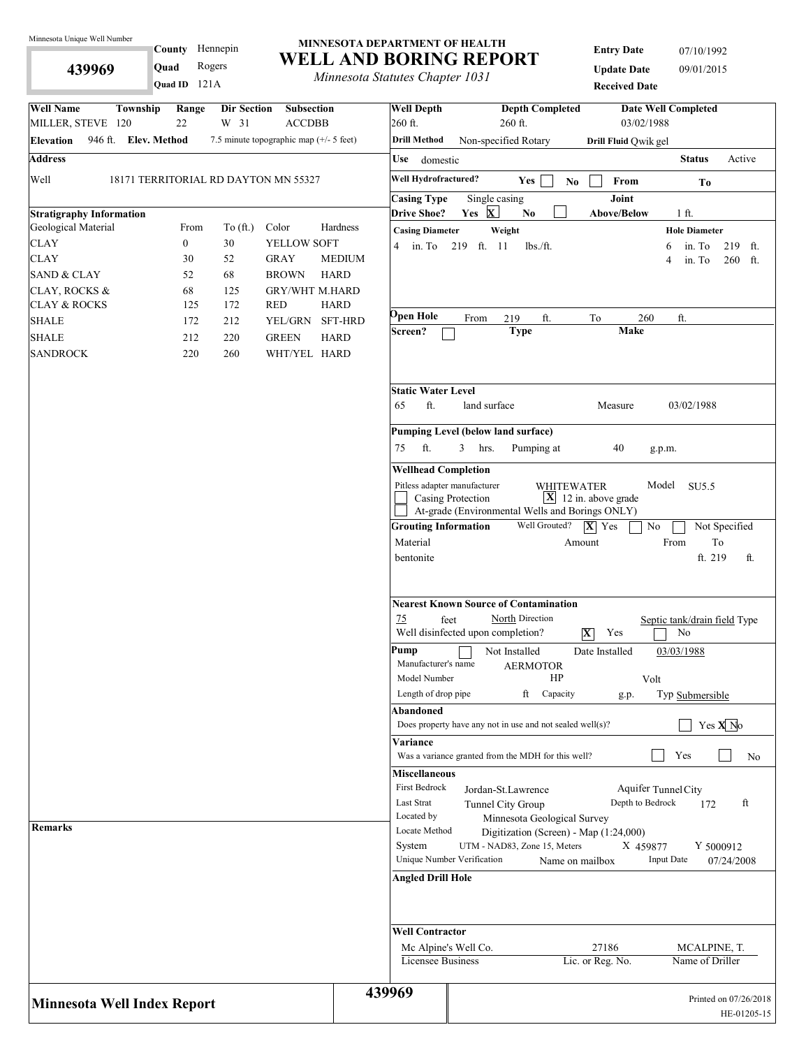**439969** 

County Hennepin

121A **Quad ID Quad** Rogers

### **MINNESOTA DEPARTMENT OF HEALTH WELL AND BORING REPORT**

*Minnesota Statutes Chapter 1031*

| <b>Entry Date</b>    | 07/10/1992 |
|----------------------|------------|
| <b>Update Date</b>   | 09/01/2015 |
| <b>Received Date</b> |            |

| <b>Well Name</b><br>Township<br><b>Dir Section</b><br>Range<br>22<br>W 31<br>MILLER, STEVE 120 | <b>Subsection</b><br><b>ACCDBB</b>        | <b>Well Depth</b><br>260 ft.                                       | <b>Depth Completed</b><br><b>Date Well Completed</b><br>$260$ ft.<br>03/02/1988                                                       |                                      |
|------------------------------------------------------------------------------------------------|-------------------------------------------|--------------------------------------------------------------------|---------------------------------------------------------------------------------------------------------------------------------------|--------------------------------------|
| 946 ft. Elev. Method<br>Elevation                                                              | 7.5 minute topographic map $(+/- 5$ feet) | <b>Drill Method</b>                                                | Non-specified Rotary<br>Drill Fluid Qwik gel                                                                                          |                                      |
| <b>Address</b>                                                                                 |                                           | Use<br>domestic                                                    |                                                                                                                                       | <b>Status</b><br>Active              |
| Well<br>18171 TERRITORIAL RD DAYTON MN 55327                                                   |                                           | Well Hydrofractured?                                               | Yes<br>From                                                                                                                           |                                      |
|                                                                                                |                                           | <b>Casing Type</b>                                                 | N <sub>0</sub><br>Joint<br>Single casing                                                                                              | To                                   |
| <b>Stratigraphy Information</b>                                                                |                                           | <b>Drive Shoe?</b>                                                 | Yes $X$<br>No<br><b>Above/Below</b>                                                                                                   | 1 ft.                                |
| Geological Material<br>From<br>To $(\text{ft.})$                                               | Hardness<br>Color                         | <b>Casing Diameter</b>                                             | Weight                                                                                                                                | <b>Hole Diameter</b>                 |
| $\overline{0}$<br><b>CLAY</b><br>30                                                            | YELLOW SOFT                               |                                                                    | 4 in. To 219 ft. 11<br>$lbs$ ./ft.<br>6                                                                                               | in. To<br>219 ft.                    |
| 52<br>CLAY<br>30                                                                               | <b>GRAY</b><br><b>MEDIUM</b>              |                                                                    | 4                                                                                                                                     | in. To<br>260 ft.                    |
| 68<br><b>SAND &amp; CLAY</b><br>52                                                             | <b>BROWN</b><br><b>HARD</b>               |                                                                    |                                                                                                                                       |                                      |
| 68<br>CLAY, ROCKS &<br>125                                                                     | <b>GRY/WHT M.HARD</b>                     |                                                                    |                                                                                                                                       |                                      |
| <b>CLAY &amp; ROCKS</b><br>125<br>172                                                          | <b>RED</b><br><b>HARD</b>                 |                                                                    |                                                                                                                                       |                                      |
| <b>SHALE</b><br>172<br>212                                                                     | YEL/GRN<br>SFT-HRD                        | <b>Ppen Hole</b>                                                   | ft.<br>260<br>From<br>219<br>To                                                                                                       | ft.                                  |
| SHALE<br>212<br>220                                                                            | <b>GREEN</b><br><b>HARD</b>               | Screen?                                                            | Make<br><b>Type</b>                                                                                                                   |                                      |
| <b>SANDROCK</b><br>220<br>260                                                                  | WHT/YEL HARD                              |                                                                    |                                                                                                                                       |                                      |
|                                                                                                |                                           | <b>Static Water Level</b>                                          |                                                                                                                                       |                                      |
|                                                                                                |                                           | ft.<br>65                                                          | land surface<br>Measure                                                                                                               | 03/02/1988                           |
|                                                                                                |                                           |                                                                    | <b>Pumping Level (below land surface)</b>                                                                                             |                                      |
|                                                                                                |                                           | ft.<br>75                                                          | 3<br>40<br>hrs.<br>Pumping at<br>g.p.m.                                                                                               |                                      |
|                                                                                                |                                           | <b>Wellhead Completion</b>                                         |                                                                                                                                       |                                      |
|                                                                                                |                                           |                                                                    | Pitless adapter manufacturer                                                                                                          |                                      |
|                                                                                                |                                           |                                                                    | Model<br>WHITEWATER<br>$\mathbf{X}$ 12 in. above grade<br>Casing Protection                                                           | SU5.5                                |
|                                                                                                |                                           |                                                                    | At-grade (Environmental Wells and Borings ONLY)                                                                                       |                                      |
|                                                                                                |                                           | <b>Grouting Information</b>                                        | Well Grouted?<br>$ \mathbf{X} $ Yes<br>No                                                                                             | Not Specified                        |
|                                                                                                |                                           | Material                                                           | From<br>Amount                                                                                                                        | To                                   |
|                                                                                                |                                           | bentonite                                                          |                                                                                                                                       | ft. 219<br>ft.                       |
|                                                                                                |                                           |                                                                    |                                                                                                                                       |                                      |
|                                                                                                |                                           | 75                                                                 | <b>Nearest Known Source of Contamination</b><br>North Direction<br>feet<br>Well disinfected upon completion?<br>$ \mathbf{X} $<br>Yes | Septic tank/drain field Type<br>No   |
|                                                                                                |                                           | Pump<br>Manufacturer's name<br>Model Number<br>Length of drop pipe | 03/03/1988<br>Not Installed<br>Date Installed<br><b>AERMOTOR</b><br>HP<br>Volt<br>ft Capacity<br>g.p.                                 | Typ Submersible                      |
|                                                                                                |                                           | Abandoned                                                          |                                                                                                                                       |                                      |
|                                                                                                |                                           |                                                                    | Does property have any not in use and not sealed well(s)?                                                                             | Yes $X$ No                           |
|                                                                                                |                                           | Variance                                                           | Was a variance granted from the MDH for this well?                                                                                    | Yes<br>No                            |
|                                                                                                |                                           | <b>Miscellaneous</b>                                               |                                                                                                                                       |                                      |
|                                                                                                |                                           | <b>First Bedrock</b>                                               | Aquifer Tunnel City<br>Jordan-St.Lawrence                                                                                             |                                      |
|                                                                                                |                                           | <b>Last Strat</b>                                                  | Depth to Bedrock<br>Tunnel City Group                                                                                                 | ft<br>172                            |
| <b>Remarks</b>                                                                                 |                                           | Located by<br>Locate Method                                        | Minnesota Geological Survey                                                                                                           |                                      |
|                                                                                                |                                           |                                                                    | Digitization (Screen) - Map (1:24,000)<br>UTM - NAD83, Zone 15, Meters                                                                |                                      |
|                                                                                                |                                           | System                                                             | X 459877<br>Unique Number Verification<br><b>Input Date</b><br>Name on mailbox                                                        | Y 5000912<br>07/24/2008              |
|                                                                                                |                                           |                                                                    |                                                                                                                                       |                                      |
|                                                                                                |                                           | <b>Angled Drill Hole</b>                                           |                                                                                                                                       |                                      |
|                                                                                                |                                           | <b>Well Contractor</b>                                             | 27186<br>Mc Alpine's Well Co.                                                                                                         | MCALPINE, T.                         |
|                                                                                                |                                           | <b>Licensee Business</b>                                           | Lic. or Reg. No.                                                                                                                      | Name of Driller                      |
| <b>Minnesota Well Index Report</b>                                                             |                                           | 439969                                                             |                                                                                                                                       | Printed on 07/26/2018<br>HE-01205-15 |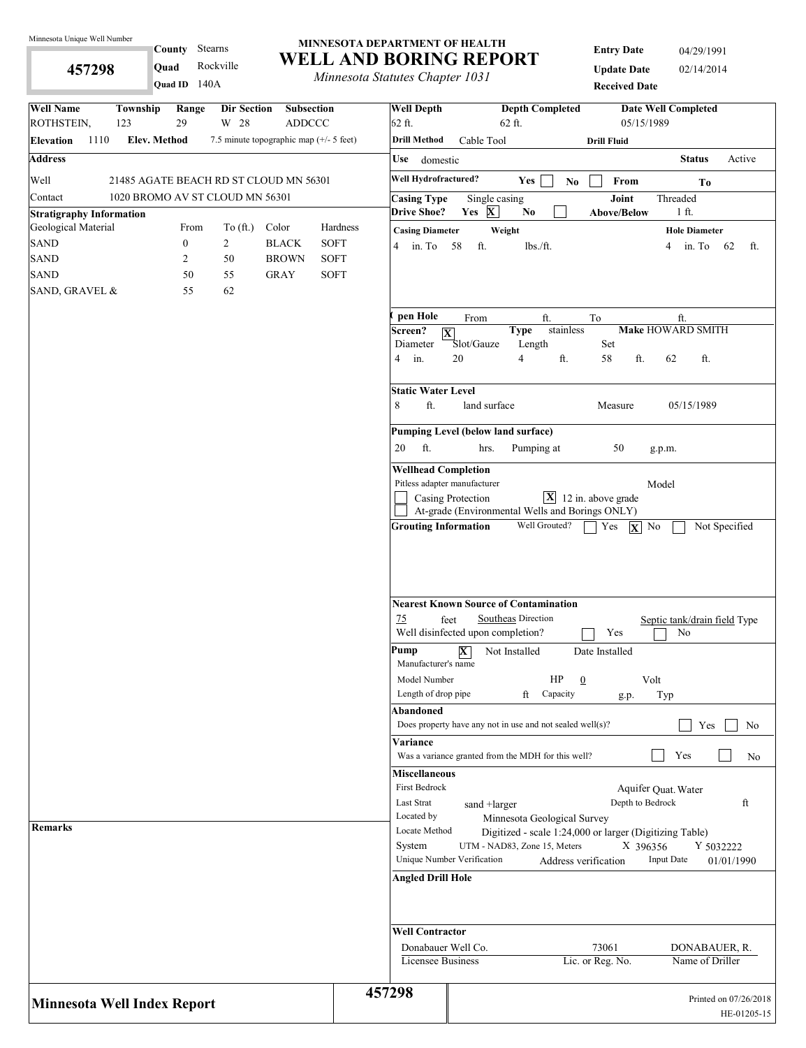**457298** 

Stearns **County** 

**Quad** Rockville

#### **MINNESOTA DEPARTMENT OF HEALTH WELL AND BORING REPORT**

*Minnesota Statutes Chapter 1031*

**Entry Date** 04/29/1991 **Update Date** 02/14/2014 **Received Date**

| Quad ID $140A$                                                                                                         | <i>Internessua Statutes Chapter 1051</i> | <b>Received Date</b>                                                                                                                                         |
|------------------------------------------------------------------------------------------------------------------------|------------------------------------------|--------------------------------------------------------------------------------------------------------------------------------------------------------------|
| <b>Well Name</b><br>Township<br>Range<br>Dir Section<br>Subsection<br>ROTHSTEIN,<br>29<br>W 28<br><b>ADDCCC</b><br>123 | <b>Well Depth</b><br>62 ft.              | <b>Depth Completed</b><br><b>Date Well Completed</b><br>05/15/1989<br>$62$ ft.                                                                               |
| <b>Elev. Method</b><br>1110<br>7.5 minute topographic map (+/- 5 feet)<br><b>Elevation</b>                             | <b>Drill Method</b>                      | Cable Tool<br><b>Drill Fluid</b>                                                                                                                             |
| <b>Address</b>                                                                                                         | Use domestic                             | <b>Status</b><br>Active                                                                                                                                      |
| Well<br>21485 AGATE BEACH RD ST CLOUD MN 56301                                                                         | Well Hydrofractured?                     | Yes<br>From<br>N <sub>0</sub><br>To                                                                                                                          |
| 1020 BROMO AV ST CLOUD MN 56301<br>Contact                                                                             | <b>Casing Type</b><br><b>Drive Shoe?</b> | Joint<br>Threaded<br>Single casing<br>Yes X<br>No<br>1 ft.<br><b>Above/Below</b>                                                                             |
| <b>Stratigraphy Information</b><br>Geological Material<br>Color<br>From<br>To $(\text{ft.})$                           | Hardness<br><b>Casing Diameter</b>       | Weight<br><b>Hole Diameter</b>                                                                                                                               |
| <b>SAND</b><br>$\boldsymbol{0}$<br>$\overline{c}$<br><b>BLACK</b>                                                      | <b>SOFT</b><br>4 in. To 58               | ft.<br>lbs./ft.<br>in. To 62<br>4<br>ft.                                                                                                                     |
| <b>SAND</b><br><b>BROWN</b><br>2<br>50                                                                                 | SOFT                                     |                                                                                                                                                              |
| <b>SAND</b><br>50<br>55<br><b>GRAY</b>                                                                                 | <b>SOFT</b>                              |                                                                                                                                                              |
| SAND, GRAVEL &<br>62<br>55                                                                                             |                                          |                                                                                                                                                              |
|                                                                                                                        | pen Hole                                 | To<br>From<br>ft.<br>ft.                                                                                                                                     |
|                                                                                                                        | Screen?<br>Diameter<br>4 in.             | stainless<br>Make HOWARD SMITH<br><b>Type</b><br>$ \mathbf{X} $<br>Slot/Gauze<br>Set<br>Length<br>20<br>$\overline{4}$<br>ft.<br>ft.<br>58<br>62<br>ft.      |
|                                                                                                                        | <b>Static Water Level</b><br>ft.<br>8    | land surface<br>05/15/1989<br>Measure                                                                                                                        |
|                                                                                                                        | ft.<br>20                                | Pumping Level (below land surface)<br>50<br>hrs.<br>Pumping at<br>g.p.m.                                                                                     |
|                                                                                                                        | <b>Wellhead Completion</b>               |                                                                                                                                                              |
|                                                                                                                        |                                          | Pitless adapter manufacturer<br>Model<br>$\mathbf{X}$ 12 in. above grade<br>Casing Protection                                                                |
|                                                                                                                        |                                          | At-grade (Environmental Wells and Borings ONLY)                                                                                                              |
|                                                                                                                        | 75                                       | <b>Nearest Known Source of Contamination</b><br>Southeas Direction<br>feet<br>Septic tank/drain field Type<br>Well disinfected upon completion?<br>Yes<br>No |
|                                                                                                                        | Pump<br>Manufacturer's name              | $\overline{\mathbf{X}}$<br>Not Installed<br>Date Installed                                                                                                   |
|                                                                                                                        | Model Number                             | HP<br>$\Omega$<br>Volt                                                                                                                                       |
|                                                                                                                        | Length of drop pipe                      | ft<br>Capacity<br>Typ<br>g.p.                                                                                                                                |
|                                                                                                                        | Abandoned                                | Does property have any not in use and not sealed well(s)?<br>Yes<br>No                                                                                       |
|                                                                                                                        | Variance                                 |                                                                                                                                                              |
|                                                                                                                        | <b>Miscellaneous</b>                     | Was a variance granted from the MDH for this well?<br>Yes<br>N <sub>o</sub>                                                                                  |
|                                                                                                                        | First Bedrock                            | Aquifer Quat. Water                                                                                                                                          |
|                                                                                                                        | Last Strat                               | Depth to Bedrock<br>ft<br>sand +larger                                                                                                                       |
|                                                                                                                        | Located by                               | Minnesota Geological Survey                                                                                                                                  |
| <b>Remarks</b>                                                                                                         | Locate Method                            | Digitized - scale 1:24,000 or larger (Digitizing Table)                                                                                                      |
|                                                                                                                        | System                                   | UTM - NAD83, Zone 15, Meters<br>X 396356<br>Y 5032222                                                                                                        |
|                                                                                                                        | <b>Angled Drill Hole</b>                 | Unique Number Verification<br><b>Input Date</b><br>Address verification<br>01/01/1990                                                                        |
|                                                                                                                        |                                          |                                                                                                                                                              |
|                                                                                                                        | <b>Well Contractor</b>                   |                                                                                                                                                              |
|                                                                                                                        | Licensee Business                        | Donabauer Well Co.<br>73061<br>DONABAUER, R.<br>Name of Driller<br>Lic. or Reg. No.                                                                          |
|                                                                                                                        | 457298                                   |                                                                                                                                                              |
| <b>Minnesota Well Index Report</b>                                                                                     |                                          | Printed on 07/26/2018<br>HE-01205-15                                                                                                                         |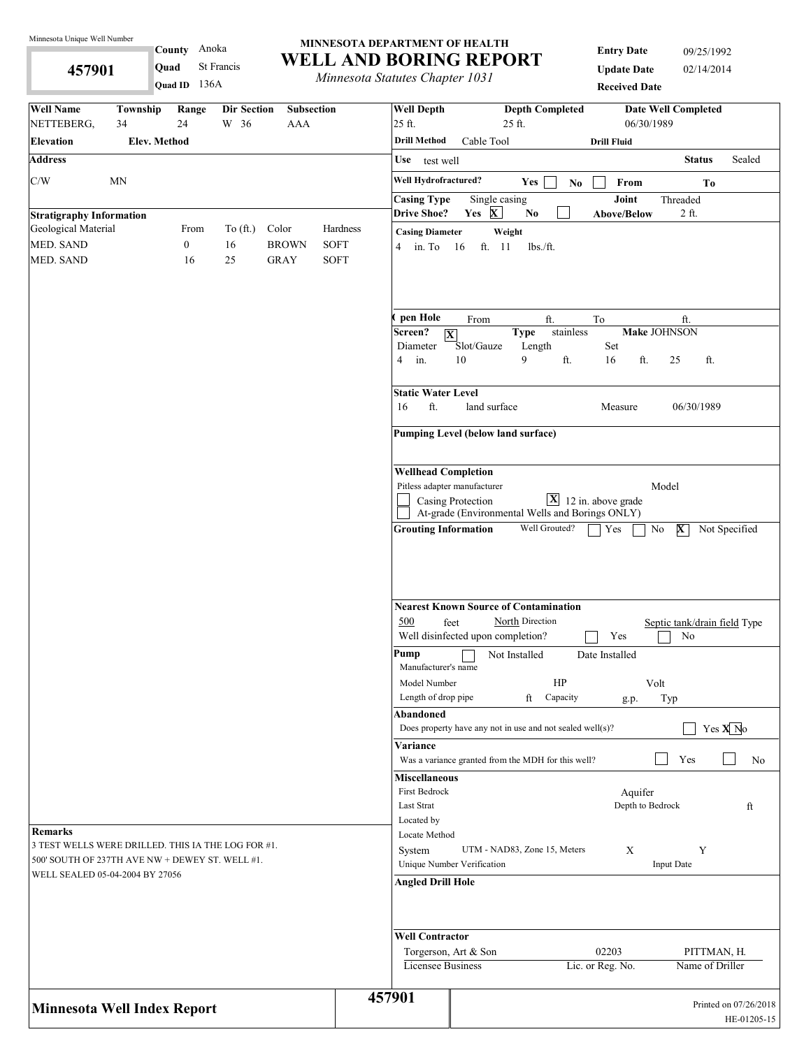**457901** 

#### Anoka **County**  136A **Quad ID Quad** St Francis

#### **MINNESOTA DEPARTMENT OF HEALTH WELL AND BORING REPORT**

*Minnesota Statutes Chapter 1031*

**Entry Date** 09/25/1992 **Update Date** 02/14/2014 **Received Date**

| <b>Well Name</b>                                                                   | Township            | Range            | <b>Dir Section</b> | <b>Subsection</b> |             | <b>Well Depth</b>                          |                                   | <b>Depth Completed</b>                                    |                                         | <b>Date Well Completed</b>   |                       |
|------------------------------------------------------------------------------------|---------------------|------------------|--------------------|-------------------|-------------|--------------------------------------------|-----------------------------------|-----------------------------------------------------------|-----------------------------------------|------------------------------|-----------------------|
| NETTEBERG,                                                                         | 34                  | 24               | W 36               | <b>AAA</b>        |             | 25 ft.                                     |                                   | 25 ft.                                                    | 06/30/1989                              |                              |                       |
| <b>Elevation</b>                                                                   | <b>Elev. Method</b> |                  |                    |                   |             | <b>Drill Method</b>                        | Cable Tool                        |                                                           | <b>Drill Fluid</b>                      |                              |                       |
| <b>Address</b>                                                                     |                     |                  |                    |                   |             | Use test well                              |                                   |                                                           |                                         | <b>Status</b>                | Sealed                |
| C/W                                                                                | MN                  |                  |                    |                   |             | Well Hydrofractured?                       |                                   | Yes<br>No                                                 | From                                    | To                           |                       |
|                                                                                    |                     |                  |                    |                   |             | <b>Casing Type</b>                         | Single casing                     |                                                           | Joint                                   | Threaded                     |                       |
| <b>Stratigraphy Information</b><br>Geological Material                             |                     | From             | To $(\text{ft.})$  | Color             | Hardness    | <b>Drive Shoe?</b>                         | Yes X                             | No.                                                       | <b>Above/Below</b>                      | $2$ ft.                      |                       |
| MED. SAND                                                                          |                     | $\boldsymbol{0}$ | 16                 | <b>BROWN</b>      | <b>SOFT</b> | <b>Casing Diameter</b><br>$4 \quad$ in. To | ft. 11<br>16                      | Weight<br>lbs./ft.                                        |                                         |                              |                       |
| <b>MED. SAND</b>                                                                   |                     | 16               | 25                 | <b>GRAY</b>       | <b>SOFT</b> |                                            |                                   |                                                           |                                         |                              |                       |
|                                                                                    |                     |                  |                    |                   |             |                                            |                                   |                                                           |                                         |                              |                       |
|                                                                                    |                     |                  |                    |                   |             |                                            |                                   |                                                           |                                         |                              |                       |
|                                                                                    |                     |                  |                    |                   |             | pen Hole                                   | From                              | ft.                                                       | To                                      | ft.                          |                       |
|                                                                                    |                     |                  |                    |                   |             | Screen?                                    | $ \mathbf{X} $                    | stainless<br><b>Type</b>                                  |                                         | Make JOHNSON                 |                       |
|                                                                                    |                     |                  |                    |                   |             | Diameter<br>4<br>in.                       | Slot/Gauze<br>10                  | Length<br>9<br>ft.                                        | Set<br>16<br>ft.                        | 25<br>ft.                    |                       |
|                                                                                    |                     |                  |                    |                   |             |                                            |                                   |                                                           |                                         |                              |                       |
|                                                                                    |                     |                  |                    |                   |             | <b>Static Water Level</b>                  |                                   |                                                           |                                         |                              |                       |
|                                                                                    |                     |                  |                    |                   |             | ft.<br>16                                  | land surface                      |                                                           | Measure                                 | 06/30/1989                   |                       |
|                                                                                    |                     |                  |                    |                   |             | Pumping Level (below land surface)         |                                   |                                                           |                                         |                              |                       |
|                                                                                    |                     |                  |                    |                   |             |                                            |                                   |                                                           |                                         |                              |                       |
|                                                                                    |                     |                  |                    |                   |             | <b>Wellhead Completion</b>                 |                                   |                                                           |                                         |                              |                       |
|                                                                                    |                     |                  |                    |                   |             |                                            | Pitless adapter manufacturer      |                                                           |                                         | Model                        |                       |
|                                                                                    |                     |                  |                    |                   |             |                                            | Casing Protection                 | At-grade (Environmental Wells and Borings ONLY)           | $\boxed{\mathbf{X}}$ 12 in. above grade |                              |                       |
|                                                                                    |                     |                  |                    |                   |             | <b>Grouting Information</b>                |                                   | Well Grouted?                                             | Yes                                     | No<br>$ \mathbf{X} $         | Not Specified         |
|                                                                                    |                     |                  |                    |                   |             |                                            |                                   |                                                           |                                         |                              |                       |
|                                                                                    |                     |                  |                    |                   |             |                                            |                                   |                                                           |                                         |                              |                       |
|                                                                                    |                     |                  |                    |                   |             |                                            |                                   |                                                           |                                         |                              |                       |
|                                                                                    |                     |                  |                    |                   |             |                                            |                                   | <b>Nearest Known Source of Contamination</b>              |                                         |                              |                       |
|                                                                                    |                     |                  |                    |                   |             | 500                                        | feet                              | North Direction                                           |                                         | Septic tank/drain field Type |                       |
|                                                                                    |                     |                  |                    |                   |             |                                            | Well disinfected upon completion? |                                                           | Yes                                     | No                           |                       |
|                                                                                    |                     |                  |                    |                   |             | Pump<br>Manufacturer's name                |                                   | Not Installed                                             | Date Installed                          |                              |                       |
|                                                                                    |                     |                  |                    |                   |             | Model Number                               |                                   | HP                                                        |                                         | Volt                         |                       |
|                                                                                    |                     |                  |                    |                   |             | Length of drop pipe                        |                                   | ft<br>Capacity                                            | g.p.                                    | Typ                          |                       |
|                                                                                    |                     |                  |                    |                   |             | Abandoned                                  |                                   |                                                           |                                         |                              |                       |
|                                                                                    |                     |                  |                    |                   |             |                                            |                                   | Does property have any not in use and not sealed well(s)? |                                         |                              | Yes $X$ <sup>No</sup> |
|                                                                                    |                     |                  |                    |                   |             | Variance                                   |                                   | Was a variance granted from the MDH for this well?        |                                         | Yes                          | No                    |
|                                                                                    |                     |                  |                    |                   |             | <b>Miscellaneous</b>                       |                                   |                                                           |                                         |                              |                       |
|                                                                                    |                     |                  |                    |                   |             | First Bedrock                              |                                   |                                                           | Aquifer                                 |                              |                       |
|                                                                                    |                     |                  |                    |                   |             | Last Strat                                 |                                   |                                                           | Depth to Bedrock                        |                              | ft                    |
| <b>Remarks</b>                                                                     |                     |                  |                    |                   |             | Located by<br>Locate Method                |                                   |                                                           |                                         |                              |                       |
| 3 TEST WELLS WERE DRILLED. THIS IA THE LOG FOR #1.                                 |                     |                  |                    |                   |             | System                                     |                                   | UTM - NAD83, Zone 15, Meters                              | X                                       | Y                            |                       |
| 500' SOUTH OF 237TH AVE NW + DEWEY ST. WELL #1.<br>WELL SEALED 05-04-2004 BY 27056 |                     |                  |                    |                   |             |                                            | Unique Number Verification        |                                                           |                                         | <b>Input Date</b>            |                       |
|                                                                                    |                     |                  |                    |                   |             | <b>Angled Drill Hole</b>                   |                                   |                                                           |                                         |                              |                       |
|                                                                                    |                     |                  |                    |                   |             |                                            |                                   |                                                           |                                         |                              |                       |
|                                                                                    |                     |                  |                    |                   |             |                                            |                                   |                                                           |                                         |                              |                       |
|                                                                                    |                     |                  |                    |                   |             | <b>Well Contractor</b>                     |                                   |                                                           |                                         |                              |                       |
|                                                                                    |                     |                  |                    |                   |             | Licensee Business                          | Torgerson, Art & Son              |                                                           | 02203<br>Lic. or Reg. No.               | Name of Driller              | PITTMAN, H.           |
|                                                                                    |                     |                  |                    |                   |             |                                            |                                   |                                                           |                                         |                              |                       |
|                                                                                    |                     |                  |                    |                   |             | 457901                                     |                                   |                                                           |                                         |                              | Printed on 07/26/2018 |
| <b>Minnesota Well Index Report</b>                                                 |                     |                  |                    |                   |             |                                            |                                   |                                                           |                                         |                              | HE-01205-15           |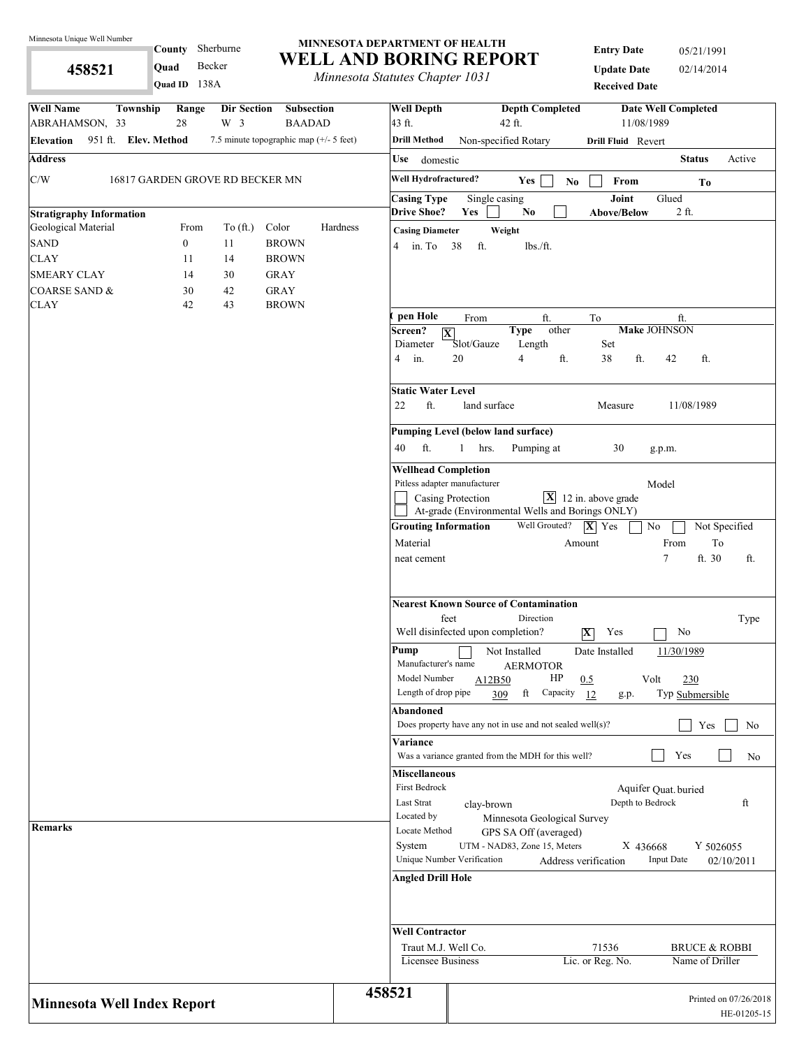**458521** 

Sherburne **County** 

**Quad** Becker

#### **MINNESOTA DEPARTMENT OF HEALTH WELL AND BORING REPORT**

*Minnesota Statutes Chapter 1031*

**Entry Date** 05/21/1991 **Update Date** 02/14/2014 **Received Date**

| Quad ID 138A                                                                                                                  | <i>Internessua Statutes Chapter 1051</i> |                                             | <b>Received Date</b>                                                                                                                                     |
|-------------------------------------------------------------------------------------------------------------------------------|------------------------------------------|---------------------------------------------|----------------------------------------------------------------------------------------------------------------------------------------------------------|
| <b>Well Name</b><br>Township<br>Range<br>Dir Section<br>Subsection<br>ABRAHAMSON, 33<br>28<br>W <sub>3</sub><br><b>BAADAD</b> |                                          | <b>Well Depth</b><br>43 ft.                 | <b>Depth Completed</b><br><b>Date Well Completed</b><br>11/08/1989<br>42 ft.                                                                             |
| 951 ft. Elev. Method<br>7.5 minute topographic map (+/- 5 feet)<br><b>Elevation</b>                                           |                                          | <b>Drill Method</b>                         | Non-specified Rotary<br>Drill Fluid Revert                                                                                                               |
| <b>Address</b>                                                                                                                |                                          | Use domestic                                | <b>Status</b><br>Active                                                                                                                                  |
| C/W<br>16817 GARDEN GROVE RD BECKER MN                                                                                        |                                          | Well Hydrofractured?                        | Yes<br>$\mathbf{No}$<br>From<br>Тo                                                                                                                       |
|                                                                                                                               |                                          | <b>Casing Type</b>                          | Joint<br>Single casing<br>Glued                                                                                                                          |
| <b>Stratigraphy Information</b><br>Geological Material<br>To $(ft.)$<br>Color<br>From                                         | Hardness                                 | <b>Drive Shoe?</b>                          | Yes<br>N <sub>0</sub><br>2 ft.<br><b>Above/Below</b>                                                                                                     |
| <b>SAND</b><br>$\boldsymbol{0}$<br><b>BROWN</b><br>11                                                                         |                                          | <b>Casing Diameter</b><br>4 in To 38        | Weight<br>ft.<br>lbs./ft.                                                                                                                                |
| <b>CLAY</b><br>14<br><b>BROWN</b><br>11                                                                                       |                                          |                                             |                                                                                                                                                          |
| <b>SMEARY CLAY</b><br>14<br>30<br><b>GRAY</b>                                                                                 |                                          |                                             |                                                                                                                                                          |
| 42<br><b>GRAY</b><br><b>COARSE SAND &amp;</b><br>30                                                                           |                                          |                                             |                                                                                                                                                          |
| 43<br><b>BROWN</b><br><b>CLAY</b><br>42                                                                                       |                                          |                                             |                                                                                                                                                          |
|                                                                                                                               |                                          | pen Hole<br>Screen?                         | From<br>ft.<br>To<br>ft.<br><b>Make JOHNSON</b><br>other<br><b>Type</b><br>$ \overline{\mathbf{X}} $                                                     |
|                                                                                                                               |                                          | Diameter<br>in.<br>4                        | Slot/Gauze<br>Length<br>Set<br>20<br>4<br>ft.<br>38<br>ft.<br>42<br>ft.                                                                                  |
|                                                                                                                               |                                          | <b>Static Water Level</b><br>ft.<br>22      | land surface<br>11/08/1989<br>Measure                                                                                                                    |
|                                                                                                                               |                                          |                                             | <b>Pumping Level (below land surface)</b>                                                                                                                |
|                                                                                                                               |                                          | ft.<br>40                                   | Pumping at<br>30<br>$\mathbf{1}$<br>hrs.<br>g.p.m.                                                                                                       |
|                                                                                                                               |                                          | <b>Wellhead Completion</b>                  |                                                                                                                                                          |
|                                                                                                                               |                                          | Pitless adapter manufacturer                | Model                                                                                                                                                    |
|                                                                                                                               |                                          |                                             | $\mathbf{X}$<br>12 in. above grade<br>Casing Protection                                                                                                  |
|                                                                                                                               |                                          |                                             | At-grade (Environmental Wells and Borings ONLY)                                                                                                          |
|                                                                                                                               |                                          | <b>Grouting Information</b>                 | Well Grouted?<br>$ \mathbf{X} $ Yes<br>No<br>Not Specified                                                                                               |
|                                                                                                                               |                                          | Material                                    | From<br>To<br>Amount<br>ft. 30<br>$\tau$                                                                                                                 |
|                                                                                                                               |                                          | neat cement                                 | ft.                                                                                                                                                      |
|                                                                                                                               |                                          |                                             | <b>Nearest Known Source of Contamination</b><br>feet<br>Direction<br>Type<br>Well disinfected upon completion?<br>$ \overline{\textbf{X}} $<br>Yes<br>No |
|                                                                                                                               |                                          | Pump<br>Manufacturer's name<br>Model Number | Not Installed<br>Date Installed<br>11/30/1989<br><b>AERMOTOR</b><br>HP<br>Volt<br>230<br>0.5<br>A12B50                                                   |
|                                                                                                                               |                                          | Length of drop pipe                         | ft<br>Capacity<br>Typ Submersible<br>309<br>12<br>g.p.                                                                                                   |
|                                                                                                                               |                                          | <b>Abandoned</b>                            |                                                                                                                                                          |
|                                                                                                                               |                                          |                                             | Does property have any not in use and not sealed well $(s)$ ?<br>Yes<br>No                                                                               |
|                                                                                                                               |                                          | Variance                                    | Yes<br>Was a variance granted from the MDH for this well?<br>No                                                                                          |
|                                                                                                                               |                                          | <b>Miscellaneous</b>                        |                                                                                                                                                          |
|                                                                                                                               |                                          | First Bedrock                               | Aquifer Quat. buried                                                                                                                                     |
|                                                                                                                               |                                          | Last Strat                                  | Depth to Bedrock<br>ft<br>clay-brown                                                                                                                     |
| <b>Remarks</b>                                                                                                                |                                          | Located by                                  | Minnesota Geological Survey                                                                                                                              |
|                                                                                                                               |                                          | Locate Method                               | GPS SA Off (averaged)                                                                                                                                    |
|                                                                                                                               |                                          | System                                      | UTM - NAD83, Zone 15, Meters<br>X 436668<br>Y 5026055<br>Unique Number Verification<br><b>Input Date</b><br>Address verification<br>02/10/2011           |
|                                                                                                                               |                                          | <b>Angled Drill Hole</b>                    |                                                                                                                                                          |
|                                                                                                                               |                                          |                                             |                                                                                                                                                          |
|                                                                                                                               |                                          | <b>Well Contractor</b>                      |                                                                                                                                                          |
|                                                                                                                               |                                          | Traut M.J. Well Co.                         | 71536<br><b>BRUCE &amp; ROBBI</b>                                                                                                                        |
|                                                                                                                               |                                          | Licensee Business                           | Lic. or Reg. No.<br>Name of Driller                                                                                                                      |
| <b>Minnesota Well Index Report</b>                                                                                            | 458521                                   |                                             | Printed on 07/26/2018<br>HE-01205-15                                                                                                                     |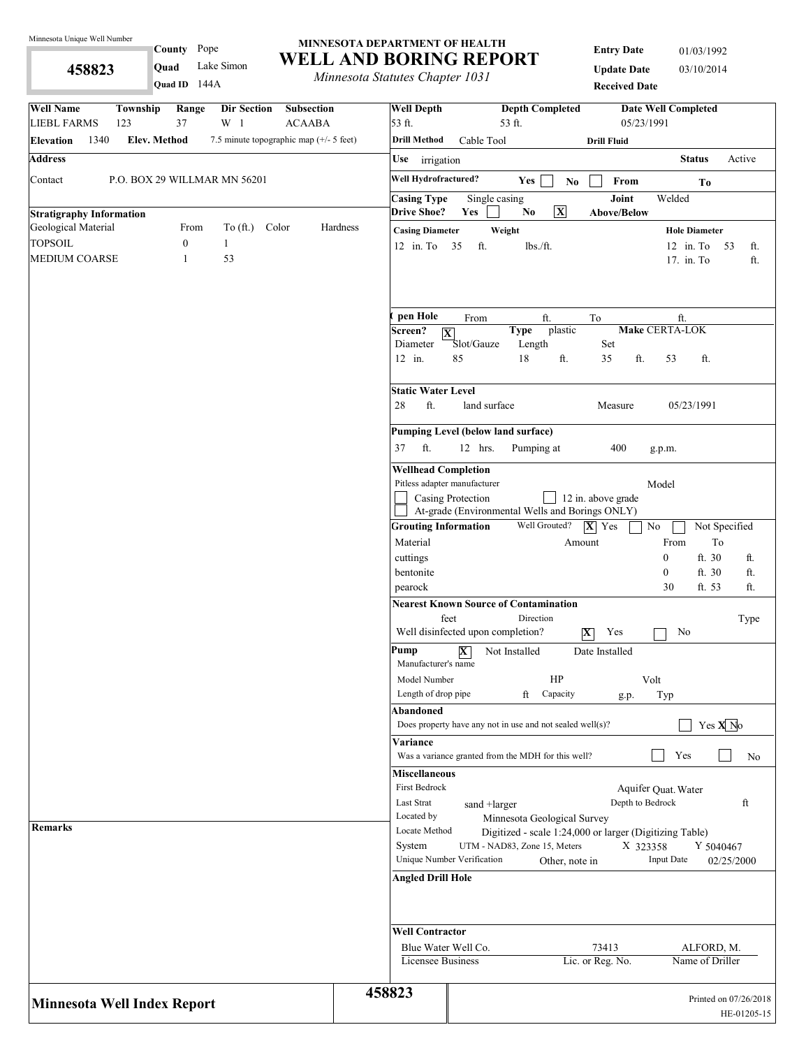**458823** 

County Pope

144A **Quad ID Quad** Lake Simon

#### **MINNESOTA DEPARTMENT OF HEALTH WELL AND BORING REPORT**

*Minnesota Statutes Chapter 1031*

**Entry Date** 01/03/1992 **Update Date** 03/10/2014 **Received Date**

| <b>Well Name</b><br>Township<br>Range<br>Dir Section<br><b>Subsection</b><br>37<br>$W_1$<br><b>LIEBL FARMS</b><br>123<br><b>ACAABA</b> |          | <b>Well Depth</b><br>53 ft.                  |                                                               | <b>Depth Completed</b><br>53 ft. |                         |                                           | <b>Date Well Completed</b><br>05/23/1991                |                       |             |
|----------------------------------------------------------------------------------------------------------------------------------------|----------|----------------------------------------------|---------------------------------------------------------------|----------------------------------|-------------------------|-------------------------------------------|---------------------------------------------------------|-----------------------|-------------|
| 1340<br><b>Elev. Method</b><br>7.5 minute topographic map (+/- 5 feet)<br><b>Elevation</b>                                             |          | <b>Drill Method</b>                          | Cable Tool                                                    |                                  |                         | <b>Drill Fluid</b>                        |                                                         |                       |             |
| <b>Address</b>                                                                                                                         |          | <b>Use</b><br>irrigation                     |                                                               |                                  |                         |                                           |                                                         | <b>Status</b>         | Active      |
| Contact<br>P.O. BOX 29 WILLMAR MN 56201                                                                                                |          | Well Hydrofractured?                         |                                                               | Yes                              | No.                     | $\ensuremath{\textnormal{\textbf{From}}}$ |                                                         | Тo                    |             |
|                                                                                                                                        |          | <b>Casing Type</b>                           | Single casing                                                 |                                  |                         | Joint                                     | Welded                                                  |                       |             |
| <b>Stratigraphy Information</b>                                                                                                        |          | <b>Drive Shoe?</b>                           | Yes                                                           | N <sub>0</sub>                   | $\overline{\mathbf{X}}$ | <b>Above/Below</b>                        |                                                         |                       |             |
| Geological Material<br>To (ft.) Color<br>From                                                                                          | Hardness | <b>Casing Diameter</b>                       |                                                               | Weight                           |                         |                                           |                                                         | <b>Hole Diameter</b>  |             |
| <b>TOPSOIL</b><br>$\boldsymbol{0}$<br>$\mathbf{1}$                                                                                     |          | $12$ in. To                                  | 35<br>ft.                                                     | $lbs$ ./ft.                      |                         |                                           | $12$ in. To                                             | 53                    | ft.         |
| 53<br><b>MEDIUM COARSE</b><br>1                                                                                                        |          |                                              |                                                               |                                  |                         |                                           | 17. in. To                                              |                       | ft.         |
|                                                                                                                                        |          | pen Hole<br>Screen?<br>$ \mathbf{X} $        | From                                                          | ft.<br><b>Type</b>               | plastic                 | To                                        | ft.<br>Make CERTA-LOK                                   |                       |             |
|                                                                                                                                        |          | Diameter<br>12 in.                           | Slot/Gauze<br>85                                              | Length<br>18                     | ft.                     | Set<br>35                                 | ft.<br>53                                               | ft.                   |             |
|                                                                                                                                        |          | <b>Static Water Level</b><br>ft.<br>28       | land surface                                                  |                                  |                         | Measure                                   |                                                         | 05/23/1991            |             |
|                                                                                                                                        |          |                                              |                                                               |                                  |                         |                                           |                                                         |                       |             |
|                                                                                                                                        |          |                                              | Pumping Level (below land surface)                            |                                  |                         |                                           |                                                         |                       |             |
|                                                                                                                                        |          | ft.<br>37                                    | 12 hrs.                                                       | Pumping at                       |                         | 400                                       | g.p.m.                                                  |                       |             |
|                                                                                                                                        |          | <b>Wellhead Completion</b>                   | Pitless adapter manufacturer                                  |                                  |                         |                                           | Model                                                   |                       |             |
|                                                                                                                                        |          |                                              | Casing Protection                                             |                                  |                         | 12 in. above grade                        |                                                         |                       |             |
|                                                                                                                                        |          |                                              | At-grade (Environmental Wells and Borings ONLY)               |                                  |                         |                                           |                                                         |                       |             |
|                                                                                                                                        |          | <b>Grouting Information</b><br>Material      |                                                               | Well Grouted?                    | Amount                  | $ \mathbf{X} $ Yes                        | $\rm No$<br>From                                        | Not Specified<br>To   |             |
|                                                                                                                                        |          | cuttings                                     |                                                               |                                  |                         |                                           | $\mathbf{0}$                                            | ft. 30                | ft.         |
|                                                                                                                                        |          | bentonite                                    |                                                               |                                  |                         |                                           | $\mathbf{0}$                                            | ft. 30                | ft.         |
|                                                                                                                                        |          | pearock                                      |                                                               |                                  |                         |                                           | 30                                                      | ft. 53                | ft.         |
|                                                                                                                                        |          |                                              | <b>Nearest Known Source of Contamination</b><br>feet          | Direction                        |                         |                                           |                                                         |                       | Type        |
|                                                                                                                                        |          |                                              | Well disinfected upon completion?                             |                                  |                         | $ \mathbf{X} $<br>Yes                     | No                                                      |                       |             |
|                                                                                                                                        |          | Pump<br>Manufacturer's name                  | $\mathbf X$                                                   | Not Installed                    |                         | Date Installed                            |                                                         |                       |             |
|                                                                                                                                        |          | Model Number                                 |                                                               |                                  | HP                      |                                           | Volt                                                    |                       |             |
|                                                                                                                                        |          | Length of drop pipe                          |                                                               | ft                               | Capacity                | g.p.                                      | Typ                                                     |                       |             |
|                                                                                                                                        |          | <b>Abandoned</b>                             | Does property have any not in use and not sealed well $(s)$ ? |                                  |                         |                                           |                                                         | Yes $X$ <sup>No</sup> |             |
|                                                                                                                                        |          | Variance                                     | Was a variance granted from the MDH for this well?            |                                  |                         |                                           | Yes                                                     |                       | No          |
|                                                                                                                                        |          | <b>Miscellaneous</b><br><b>First Bedrock</b> |                                                               |                                  |                         |                                           |                                                         |                       |             |
|                                                                                                                                        |          | Last Strat                                   | sand +larger                                                  |                                  |                         |                                           | Aquifer Quat. Water<br>Depth to Bedrock                 |                       | ft          |
|                                                                                                                                        |          | Located by                                   |                                                               | Minnesota Geological Survey      |                         |                                           |                                                         |                       |             |
| <b>Remarks</b>                                                                                                                         |          | Locate Method                                |                                                               | UTM - NAD83, Zone 15, Meters     |                         |                                           | Digitized - scale 1:24,000 or larger (Digitizing Table) |                       |             |
|                                                                                                                                        |          | System                                       | Unique Number Verification                                    |                                  | Other, note in          |                                           | X 323358<br><b>Input Date</b>                           | Y 5040467             | 02/25/2000  |
|                                                                                                                                        |          | <b>Angled Drill Hole</b>                     |                                                               |                                  |                         |                                           |                                                         |                       |             |
|                                                                                                                                        |          | <b>Well Contractor</b>                       |                                                               |                                  |                         |                                           |                                                         |                       |             |
|                                                                                                                                        |          | Blue Water Well Co.                          |                                                               |                                  |                         | 73413                                     |                                                         | ALFORD, M.            |             |
|                                                                                                                                        |          | Licensee Business                            |                                                               |                                  |                         | Lic. or Reg. No.                          |                                                         | Name of Driller       |             |
| <b>Minnesota Well Index Report</b>                                                                                                     | 458823   |                                              |                                                               |                                  |                         |                                           |                                                         | Printed on 07/26/2018 | HE-01205-15 |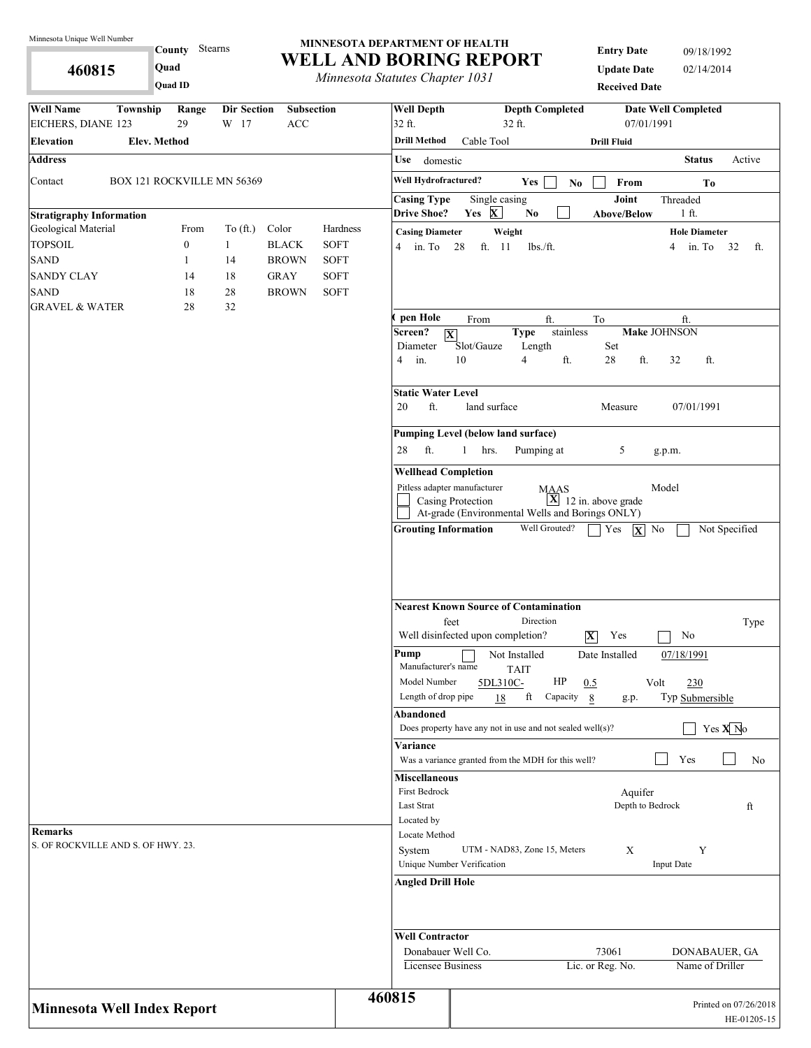**County** Stearns **Quad**

**460815 Quad ID**

#### **MINNESOTA DEPARTMENT OF HEALTH WELL AND BORING REPORT**

*Minnesota Statutes Chapter 1031*

**Entry Date** 09/18/1992 **Update Date** 02/14/2014 **Received Date**

| <b>Well Name</b><br>Township          | Range                            | <b>Dir Section</b> | Subsection                   |                            | <b>Well Depth</b>                     | <b>Depth Completed</b>                                           |                                   | <b>Date Well Completed</b> |                                      |
|---------------------------------------|----------------------------------|--------------------|------------------------------|----------------------------|---------------------------------------|------------------------------------------------------------------|-----------------------------------|----------------------------|--------------------------------------|
| EICHERS, DIANE 123                    | 29                               | W 17               | ACC                          |                            | 32 ft.                                | 32 ft.                                                           | 07/01/1991                        |                            |                                      |
| Elev. Method<br><b>Elevation</b>      |                                  |                    |                              |                            | <b>Drill Method</b>                   | Cable Tool                                                       | <b>Drill Fluid</b>                |                            |                                      |
| <b>Address</b>                        |                                  |                    |                              |                            | Use domestic                          |                                                                  |                                   | <b>Status</b>              | Active                               |
| Contact<br>BOX 121 ROCKVILLE MN 56369 |                                  |                    |                              |                            | Well Hydrofractured?                  | Yes                                                              | From<br>No                        | Тo                         |                                      |
|                                       |                                  |                    |                              |                            | <b>Casing Type</b>                    | Single casing                                                    | Joint                             | Threaded                   |                                      |
| <b>Stratigraphy Information</b>       |                                  |                    |                              |                            | <b>Drive Shoe?</b>                    | Yes X<br>$\mathbf{No}$                                           | Above/Below                       | 1 ft.                      |                                      |
| Geological Material                   | From                             | To $(\text{ft.})$  | Color                        | Hardness                   | <b>Casing Diameter</b>                | Weight                                                           |                                   | <b>Hole Diameter</b>       |                                      |
| <b>TOPSOIL</b><br><b>SAND</b>         | $\boldsymbol{0}$<br>$\mathbf{1}$ | $\mathbf{1}$<br>14 | <b>BLACK</b><br><b>BROWN</b> | <b>SOFT</b><br><b>SOFT</b> | $4 \quad \text{in. To}$               | 28<br>ft. 11<br>$lbs$ ./ft.                                      |                                   | in. To 32<br>4             | ft.                                  |
| <b>SANDY CLAY</b>                     | 14                               | 18                 | <b>GRAY</b>                  | <b>SOFT</b>                |                                       |                                                                  |                                   |                            |                                      |
| <b>SAND</b>                           | 18                               | 28                 | <b>BROWN</b>                 | <b>SOFT</b>                |                                       |                                                                  |                                   |                            |                                      |
| <b>GRAVEL &amp; WATER</b>             | 28                               | 32                 |                              |                            |                                       |                                                                  |                                   |                            |                                      |
|                                       |                                  |                    |                              |                            | pen Hole                              | ft.<br>From                                                      | To                                | ft.                        |                                      |
|                                       |                                  |                    |                              |                            | Screen?<br>Diameter                   | <b>Type</b><br>$ \mathbf{X} $<br>Slot/Gauze<br>Length            | stainless<br>Set                  | Make JOHNSON               |                                      |
|                                       |                                  |                    |                              |                            | in.<br>4                              | 10<br>$\overline{4}$                                             | $28\,$<br>ft.<br>ft.              | 32<br>ft.                  |                                      |
|                                       |                                  |                    |                              |                            | <b>Static Water Level</b>             |                                                                  |                                   |                            |                                      |
|                                       |                                  |                    |                              |                            | ft.<br>20                             | land surface                                                     | Measure                           | 07/01/1991                 |                                      |
|                                       |                                  |                    |                              |                            |                                       | Pumping Level (below land surface)                               |                                   |                            |                                      |
|                                       |                                  |                    |                              |                            | 28<br>ft.                             | $\mathbf{1}$<br>hrs.<br>Pumping at                               | 5                                 | g.p.m.                     |                                      |
|                                       |                                  |                    |                              |                            | <b>Wellhead Completion</b>            |                                                                  |                                   |                            |                                      |
|                                       |                                  |                    |                              |                            |                                       | Pitless adapter manufacturer<br><b>MAAS</b><br>Casing Protection | $\overline{X}$ 12 in. above grade | Model                      |                                      |
|                                       |                                  |                    |                              |                            |                                       | At-grade (Environmental Wells and Borings ONLY)                  |                                   |                            |                                      |
|                                       |                                  |                    |                              |                            |                                       |                                                                  |                                   |                            |                                      |
|                                       |                                  |                    |                              |                            |                                       | <b>Nearest Known Source of Contamination</b><br>Direction        |                                   |                            |                                      |
|                                       |                                  |                    |                              |                            |                                       | feet<br>Well disinfected upon completion?                        | $ \mathbf{X} $<br>Yes             | No                         | Type                                 |
|                                       |                                  |                    |                              |                            | Pump<br>Manufacturer's name           | Not Installed                                                    | Date Installed                    | 07/18/1991                 |                                      |
|                                       |                                  |                    |                              |                            | Model Number                          | <b>TAIT</b><br>HP<br>5DL310C-                                    | 0.5<br>Volt                       | 230                        |                                      |
|                                       |                                  |                    |                              |                            | Length of drop pipe                   | ft Capacity<br>18                                                | 8<br>g.p.                         | Typ Submersible            |                                      |
|                                       |                                  |                    |                              |                            | Abandoned                             |                                                                  |                                   |                            |                                      |
|                                       |                                  |                    |                              |                            |                                       | Does property have any not in use and not sealed well(s)?        |                                   |                            | Yes $X$ <sup>N</sup> o               |
|                                       |                                  |                    |                              |                            | Variance                              |                                                                  |                                   |                            |                                      |
|                                       |                                  |                    |                              |                            |                                       | Was a variance granted from the MDH for this well?               |                                   | Yes                        | No                                   |
|                                       |                                  |                    |                              |                            | <b>Miscellaneous</b><br>First Bedrock |                                                                  |                                   |                            |                                      |
|                                       |                                  |                    |                              |                            | Last Strat                            |                                                                  | Aquifer<br>Depth to Bedrock       |                            | ft                                   |
|                                       |                                  |                    |                              |                            | Located by                            |                                                                  |                                   |                            |                                      |
| Remarks                               |                                  |                    |                              |                            | Locate Method                         |                                                                  |                                   |                            |                                      |
| S. OF ROCKVILLE AND S. OF HWY. 23.    |                                  |                    |                              |                            | System                                | UTM - NAD83, Zone 15, Meters                                     | X                                 | Y                          |                                      |
|                                       |                                  |                    |                              |                            |                                       | Unique Number Verification                                       |                                   | <b>Input Date</b>          |                                      |
|                                       |                                  |                    |                              |                            | <b>Angled Drill Hole</b>              |                                                                  |                                   |                            |                                      |
|                                       |                                  |                    |                              |                            | <b>Well Contractor</b>                |                                                                  |                                   |                            |                                      |
|                                       |                                  |                    |                              |                            | Donabauer Well Co.                    |                                                                  | 73061                             | DONABAUER, GA              |                                      |
|                                       |                                  |                    |                              |                            | <b>Licensee Business</b>              |                                                                  | Lic. or Reg. No.                  | Name of Driller            |                                      |
|                                       |                                  |                    |                              |                            |                                       |                                                                  |                                   |                            |                                      |
| <b>Minnesota Well Index Report</b>    |                                  |                    |                              |                            | 460815                                |                                                                  |                                   |                            | Printed on 07/26/2018<br>HE-01205-15 |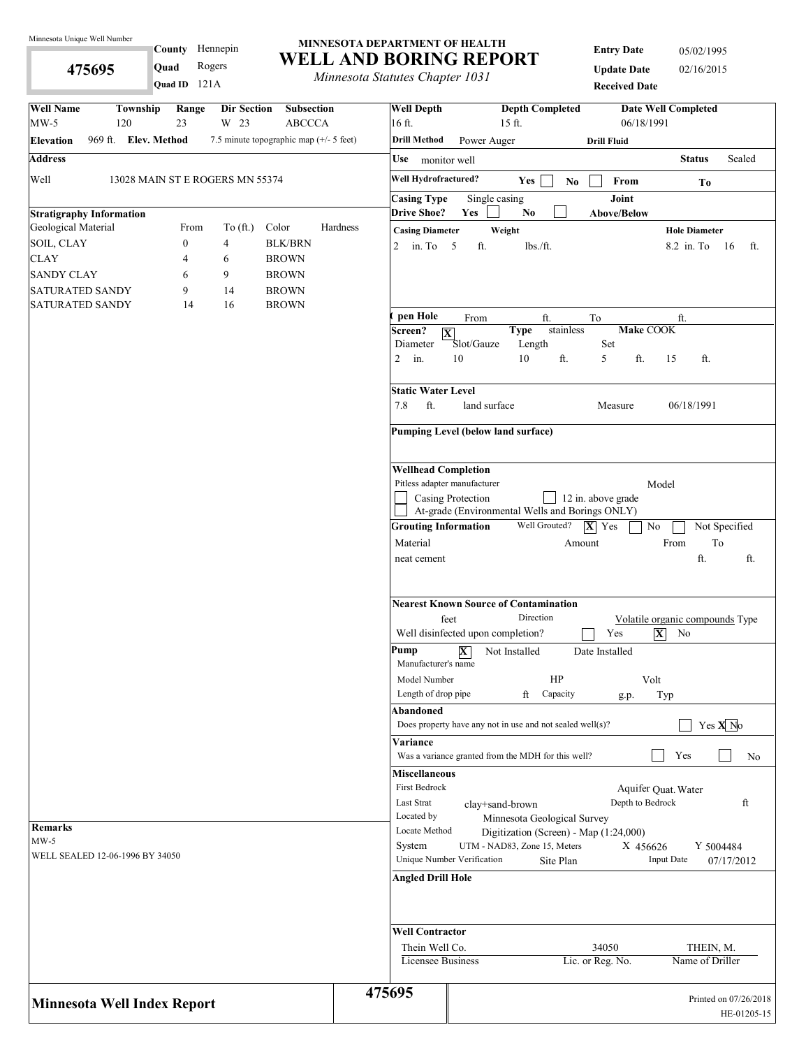**475695** 

County Hennepin

**Quad** Rogers

#### **MINNESOTA DEPARTMENT OF HEALTH WELL AND BORING REPORT**

*Minnesota Statutes Chapter 1031*

**Entry Date** 05/02/1995 **Update Date** 02/16/2015 **Received Date**

| Quad ID 121A                                                                        | <i>Internessua Statutes Chapter 1051</i> | <b>Received Date</b>                                                                                 |
|-------------------------------------------------------------------------------------|------------------------------------------|------------------------------------------------------------------------------------------------------|
| <b>Well Name</b><br>Township<br>Range<br>Dir Section                                | <b>Well Depth</b><br>Subsection          | <b>Depth Completed</b><br><b>Date Well Completed</b>                                                 |
| $MW-5$<br>120<br>23<br>W 23                                                         | <b>ABCCCA</b><br>16 ft.                  | 06/18/1991<br>15 ft.                                                                                 |
| 969 ft. Elev. Method<br>7.5 minute topographic map (+/- 5 feet)<br><b>Elevation</b> | <b>Drill Method</b>                      | Power Auger<br><b>Drill Fluid</b>                                                                    |
| <b>Address</b>                                                                      | Use monitor well                         | <b>Status</b><br>Sealed                                                                              |
| Well<br>13028 MAIN ST E ROGERS MN 55374                                             | Well Hydrofractured?                     | Yes<br>From<br>No.<br>To                                                                             |
|                                                                                     | <b>Casing Type</b>                       | Joint<br>Single casing                                                                               |
| <b>Stratigraphy Information</b>                                                     | <b>Drive Shoe?</b>                       | Yes<br>No.<br><b>Above/Below</b>                                                                     |
| Geological Material<br>Color<br>From<br>To $(\text{ft.})$                           | Hardness<br><b>Casing Diameter</b>       | Weight<br><b>Hole Diameter</b>                                                                       |
| SOIL, CLAY<br>$\boldsymbol{0}$<br>4                                                 | <b>BLK/BRN</b><br>2 in. To $5$           | ft.<br>$lbs$ ./ft.<br>8.2 in To<br>- 16<br>ft.                                                       |
| <b>CLAY</b><br>4<br>6                                                               | <b>BROWN</b>                             |                                                                                                      |
| <b>SANDY CLAY</b><br>9<br>6                                                         | <b>BROWN</b>                             |                                                                                                      |
| <b>SATURATED SANDY</b><br>9<br>14                                                   | <b>BROWN</b>                             |                                                                                                      |
| <b>SATURATED SANDY</b><br>14<br>16                                                  | <b>BROWN</b><br>pen Hole                 | From<br>ft.<br>To<br>ft.                                                                             |
|                                                                                     | Screen?                                  | stainless<br>Make COOK<br><b>Type</b><br>$ \overline{\mathbf{X}} $                                   |
|                                                                                     | Diameter                                 | Set<br>Slot/Gauze<br>Length                                                                          |
|                                                                                     | $2$ in.                                  | 10<br>ft.<br>5<br>ft.<br>10<br>15<br>ft.                                                             |
|                                                                                     | Static Water Level                       |                                                                                                      |
|                                                                                     | ft.<br>7.8                               | land surface<br>Measure<br>06/18/1991                                                                |
|                                                                                     |                                          | Pumping Level (below land surface)                                                                   |
|                                                                                     | <b>Wellhead Completion</b>               |                                                                                                      |
|                                                                                     |                                          | Pitless adapter manufacturer<br>Model                                                                |
|                                                                                     |                                          | Casing Protection<br>12 in. above grade                                                              |
|                                                                                     |                                          | At-grade (Environmental Wells and Borings ONLY)<br>Well Grouted?                                     |
|                                                                                     | <b>Grouting Information</b>              | $ \mathbf{X} $ Yes<br>$\rm No$<br>Not Specified                                                      |
|                                                                                     | Material<br>neat cement                  | To<br>From<br>Amount<br>ft.<br>ft.                                                                   |
|                                                                                     |                                          |                                                                                                      |
|                                                                                     |                                          | <b>Nearest Known Source of Contamination</b><br>Direction<br>feet<br>Volatile organic compounds Type |
|                                                                                     |                                          | $ \mathbf{X} $<br>Well disinfected upon completion?<br>Yes<br>No                                     |
|                                                                                     | Pump<br>Manufacturer's name              | $\overline{\mathbf{X}}$<br>Not Installed<br>Date Installed                                           |
|                                                                                     | Model Number                             | HP<br>Volt                                                                                           |
|                                                                                     | Length of drop pipe                      | ft<br>Capacity<br>Typ<br>g.p.                                                                        |
|                                                                                     | Abandoned                                |                                                                                                      |
|                                                                                     |                                          | Yes $X$ <sup>No</sup><br>Does property have any not in use and not sealed well(s)?                   |
|                                                                                     | Variance                                 |                                                                                                      |
|                                                                                     |                                          | Yes<br>Was a variance granted from the MDH for this well?<br>No                                      |
|                                                                                     | <b>Miscellaneous</b>                     |                                                                                                      |
|                                                                                     | First Bedrock<br>Last Strat              | Aquifer Quat. Water<br>Depth to Bedrock                                                              |
|                                                                                     | Located by                               | ft<br>clay+sand-brown<br>Minnesota Geological Survey                                                 |
| Remarks                                                                             | Locate Method                            | Digitization (Screen) - Map (1:24,000)                                                               |
| $MW-5$                                                                              | System                                   | UTM - NAD83, Zone 15, Meters<br>X 456626<br>Y 5004484                                                |
| WELL SEALED 12-06-1996 BY 34050                                                     |                                          | Unique Number Verification<br><b>Input Date</b><br>Site Plan<br>07/17/2012                           |
|                                                                                     | <b>Angled Drill Hole</b>                 |                                                                                                      |
|                                                                                     | <b>Well Contractor</b>                   |                                                                                                      |
|                                                                                     | Thein Well Co.                           | 34050<br>THEIN, M.                                                                                   |
|                                                                                     | Licensee Business                        | Name of Driller<br>Lic. or Reg. No.                                                                  |
|                                                                                     | 475695                                   | Printed on 07/26/2018                                                                                |
| <b>Minnesota Well Index Report</b>                                                  |                                          | HE-01205-15                                                                                          |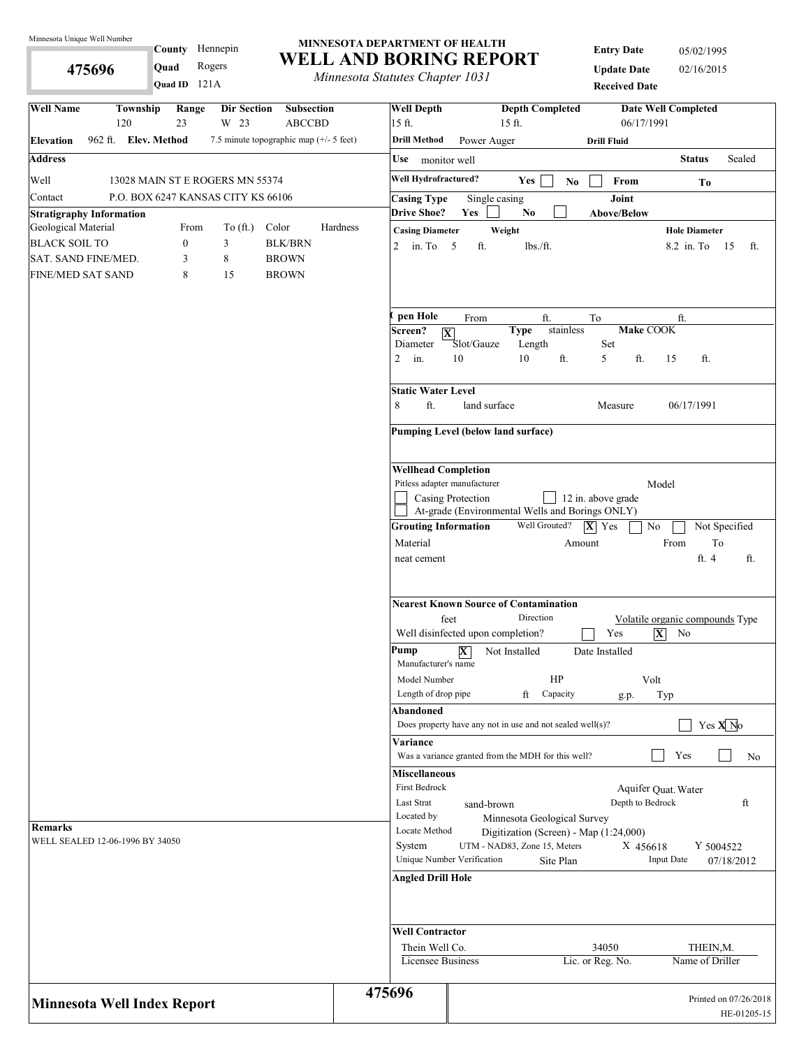**475696** 

County Hennepin

**Quad** Rogers

#### **MINNESOTA DEPARTMENT OF HEALTH WELL AND BORING REPORT**

*Minnesota Statutes Chapter 1031*

**Entry Date** 05/02/1995 **Update Date** 02/16/2015

| . <i>.</i><br>Quad ID 121A                                                                                                   | Minnesota Statutes Chapter 1031 | <b>Received Date</b>                                                                                 |
|------------------------------------------------------------------------------------------------------------------------------|---------------------------------|------------------------------------------------------------------------------------------------------|
| <b>Well Name</b><br>Range<br>Township<br>Subsection<br>Dir Section                                                           | <b>Well Depth</b>               | <b>Depth Completed</b><br><b>Date Well Completed</b>                                                 |
| 120<br>23<br>W 23<br><b>ABCCBD</b>                                                                                           | 15 ft.                          | 06/17/1991<br>15 ft.                                                                                 |
| 962 ft. Elev. Method<br>7.5 minute topographic map $(+/- 5$ feet)<br><b>Elevation</b>                                        | Drill Method                    | Power Auger<br><b>Drill Fluid</b>                                                                    |
| <b>Address</b>                                                                                                               | Use                             | Sealed<br><b>Status</b><br>monitor well                                                              |
| Well<br>13028 MAIN ST E ROGERS MN 55374                                                                                      | Well Hydrofractured?            | Yes<br>From<br>N <sub>0</sub><br>To                                                                  |
| P.O. BOX 6247 KANSAS CITY KS 66106<br>Contact                                                                                | <b>Casing Type</b>              | Joint<br>Single casing                                                                               |
| <b>Stratigraphy Information</b>                                                                                              | <b>Drive Shoe?</b><br>Hardness  | Yes<br>N <sub>0</sub><br><b>Above/Below</b>                                                          |
| Geological Material<br>Color<br>From<br>To $(\text{ft.})$<br>$\boldsymbol{0}$<br><b>BLK/BRN</b><br><b>BLACK SOIL TO</b><br>3 | <b>Casing Diameter</b>          | Weight<br><b>Hole Diameter</b>                                                                       |
| SAT. SAND FINE/MED.<br>8<br><b>BROWN</b><br>3                                                                                | $\overline{2}$<br>in. To $5$    | ft.<br>lbs./ft.<br>8.2 in To 15<br>ft.                                                               |
| 8<br>15<br><b>FINE/MED SAT SAND</b><br><b>BROWN</b>                                                                          |                                 |                                                                                                      |
|                                                                                                                              |                                 |                                                                                                      |
|                                                                                                                              | pen Hole                        | ft.<br>From<br>ft.<br>To                                                                             |
|                                                                                                                              | Screen?<br>Diameter             | <b>Make COOK</b><br><b>Type</b><br>stainless<br>$ \mathbf{X} $<br>Slot/Gauze<br>Length<br>Set        |
|                                                                                                                              | $\overline{2}$<br>in.           | 10<br>10<br>ft.<br>5<br>ft.<br>ft.<br>15                                                             |
|                                                                                                                              | <b>Static Water Level</b>       |                                                                                                      |
|                                                                                                                              | 8<br>ft.                        | land surface<br>06/17/1991<br>Measure                                                                |
|                                                                                                                              |                                 | <b>Pumping Level (below land surface)</b>                                                            |
|                                                                                                                              | <b>Wellhead Completion</b>      |                                                                                                      |
|                                                                                                                              |                                 | Pitless adapter manufacturer<br>Model                                                                |
|                                                                                                                              |                                 | Casing Protection<br>12 in. above grade<br>At-grade (Environmental Wells and Borings ONLY)           |
|                                                                                                                              | <b>Grouting Information</b>     | Well Grouted?<br>$ \mathbf{X} $ Yes<br>Not Specified<br>No                                           |
|                                                                                                                              | Material                        | To<br>From<br>Amount                                                                                 |
|                                                                                                                              | neat cement                     | ft. 4<br>ft.                                                                                         |
|                                                                                                                              |                                 | <b>Nearest Known Source of Contamination</b><br>Direction<br>feet<br>Volatile organic compounds Type |
|                                                                                                                              |                                 | Well disinfected upon completion?<br>Yes<br>$\overline{\mathbf{X}}$<br>No                            |
|                                                                                                                              | Pump<br>Manufacturer's name     | $\mathbf{X}$<br>Not Installed<br>Date Installed                                                      |
|                                                                                                                              | Model Number                    | HP<br>Volt                                                                                           |
|                                                                                                                              | Length of drop pipe             | ft<br>Capacity<br>Typ<br>g.p.                                                                        |
|                                                                                                                              | Abandoned                       | Yes $X$ No<br>Does property have any not in use and not sealed well(s)?                              |
|                                                                                                                              | Variance                        |                                                                                                      |
|                                                                                                                              |                                 | Yes<br>Was a variance granted from the MDH for this well?<br>No                                      |
|                                                                                                                              | <b>Miscellaneous</b>            |                                                                                                      |
|                                                                                                                              | First Bedrock                   | Aquifer Quat. Water                                                                                  |
|                                                                                                                              | Last Strat<br>Located by        | Depth to Bedrock<br>ft<br>sand-brown                                                                 |
| <b>Remarks</b>                                                                                                               | Locate Method                   | Minnesota Geological Survey<br>Digitization (Screen) - Map (1:24,000)                                |
| WELL SEALED 12-06-1996 BY 34050                                                                                              | System                          | UTM - NAD83, Zone 15, Meters<br>Y 5004522<br>X 456618                                                |
|                                                                                                                              |                                 | Unique Number Verification<br><b>Input Date</b><br>Site Plan<br>07/18/2012                           |
|                                                                                                                              | <b>Angled Drill Hole</b>        |                                                                                                      |
|                                                                                                                              | <b>Well Contractor</b>          |                                                                                                      |
|                                                                                                                              | Thein Well Co.                  | 34050<br>THEIN, M.                                                                                   |
|                                                                                                                              | <b>Licensee Business</b>        | Lic. or Reg. No.<br>Name of Driller                                                                  |
| <b>Minnesota Well Index Report</b>                                                                                           | 475696                          | Printed on 07/26/2018                                                                                |
|                                                                                                                              |                                 | HE-01205-15                                                                                          |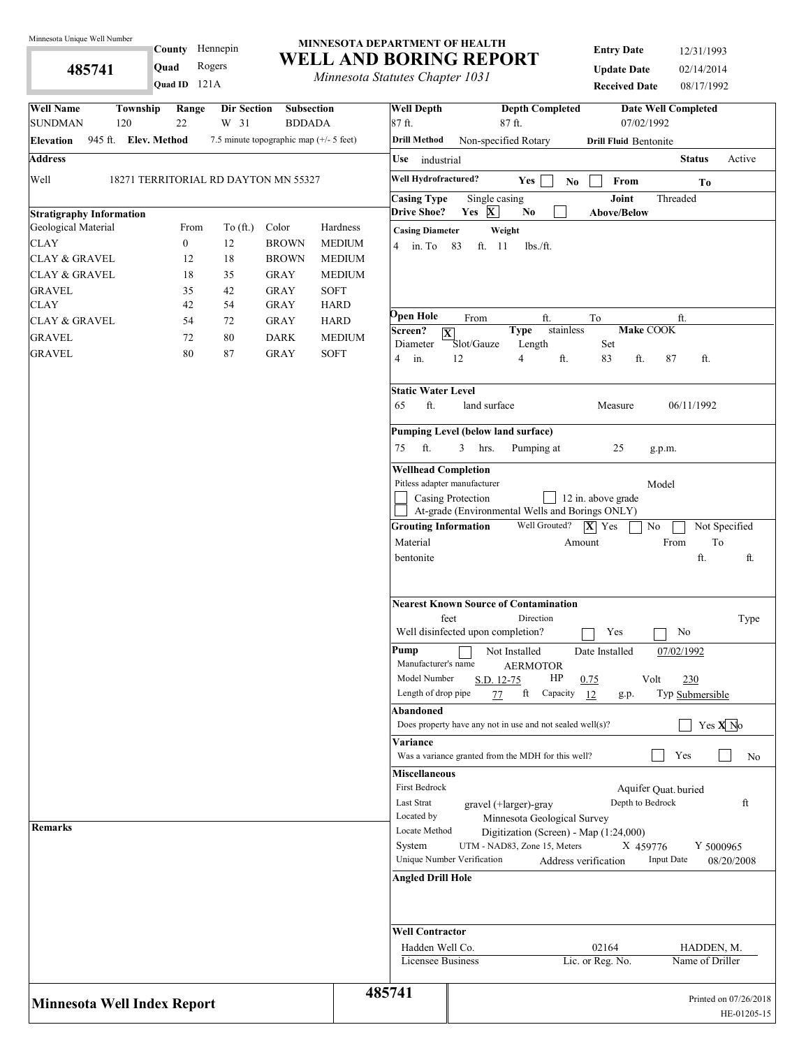**485741** 

121A **Quad ID**

#### **MINNESOTA DEPARTMENT OF HEALTH WELL AND BORING REPORT** County Hennepin **Quad** Rogers

*Minnesota Statutes Chapter 1031*

| <b>Entry Date</b>    | 12/31/1993 |
|----------------------|------------|
| <b>Update Date</b>   | 02/14/2014 |
| <b>Received Date</b> | 08/17/1992 |

| <b>Well Name</b><br>Township<br><b>SUNDMAN</b><br>120 | Range<br>22                          | <b>Dir Section</b><br>W 31 | <b>Subsection</b><br><b>BDDADA</b>      |               | <b>Well Depth</b><br>87 ft.                 | <b>Depth Completed</b><br>87 ft.                                               | <b>Date Well Completed</b><br>07/02/1992 |
|-------------------------------------------------------|--------------------------------------|----------------------------|-----------------------------------------|---------------|---------------------------------------------|--------------------------------------------------------------------------------|------------------------------------------|
| 945 ft. Elev. Method<br><b>Elevation</b>              |                                      |                            | 7.5 minute topographic map (+/- 5 feet) |               | <b>Drill Method</b>                         | Non-specified Rotary                                                           | <b>Drill Fluid Bentonite</b>             |
| <b>Address</b>                                        |                                      |                            |                                         |               | Use industrial                              |                                                                                | <b>Status</b><br>Active                  |
| Well                                                  | 18271 TERRITORIAL RD DAYTON MN 55327 |                            |                                         |               | Well Hydrofractured?                        | Yes<br>$\mathbf{N}\mathbf{o}$                                                  | From<br>To                               |
|                                                       |                                      |                            |                                         |               | <b>Casing Type</b>                          | Single casing                                                                  | Joint<br>Threaded                        |
| <b>Stratigraphy Information</b>                       |                                      |                            |                                         |               | <b>Drive Shoe?</b>                          | Yes $X$<br>$\mathbf{N}\mathbf{o}$                                              | <b>Above/Below</b>                       |
| Geological Material                                   | From                                 | To $(ft.)$                 | Color                                   | Hardness      | <b>Casing Diameter</b>                      | Weight                                                                         |                                          |
| <b>CLAY</b>                                           | $\boldsymbol{0}$                     | 12                         | <b>BROWN</b>                            | <b>MEDIUM</b> | $4 \quad$ in. To                            | 83<br>ft. 11<br>$lbs$ ./ft.                                                    |                                          |
| CLAY & GRAVEL                                         | 12                                   | 18                         | <b>BROWN</b>                            | <b>MEDIUM</b> |                                             |                                                                                |                                          |
| <b>CLAY &amp; GRAVEL</b>                              | 18                                   | 35                         | <b>GRAY</b>                             | <b>MEDIUM</b> |                                             |                                                                                |                                          |
| <b>GRAVEL</b>                                         | 35                                   | 42                         | <b>GRAY</b>                             | <b>SOFT</b>   |                                             |                                                                                |                                          |
| CLAY                                                  | 42                                   | 54                         | <b>GRAY</b>                             | <b>HARD</b>   |                                             |                                                                                |                                          |
| CLAY & GRAVEL                                         | 54                                   | 72                         | <b>GRAY</b>                             | <b>HARD</b>   | Open Hole                                   | From<br>ft.<br>To                                                              | ft.                                      |
| <b>GRAVEL</b>                                         | 72                                   | $80\,$                     | <b>DARK</b>                             | <b>MEDIUM</b> | Screen?<br>$ \mathbf{X} $                   | stainless<br><b>Type</b>                                                       | Make COOK                                |
| <b>GRAVEL</b>                                         | 80                                   | 87                         | <b>GRAY</b>                             | <b>SOFT</b>   | Diameter<br>$4$ in.                         | Slot/Gauze<br>Length<br>Set<br>12<br>ft.<br>83<br>4                            | ft.<br>87<br>ft.                         |
|                                                       |                                      |                            |                                         |               | <b>Static Water Level</b><br>ft.<br>65      | land surface                                                                   | 06/11/1992<br>Measure                    |
|                                                       |                                      |                            |                                         |               |                                             |                                                                                |                                          |
|                                                       |                                      |                            |                                         |               |                                             | Pumping Level (below land surface)                                             |                                          |
|                                                       |                                      |                            |                                         |               | ft.<br>75                                   | $\mathbf{3}$<br>hrs.<br>Pumping at                                             | 25<br>g.p.m.                             |
|                                                       |                                      |                            |                                         |               | <b>Wellhead Completion</b>                  |                                                                                |                                          |
|                                                       |                                      |                            |                                         |               | Pitless adapter manufacturer                |                                                                                | Model                                    |
|                                                       |                                      |                            |                                         |               |                                             | Casing Protection<br>12 in. above grade                                        |                                          |
|                                                       |                                      |                            |                                         |               |                                             | At-grade (Environmental Wells and Borings ONLY)<br>Well Grouted?               |                                          |
|                                                       |                                      |                            |                                         |               | <b>Grouting Information</b>                 | $ \mathbf{X} $ Yes                                                             | No<br>Not Specified                      |
|                                                       |                                      |                            |                                         |               | Material                                    | Amount                                                                         | From<br>To<br>ft.                        |
|                                                       |                                      |                            |                                         |               | bentonite                                   |                                                                                | ft.                                      |
|                                                       |                                      |                            |                                         |               | feet                                        | <b>Nearest Known Source of Contamination</b><br>Direction                      | Type                                     |
|                                                       |                                      |                            |                                         |               |                                             | Well disinfected upon completion?                                              | Yes<br>No                                |
|                                                       |                                      |                            |                                         |               | Pump<br>Manufacturer's name<br>Model Number | Not Installed<br>Date Installed<br><b>AERMOTOR</b><br>HP<br>S.D. 12-75<br>0.75 | 07/02/1992<br>Volt<br>230                |
|                                                       |                                      |                            |                                         |               | Length of drop pipe                         | ft<br>Capacity<br>77<br>12                                                     | Typ Submersible<br>g.p.                  |
|                                                       |                                      |                            |                                         |               | Abandoned                                   |                                                                                |                                          |
|                                                       |                                      |                            |                                         |               |                                             | Does property have any not in use and not sealed well $(s)$ ?                  | Yes $X$ <sup>No</sup>                    |
|                                                       |                                      |                            |                                         |               | Variance                                    | Was a variance granted from the MDH for this well?                             | Yes<br>No                                |
|                                                       |                                      |                            |                                         |               | <b>Miscellaneous</b><br>First Bedrock       |                                                                                | Aquifer Quat. buried                     |
|                                                       |                                      |                            |                                         |               | Last Strat                                  | gravel (+larger)-gray                                                          | Depth to Bedrock<br>ft                   |
|                                                       |                                      |                            |                                         |               | Located by                                  | Minnesota Geological Survey                                                    |                                          |
| <b>Remarks</b>                                        |                                      |                            |                                         |               | Locate Method                               | Digitization (Screen) - Map (1:24,000)                                         |                                          |
|                                                       |                                      |                            |                                         |               | System                                      | UTM - NAD83, Zone 15, Meters                                                   | X 459776<br>Y 5000965                    |
|                                                       |                                      |                            |                                         |               |                                             | Unique Number Verification<br>Address verification                             | <b>Input Date</b><br>08/20/2008          |
|                                                       |                                      |                            |                                         |               | <b>Angled Drill Hole</b>                    |                                                                                |                                          |
|                                                       |                                      |                            |                                         |               | <b>Well Contractor</b>                      |                                                                                |                                          |
|                                                       |                                      |                            |                                         |               | Hadden Well Co.                             | 02164                                                                          | HADDEN, M.                               |
|                                                       |                                      |                            |                                         |               | Licensee Business                           | Lic. or Reg. No.                                                               | Name of Driller                          |
| <b>Minnesota Well Index Report</b>                    |                                      |                            |                                         | 485741        |                                             |                                                                                | Printed on 07/26/2018<br>HE-01205-15     |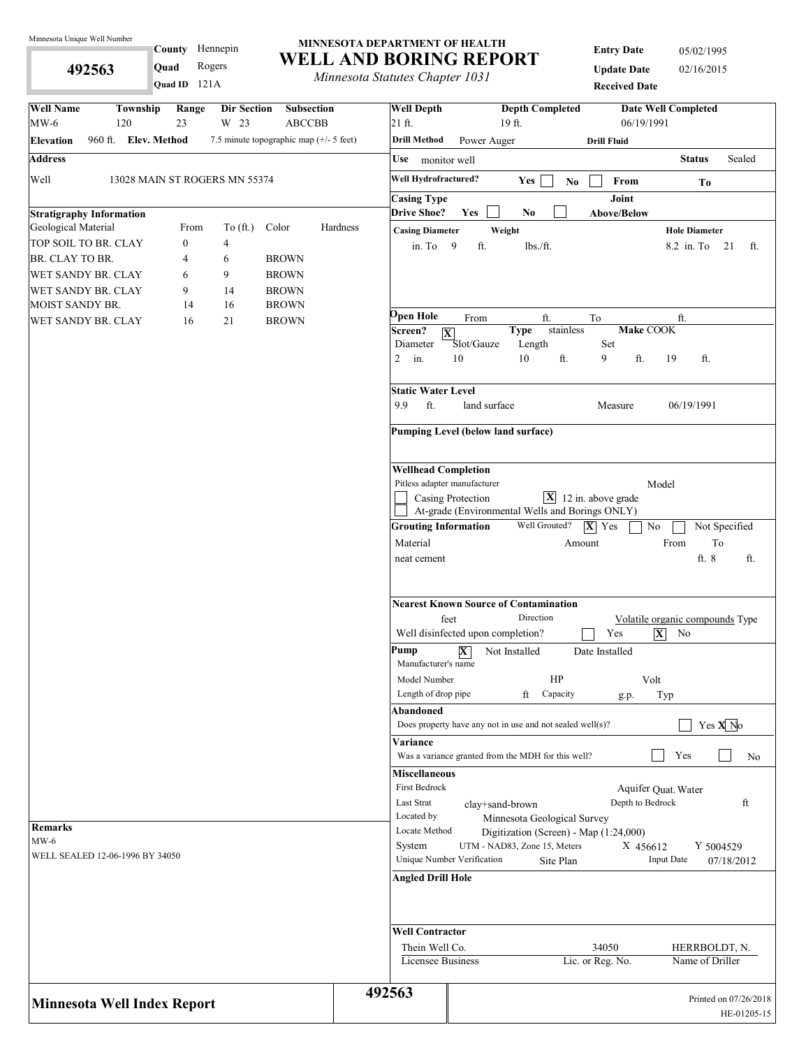**492563** 

County Hennepin

**Quad** Rogers

#### **MINNESOTA DEPARTMENT OF HEALTH WELL AND BORING REPORT**

*Minnesota Statutes Chapter 1031*

**Entry Date** 05/02/1995 **Update Date** 02/16/2015

| Quad ID 121A                                                                              | <i>Minnesoud Suttitues Chapter 1051</i> |                                          |                                                              |                                                           | <b>Received Date</b>                    |                                 |                       |
|-------------------------------------------------------------------------------------------|-----------------------------------------|------------------------------------------|--------------------------------------------------------------|-----------------------------------------------------------|-----------------------------------------|---------------------------------|-----------------------|
| <b>Well Name</b><br>Township<br>Range<br>Dir Section<br><b>Subsection</b>                 |                                         | <b>Well Depth</b>                        |                                                              | <b>Depth Completed</b>                                    |                                         | <b>Date Well Completed</b>      |                       |
| $MW-6$<br>23<br>W 23<br>120<br><b>ABCCBB</b>                                              |                                         | 21 ft.                                   |                                                              | 19 ft.                                                    | 06/19/1991                              |                                 |                       |
| 960 ft. Elev. Method<br>7.5 minute topographic map (+/- 5 feet)<br><b>Elevation</b>       |                                         | <b>Drill Method</b>                      | Power Auger                                                  |                                                           | <b>Drill Fluid</b>                      |                                 |                       |
| <b>Address</b>                                                                            |                                         | Use<br>monitor well                      |                                                              |                                                           |                                         | <b>Status</b>                   | Sealed                |
| Well<br>13028 MAIN ST ROGERS MN 55374                                                     |                                         | Well Hydrofractured?                     |                                                              | Yes<br>$\mathbf{No}$                                      | From                                    | To                              |                       |
|                                                                                           |                                         | <b>Casing Type</b>                       |                                                              |                                                           | Joint                                   |                                 |                       |
| <b>Stratigraphy Information</b>                                                           |                                         | <b>Drive Shoe?</b>                       | Yes                                                          | N <sub>0</sub>                                            | Above/Below                             |                                 |                       |
| Geological Material<br>From<br>To $(\text{ft.})$<br>Color                                 | Hardness                                | <b>Casing Diameter</b>                   | Weight                                                       |                                                           |                                         | <b>Hole Diameter</b>            |                       |
| TOP SOIL TO BR. CLAY<br>$\overline{0}$<br>4                                               |                                         | in. To $9$                               | ft.                                                          | lbs./ft.                                                  |                                         | 8.2 in. To 21                   | ft.                   |
| BR. CLAY TO BR.<br>6<br><b>BROWN</b><br>4<br>9<br>WET SANDY BR. CLAY<br><b>BROWN</b><br>6 |                                         |                                          |                                                              |                                                           |                                         |                                 |                       |
| WET SANDY BR. CLAY<br>9<br>14<br><b>BROWN</b>                                             |                                         |                                          |                                                              |                                                           |                                         |                                 |                       |
| MOIST SANDY BR.<br>14<br>16<br><b>BROWN</b>                                               |                                         |                                          |                                                              |                                                           |                                         |                                 |                       |
| 21<br>16<br><b>BROWN</b><br>WET SANDY BR. CLAY                                            |                                         | <b>Open Hole</b>                         | From                                                         | ft.                                                       | To                                      | ft.                             |                       |
|                                                                                           |                                         | Screen?<br>$ \mathbf{X} $                |                                                              | stainless<br><b>Type</b>                                  | <b>Make COOK</b>                        |                                 |                       |
|                                                                                           |                                         | Diameter                                 | Slot/Gauze                                                   | Length                                                    | Set                                     |                                 |                       |
|                                                                                           |                                         | $2$ in.                                  | 10                                                           | 10<br>ft.                                                 | 9<br>ft.                                | 19<br>ft.                       |                       |
|                                                                                           |                                         | <b>Static Water Level</b>                |                                                              |                                                           |                                         |                                 |                       |
|                                                                                           |                                         | 9.9<br>ft.                               | land surface                                                 |                                                           | Measure                                 | 06/19/1991                      |                       |
|                                                                                           |                                         |                                          | Pumping Level (below land surface)                           |                                                           |                                         |                                 |                       |
|                                                                                           |                                         | <b>Wellhead Completion</b>               |                                                              |                                                           |                                         |                                 |                       |
|                                                                                           |                                         | Pitless adapter manufacturer             |                                                              |                                                           |                                         | Model                           |                       |
|                                                                                           |                                         |                                          | Casing Protection                                            |                                                           | $\boxed{\mathbf{X}}$ 12 in. above grade |                                 |                       |
|                                                                                           |                                         |                                          |                                                              | At-grade (Environmental Wells and Borings ONLY)           |                                         |                                 |                       |
|                                                                                           |                                         | <b>Grouting Information</b>              |                                                              | Well Grouted?                                             | $ \mathbf{X} $ Yes                      | No                              | Not Specified         |
|                                                                                           |                                         | Material                                 |                                                              |                                                           | Amount                                  | From<br>ft. 8                   | To                    |
|                                                                                           |                                         |                                          | feet                                                         | <b>Nearest Known Source of Contamination</b><br>Direction |                                         | Volatile organic compounds Type |                       |
|                                                                                           |                                         | Pump                                     | Well disinfected upon completion?<br>$\overline{\mathbf{X}}$ | Not Installed                                             | Yes<br>Date Installed                   | $ \mathbf{X} $<br>No            |                       |
|                                                                                           |                                         | Manufacturer's name                      |                                                              |                                                           |                                         |                                 |                       |
|                                                                                           |                                         | Model Number                             |                                                              | HP                                                        |                                         | Volt                            |                       |
|                                                                                           |                                         | Length of drop pipe                      |                                                              | ft<br>Capacity                                            | g.p.                                    | Typ                             |                       |
|                                                                                           |                                         | Abandoned                                |                                                              | Does property have any not in use and not sealed well(s)? |                                         |                                 | Yes $\overline{X}$ No |
|                                                                                           |                                         |                                          |                                                              |                                                           |                                         |                                 |                       |
|                                                                                           |                                         | Variance                                 |                                                              | Was a variance granted from the MDH for this well?        |                                         | Yes                             | No                    |
|                                                                                           |                                         | <b>Miscellaneous</b>                     |                                                              |                                                           |                                         |                                 |                       |
|                                                                                           |                                         | First Bedrock                            |                                                              |                                                           |                                         | Aquifer Quat. Water             |                       |
|                                                                                           |                                         | Last Strat                               | clay+sand-brown                                              |                                                           | Depth to Bedrock                        |                                 | ft                    |
|                                                                                           |                                         | Located by                               |                                                              | Minnesota Geological Survey                               |                                         |                                 |                       |
| Remarks                                                                                   |                                         | Locate Method                            |                                                              | Digitization (Screen) - Map (1:24,000)                    |                                         |                                 |                       |
| $MW-6$                                                                                    |                                         | System                                   |                                                              | UTM - NAD83, Zone 15, Meters                              | X 456612                                |                                 | Y 5004529             |
| WELL SEALED 12-06-1996 BY 34050                                                           |                                         |                                          | Unique Number Verification                                   | Site Plan                                                 |                                         | <b>Input Date</b>               | 07/18/2012            |
|                                                                                           |                                         | <b>Angled Drill Hole</b>                 |                                                              |                                                           |                                         |                                 |                       |
|                                                                                           |                                         |                                          |                                                              |                                                           |                                         |                                 |                       |
|                                                                                           |                                         | <b>Well Contractor</b><br>Thein Well Co. |                                                              |                                                           | 34050                                   | HERRBOLDT, N.                   |                       |
|                                                                                           |                                         | Licensee Business                        |                                                              |                                                           | Lic. or Reg. No.                        | Name of Driller                 |                       |
|                                                                                           | 492563                                  |                                          |                                                              |                                                           |                                         |                                 | Printed on 07/26/2018 |
| <b>Minnesota Well Index Report</b>                                                        |                                         |                                          |                                                              |                                                           |                                         |                                 | HE-01205-15           |
|                                                                                           |                                         |                                          |                                                              |                                                           |                                         |                                 |                       |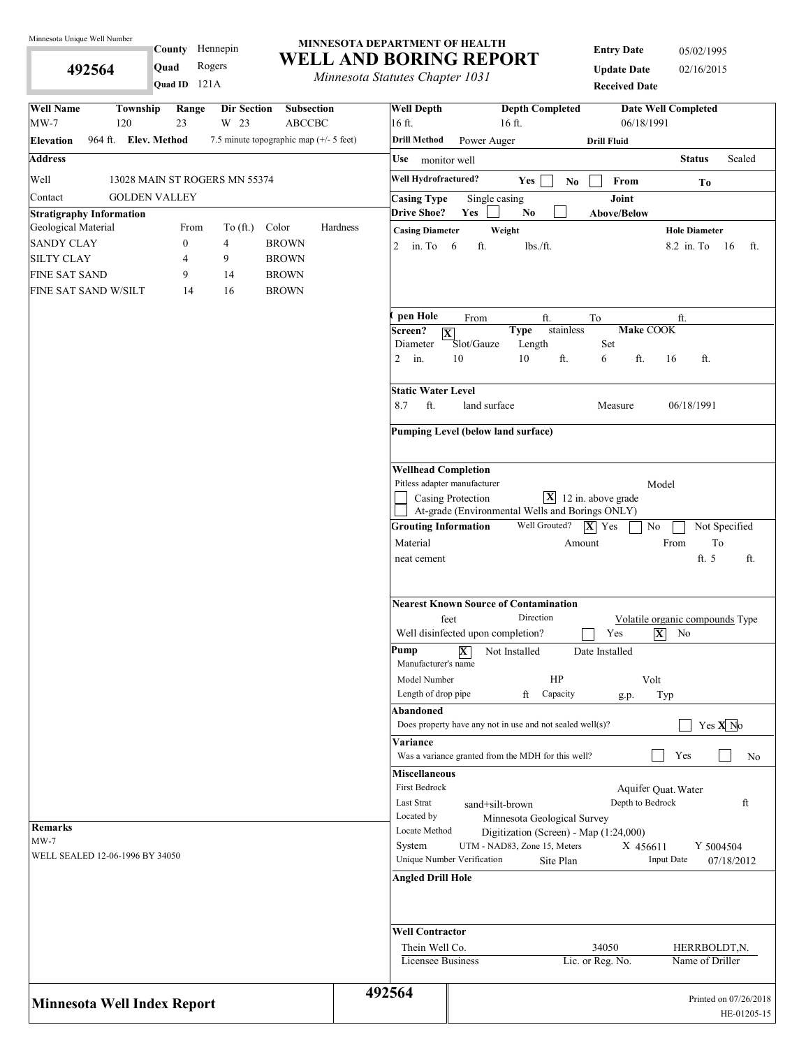**492564** 

#### **MINNESOTA DEPARTMENT OF HEALTH WELL AND BORING REPORT** County Hennepin **Quad** Rogers

*Minnesota Statutes Chapter 1031*

**Entry Date** 05/02/1995 **Update Date** 02/16/2015 **Received Date**

| Quad ID 121A                                                                        |                      | <i>Internessua Statutes Chapter 1051</i> |                            |                                                                       | <b>Received Date</b>                    |                                 |                       |
|-------------------------------------------------------------------------------------|----------------------|------------------------------------------|----------------------------|-----------------------------------------------------------------------|-----------------------------------------|---------------------------------|-----------------------|
| <b>Well Name</b><br>Township<br>Range<br>Dir Section<br>$MW-7$<br>120<br>23<br>W 23 | Subsection<br>ABCCBC | <b>Well Depth</b><br>16 ft.              |                            | <b>Depth Completed</b><br>16 ft.                                      | 06/18/1991                              | <b>Date Well Completed</b>      |                       |
| 964 ft. Elev. Method<br>7.5 minute topographic map (+/- 5 feet)<br><b>Elevation</b> |                      | <b>Drill Method</b>                      | Power Auger                |                                                                       | <b>Drill Fluid</b>                      |                                 |                       |
| <b>Address</b>                                                                      |                      | Use monitor well                         |                            |                                                                       |                                         | <b>Status</b>                   | Sealed                |
| Well<br>13028 MAIN ST ROGERS MN 55374                                               |                      | Well Hydrofractured?                     |                            | Yes                                                                   |                                         |                                 |                       |
| <b>GOLDEN VALLEY</b><br>Contact                                                     |                      | <b>Casing Type</b>                       | Single casing              | N <sub>0</sub>                                                        | From<br>Joint                           | To                              |                       |
| <b>Stratigraphy Information</b>                                                     |                      | <b>Drive Shoe?</b>                       | Yes                        | No.                                                                   | <b>Above/Below</b>                      |                                 |                       |
| Geological Material<br>To $(ft.)$<br>Color<br>From                                  | Hardness             | <b>Casing Diameter</b>                   |                            | Weight                                                                |                                         | <b>Hole Diameter</b>            |                       |
| <b>SANDY CLAY</b><br><b>BROWN</b><br>$\boldsymbol{0}$<br>$\overline{4}$             |                      | 2 in. To $6$                             | ft.                        | lbs./ft.                                                              |                                         | 8.2 in To                       | - 16<br>ft.           |
| <b>SILTY CLAY</b><br>$\overline{4}$<br>9<br><b>BROWN</b>                            |                      |                                          |                            |                                                                       |                                         |                                 |                       |
| <b>FINE SAT SAND</b><br><b>BROWN</b><br>9<br>14                                     |                      |                                          |                            |                                                                       |                                         |                                 |                       |
| <b>BROWN</b><br>FINE SAT SAND W/SILT<br>14<br>16                                    |                      |                                          |                            |                                                                       |                                         |                                 |                       |
|                                                                                     |                      | pen Hole                                 | From                       | ft.                                                                   | To                                      | ft.                             |                       |
|                                                                                     |                      | Screen?<br>$ \overline{\mathbf{X}} $     |                            | stainless<br><b>Type</b>                                              | Make COOK                               |                                 |                       |
|                                                                                     |                      | Diameter                                 | Slot/Gauze                 | Length<br>10<br>ft.                                                   | Set<br>ft.                              |                                 |                       |
|                                                                                     |                      | $2$ in.                                  | 10                         |                                                                       | 6                                       | ft.<br>16                       |                       |
|                                                                                     |                      | <b>Static Water Level</b>                |                            |                                                                       |                                         |                                 |                       |
|                                                                                     |                      | ft.<br>8.7                               | land surface               |                                                                       | Measure                                 | 06/18/1991                      |                       |
|                                                                                     |                      | Pumping Level (below land surface)       |                            |                                                                       |                                         |                                 |                       |
|                                                                                     |                      | <b>Wellhead Completion</b>               |                            |                                                                       |                                         |                                 |                       |
|                                                                                     |                      | Pitless adapter manufacturer             |                            |                                                                       |                                         | Model                           |                       |
|                                                                                     |                      |                                          | Casing Protection          | At-grade (Environmental Wells and Borings ONLY)                       | $\boxed{\mathbf{X}}$ 12 in. above grade |                                 |                       |
|                                                                                     |                      | <b>Grouting Information</b>              |                            | Well Grouted?                                                         | $ \mathbf{X} $ Yes<br>No                |                                 | Not Specified         |
|                                                                                     |                      | Material                                 |                            |                                                                       | Amount                                  | To<br>From                      |                       |
|                                                                                     |                      | neat cement                              |                            |                                                                       |                                         | ft. 5                           | ft.                   |
|                                                                                     |                      | feet                                     |                            | <b>Nearest Known Source of Contamination</b><br>Direction             |                                         | Volatile organic compounds Type |                       |
|                                                                                     |                      | Well disinfected upon completion?        |                            |                                                                       | Yes                                     | $ \mathbf{X} $<br>No            |                       |
|                                                                                     |                      | Pump<br>Manufacturer's name              | $\overline{\mathbf{X}}$    | Not Installed                                                         | Date Installed                          |                                 |                       |
|                                                                                     |                      | Model Number                             |                            | HP                                                                    | Volt                                    |                                 |                       |
|                                                                                     |                      | Length of drop pipe                      |                            | ft<br>Capacity                                                        | g.p.                                    | Typ                             |                       |
|                                                                                     |                      | Abandoned                                |                            | Does property have any not in use and not sealed well(s)?             |                                         |                                 | Yes $X$ <sup>No</sup> |
|                                                                                     |                      | Variance                                 |                            |                                                                       |                                         |                                 |                       |
|                                                                                     |                      |                                          |                            | Was a variance granted from the MDH for this well?                    |                                         | Yes                             | No                    |
|                                                                                     |                      | <b>Miscellaneous</b>                     |                            |                                                                       |                                         |                                 |                       |
|                                                                                     |                      | First Bedrock                            |                            |                                                                       |                                         | Aquifer Quat. Water             |                       |
|                                                                                     |                      | <b>Last Strat</b>                        | sand+silt-brown            |                                                                       | Depth to Bedrock                        |                                 | ft                    |
| <b>Remarks</b>                                                                      |                      | Located by<br>Locate Method              |                            | Minnesota Geological Survey<br>Digitization (Screen) - Map (1:24,000) |                                         |                                 |                       |
| $MW-7$                                                                              |                      | System                                   |                            | UTM - NAD83, Zone 15, Meters                                          | X 456611                                | Y 5004504                       |                       |
| WELL SEALED 12-06-1996 BY 34050                                                     |                      |                                          | Unique Number Verification | Site Plan                                                             |                                         | <b>Input Date</b>               | 07/18/2012            |
|                                                                                     |                      | <b>Angled Drill Hole</b>                 |                            |                                                                       |                                         |                                 |                       |
|                                                                                     |                      | <b>Well Contractor</b>                   |                            |                                                                       |                                         |                                 |                       |
|                                                                                     |                      | Thein Well Co.                           |                            |                                                                       | 34050                                   | HERRBOLDT, N.                   |                       |
|                                                                                     |                      | Licensee Business                        |                            |                                                                       | Lic. or Reg. No.                        | Name of Driller                 |                       |
|                                                                                     |                      |                                          |                            |                                                                       |                                         |                                 |                       |
| <b>Minnesota Well Index Report</b>                                                  |                      | 492564                                   |                            |                                                                       |                                         |                                 | Printed on 07/26/2018 |
|                                                                                     |                      |                                          |                            |                                                                       |                                         |                                 | HE-01205-15           |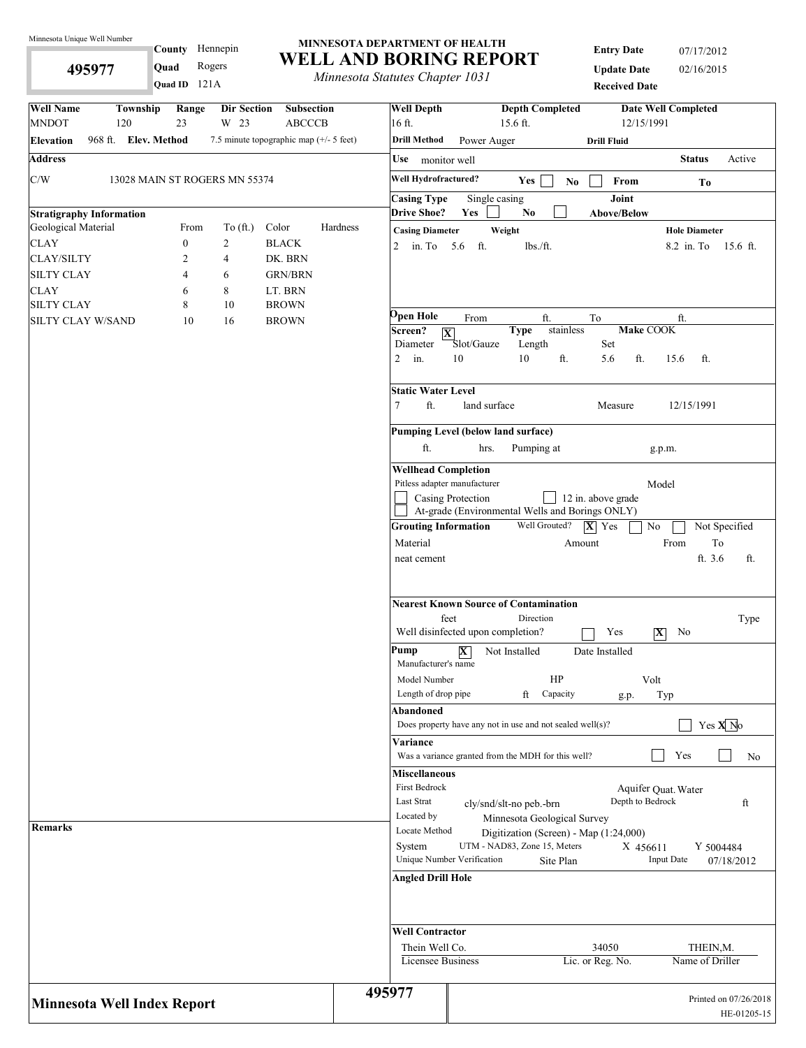**495977** 

County Hennepin

**Quad** Rogers

#### **MINNESOTA DEPARTMENT OF HEALTH WELL AND BORING REPORT**

*Minnesota Statutes Chapter 1031*

**Entry Date** 07/17/2012 **Update Date** 02/16/2015 **Received Date**

| Quad ID $121A$                                                                                   | municsona siannes chapier 1051                                    | <b>Received Date</b>                                                                                                                          |
|--------------------------------------------------------------------------------------------------|-------------------------------------------------------------------|-----------------------------------------------------------------------------------------------------------------------------------------------|
| <b>Well Name</b><br><b>Township</b><br>Range<br>Dir Section<br><b>MNDOT</b><br>23<br>W 23<br>120 | <b>Well Depth</b><br><b>Subsection</b><br><b>ABCCCB</b><br>16 ft. | <b>Depth Completed</b><br><b>Date Well Completed</b><br>12/15/1991<br>$15.6$ ft.                                                              |
| 968 ft. Elev. Method<br><b>Elevation</b>                                                         | <b>Drill Method</b><br>7.5 minute topographic map (+/- 5 feet)    | Power Auger<br><b>Drill Fluid</b>                                                                                                             |
| <b>Address</b>                                                                                   | Use monitor well                                                  | <b>Status</b><br>Active                                                                                                                       |
|                                                                                                  | Well Hydrofractured?                                              |                                                                                                                                               |
| C/W<br>13028 MAIN ST ROGERS MN 55374                                                             |                                                                   | Yes<br>$\mathbf{N}\mathbf{o}$<br>From<br>To                                                                                                   |
|                                                                                                  | <b>Casing Type</b>                                                | Joint<br>Single casing                                                                                                                        |
| <b>Stratigraphy Information</b><br>Geological Material<br>To $(ft.)$<br>From                     | <b>Drive Shoe?</b><br>Color<br>Hardness                           | Yes<br>N <sub>0</sub><br>Above/Below                                                                                                          |
| <b>CLAY</b><br>$\overline{c}$<br>$\boldsymbol{0}$                                                | <b>Casing Diameter</b><br><b>BLACK</b>                            | Weight<br><b>Hole Diameter</b>                                                                                                                |
| <b>CLAY/SILTY</b><br>2<br>4                                                                      | 2 in. To $5.6$<br>DK. BRN                                         | ft.<br>lbs./ft.<br>8.2 in. To 15.6 ft.                                                                                                        |
| <b>SILTY CLAY</b><br>4<br>6                                                                      | <b>GRN/BRN</b>                                                    |                                                                                                                                               |
| <b>CLAY</b><br>8<br>6                                                                            | LT. BRN                                                           |                                                                                                                                               |
| <b>SILTY CLAY</b><br>8<br>10                                                                     | <b>BROWN</b>                                                      |                                                                                                                                               |
| SILTY CLAY W/SAND<br>10<br>16                                                                    | Open Hole<br><b>BROWN</b>                                         | From<br>ft.<br>To<br>ft.                                                                                                                      |
|                                                                                                  | Screen?                                                           | stainless<br>Make COOK<br><b>Type</b><br>$ \mathbf{X} $                                                                                       |
|                                                                                                  | Diameter                                                          | Slot/Gauze<br>Length<br>Set                                                                                                                   |
|                                                                                                  | $2$ in.                                                           | 10<br>10<br>ft.<br>5.6<br>ft.<br>15.6<br>ft.                                                                                                  |
|                                                                                                  |                                                                   |                                                                                                                                               |
|                                                                                                  | <b>Static Water Level</b><br>ft.<br>7                             | land surface<br>12/15/1991<br>Measure                                                                                                         |
|                                                                                                  |                                                                   | Pumping Level (below land surface)                                                                                                            |
|                                                                                                  | ft.                                                               | Pumping at<br>hrs.<br>g.p.m.                                                                                                                  |
|                                                                                                  |                                                                   |                                                                                                                                               |
|                                                                                                  |                                                                   | <b>Wellhead Completion</b>                                                                                                                    |
|                                                                                                  |                                                                   | Pitless adapter manufacturer<br>Model<br>Casing Protection<br>12 in. above grade                                                              |
|                                                                                                  |                                                                   | At-grade (Environmental Wells and Borings ONLY)                                                                                               |
|                                                                                                  |                                                                   | Well Grouted?<br><b>Grouting Information</b><br>$ \mathbf{X} $ Yes<br>$\rm No$<br>Not Specified                                               |
|                                                                                                  | Material                                                          | To<br>From<br>Amount                                                                                                                          |
|                                                                                                  | neat cement                                                       | ft. 3.6<br>ft.                                                                                                                                |
|                                                                                                  |                                                                   |                                                                                                                                               |
|                                                                                                  |                                                                   | <b>Nearest Known Source of Contamination</b><br>feet<br>Direction<br>Type<br>Well disinfected upon completion?<br>Yes<br>$ \mathbf{X} $<br>No |
|                                                                                                  | Pump<br>Manufacturer's name                                       | $\overline{\mathbf{X}}$<br>Not Installed<br>Date Installed                                                                                    |
|                                                                                                  | Model Number                                                      | HP<br>Volt                                                                                                                                    |
|                                                                                                  | Length of drop pipe                                               | ft<br>Capacity<br>Typ<br>g.p.                                                                                                                 |
|                                                                                                  | Abandoned                                                         |                                                                                                                                               |
|                                                                                                  |                                                                   | Yes $\overline{X}$ No<br>Does property have any not in use and not sealed well(s)?                                                            |
|                                                                                                  | Variance                                                          |                                                                                                                                               |
|                                                                                                  |                                                                   | Was a variance granted from the MDH for this well?<br>Yes<br>No                                                                               |
|                                                                                                  | <b>Miscellaneous</b>                                              |                                                                                                                                               |
|                                                                                                  | First Bedrock<br>Last Strat                                       | Aquifer Quat. Water<br>Depth to Bedrock<br>ft                                                                                                 |
|                                                                                                  | Located by                                                        | cly/snd/slt-no peb.-brn<br>Minnesota Geological Survey                                                                                        |
| <b>Remarks</b>                                                                                   | Locate Method                                                     | Digitization (Screen) - Map (1:24,000)                                                                                                        |
|                                                                                                  | System                                                            | UTM - NAD83, Zone 15, Meters<br>X 456611<br>Y 5004484                                                                                         |
|                                                                                                  |                                                                   | Unique Number Verification<br><b>Input Date</b><br>Site Plan<br>07/18/2012                                                                    |
|                                                                                                  | <b>Angled Drill Hole</b>                                          |                                                                                                                                               |
|                                                                                                  |                                                                   |                                                                                                                                               |
|                                                                                                  | <b>Well Contractor</b>                                            |                                                                                                                                               |
|                                                                                                  | Thein Well Co.                                                    | 34050<br>THEIN, M.                                                                                                                            |
|                                                                                                  |                                                                   | Name of Driller<br>Licensee Business<br>Lic. or Reg. No.                                                                                      |
| <b>Minnesota Well Index Report</b>                                                               | 495977                                                            | Printed on 07/26/2018                                                                                                                         |
|                                                                                                  |                                                                   | HE-01205-15                                                                                                                                   |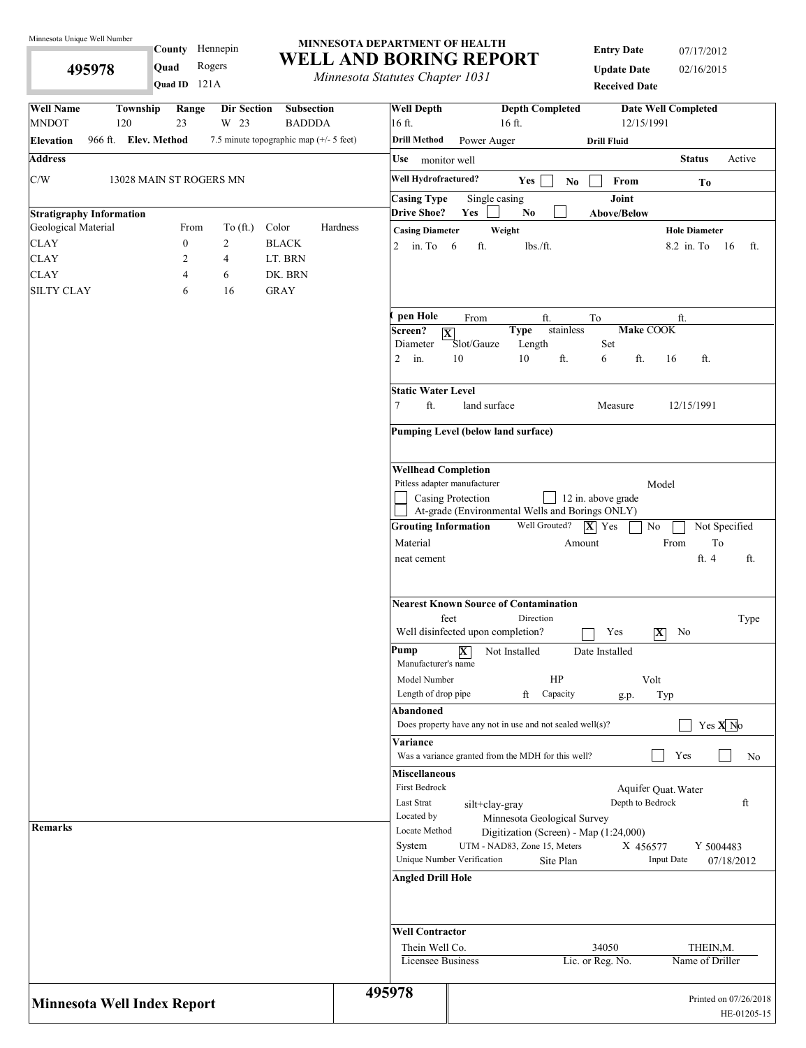**495978** 

County Hennepin

**Quad** Rogers

#### **MINNESOTA DEPARTMENT OF HEALTH WELL AND BORING REPORT**

*Minnesota Statutes Chapter 1031*

**Entry Date** 07/17/2012 **Update Date** 02/16/2015 **Received Data** 

|                                    |                         | Quad ID 121A                |                     |                                                                  |                    | <i>Internessue Statutes Chapter 1051</i>   |                                           |                                                           | <b>Received Date</b> |                            |                       |
|------------------------------------|-------------------------|-----------------------------|---------------------|------------------------------------------------------------------|--------------------|--------------------------------------------|-------------------------------------------|-----------------------------------------------------------|----------------------|----------------------------|-----------------------|
| <b>Well Name</b><br><b>MNDOT</b>   | Township<br>120         | Range<br>23                 | Dir Section<br>W 23 | Subsection<br><b>BADDDA</b>                                      |                    | <b>Well Depth</b><br>16 ft.                |                                           | <b>Depth Completed</b><br>16 ft.                          | 12/15/1991           | <b>Date Well Completed</b> |                       |
| <b>Elevation</b>                   | 966 ft. Elev. Method    |                             |                     | 7.5 minute topographic map (+/- 5 feet)                          |                    | <b>Drill Method</b>                        | Power Auger                               |                                                           | <b>Drill Fluid</b>   |                            |                       |
| <b>Address</b>                     |                         |                             |                     |                                                                  |                    | Use monitor well                           |                                           |                                                           |                      | <b>Status</b>              | Active                |
| C/W                                | 13028 MAIN ST ROGERS MN |                             |                     |                                                                  |                    | Well Hydrofractured?                       |                                           | Yes                                                       |                      |                            |                       |
|                                    |                         |                             |                     |                                                                  |                    | <b>Casing Type</b>                         | Single casing                             | N <sub>0</sub>                                            | From<br>Joint        | To                         |                       |
| <b>Stratigraphy Information</b>    |                         |                             |                     |                                                                  |                    | <b>Drive Shoe?</b>                         | Yes                                       | No                                                        | Above/Below          |                            |                       |
| Geological Material                |                         | From                        | To $(\text{ft.})$   | Color                                                            | Hardness           | <b>Casing Diameter</b>                     |                                           | Weight                                                    |                      | <b>Hole Diameter</b>       |                       |
| <b>CLAY</b>                        |                         | $\boldsymbol{0}$            | $\overline{c}$      | <b>BLACK</b>                                                     |                    | 2 in. To $6$                               | ft.                                       | lbs./ft.                                                  |                      | 8.2 in. To                 | - 16<br>ft.           |
| <b>CLAY</b>                        |                         | 2                           | 4                   | LT. BRN                                                          |                    |                                            |                                           |                                                           |                      |                            |                       |
| <b>CLAY</b><br><b>SILTY CLAY</b>   |                         | 4                           | 6                   | DK. BRN                                                          |                    |                                            |                                           |                                                           |                      |                            |                       |
|                                    |                         | 6                           | 16                  | <b>GRAY</b>                                                      |                    |                                            |                                           |                                                           |                      |                            |                       |
|                                    |                         |                             |                     |                                                                  |                    | pen Hole                                   | From                                      | ft.                                                       | To                   | ft.                        |                       |
|                                    |                         |                             |                     |                                                                  |                    | Screen?<br>$ \mathbf{X} $<br>Diameter      | Slot/Gauze                                | stainless<br><b>Type</b><br>Length                        | Make COOK<br>Set     |                            |                       |
|                                    |                         |                             |                     |                                                                  |                    | $\overline{2}$<br>in.                      | 10                                        | 10<br>ft.                                                 | ft.<br>6             | ft.<br>16                  |                       |
|                                    |                         |                             |                     |                                                                  |                    | <b>Static Water Level</b><br>$\tau$<br>ft. | land surface                              |                                                           | Measure              | 12/15/1991                 |                       |
|                                    |                         |                             |                     |                                                                  |                    |                                            |                                           |                                                           |                      |                            |                       |
|                                    |                         |                             |                     |                                                                  |                    | Pumping Level (below land surface)         |                                           |                                                           |                      |                            |                       |
|                                    |                         |                             |                     |                                                                  |                    | <b>Wellhead Completion</b>                 |                                           |                                                           |                      |                            |                       |
|                                    |                         |                             |                     |                                                                  |                    | Pitless adapter manufacturer               |                                           |                                                           |                      | Model                      |                       |
|                                    |                         |                             |                     |                                                                  |                    |                                            | Casing Protection                         |                                                           | 12 in. above grade   |                            |                       |
|                                    |                         | <b>Grouting Information</b> |                     | At-grade (Environmental Wells and Borings ONLY)<br>Well Grouted? | $ \mathbf{X} $ Yes | $\rm No$                                   | Not Specified                             |                                                           |                      |                            |                       |
|                                    |                         |                             |                     |                                                                  |                    | Material                                   |                                           |                                                           |                      | From                       | To                    |
|                                    |                         |                             |                     |                                                                  |                    | neat cement                                |                                           |                                                           | Amount               | ft. 4                      | ft.                   |
|                                    |                         |                             |                     |                                                                  |                    |                                            |                                           |                                                           |                      |                            |                       |
|                                    |                         |                             |                     |                                                                  |                    |                                            |                                           | <b>Nearest Known Source of Contamination</b>              |                      |                            |                       |
|                                    |                         |                             |                     |                                                                  |                    |                                            | feet<br>Well disinfected upon completion? | Direction                                                 | Yes                  | $ \mathbf{X} $<br>No       | Type                  |
|                                    |                         |                             |                     |                                                                  |                    | Pump<br>Manufacturer's name                | $\overline{\mathbf{X}}$                   | Not Installed                                             | Date Installed       |                            |                       |
|                                    |                         |                             |                     |                                                                  |                    | Model Number                               |                                           | HP                                                        |                      | Volt                       |                       |
|                                    |                         |                             |                     |                                                                  |                    | Length of drop pipe                        |                                           | ft<br>Capacity                                            | g.p.                 | Typ                        |                       |
|                                    |                         |                             |                     |                                                                  |                    | Abandoned                                  |                                           | Does property have any not in use and not sealed well(s)? |                      |                            | Yes $X$ <sup>No</sup> |
|                                    |                         |                             |                     |                                                                  |                    | Variance                                   |                                           |                                                           |                      |                            |                       |
|                                    |                         |                             |                     |                                                                  |                    |                                            |                                           | Was a variance granted from the MDH for this well?        |                      | Yes                        | No                    |
|                                    |                         |                             |                     |                                                                  |                    | <b>Miscellaneous</b><br>First Bedrock      |                                           |                                                           |                      |                            |                       |
|                                    |                         |                             |                     |                                                                  |                    | Last Strat                                 |                                           |                                                           | Depth to Bedrock     | Aquifer Quat. Water        | ft                    |
|                                    |                         |                             |                     |                                                                  |                    | Located by                                 | silt+clay-gray                            | Minnesota Geological Survey                               |                      |                            |                       |
| Remarks                            |                         |                             |                     |                                                                  |                    | Locate Method                              |                                           | Digitization (Screen) - Map (1:24,000)                    |                      |                            |                       |
|                                    |                         |                             |                     |                                                                  |                    | System                                     |                                           | UTM - NAD83, Zone 15, Meters                              | X 456577             |                            | Y 5004483             |
|                                    |                         |                             |                     |                                                                  |                    |                                            | Unique Number Verification                | Site Plan                                                 |                      | <b>Input Date</b>          | 07/18/2012            |
|                                    |                         |                             |                     |                                                                  |                    | <b>Angled Drill Hole</b>                   |                                           |                                                           |                      |                            |                       |
|                                    |                         |                             |                     |                                                                  |                    | <b>Well Contractor</b>                     |                                           |                                                           |                      |                            |                       |
|                                    |                         |                             |                     |                                                                  |                    | Thein Well Co.                             |                                           |                                                           | 34050                |                            | THEIN, M.             |
|                                    |                         |                             |                     |                                                                  |                    | Licensee Business                          |                                           |                                                           | Lic. or Reg. No.     | Name of Driller            |                       |
|                                    |                         |                             |                     |                                                                  |                    | 495978                                     |                                           |                                                           |                      |                            | Printed on 07/26/2018 |
| <b>Minnesota Well Index Report</b> |                         |                             |                     |                                                                  |                    |                                            |                                           |                                                           |                      |                            | HE-01205-15           |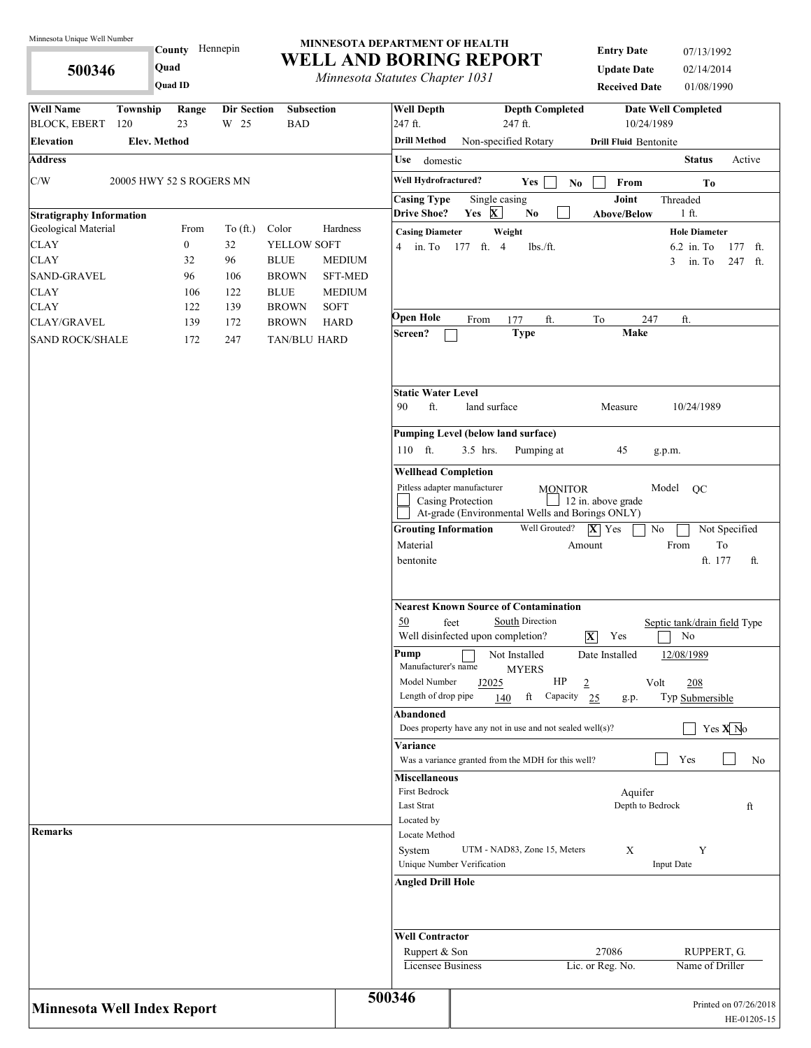**500346** 

**County** Hennepin **Quad**

**Quad ID**

**MINNESOTA DEPARTMENT OF HEALTH WELL AND BORING REPORT**

*Minnesota Statutes Chapter 1031*

**Entry Date** 07/13/1992 **Update Date** 02/14/2014 **Received Date** 01/08/1990

| <b>Well Name</b>                   | Township                 | Range<br>23      | <b>Dir Section</b><br>W 25 | <b>Subsection</b><br><b>BAD</b>                                                                                                                             |                                                                                                                                                                                                                                                       | <b>Well Depth</b><br>247 ft.                                             | <b>Depth Completed</b><br><b>Date Well Completed</b><br>10/24/1989                                     |
|------------------------------------|--------------------------|------------------|----------------------------|-------------------------------------------------------------------------------------------------------------------------------------------------------------|-------------------------------------------------------------------------------------------------------------------------------------------------------------------------------------------------------------------------------------------------------|--------------------------------------------------------------------------|--------------------------------------------------------------------------------------------------------|
| <b>BLOCK, EBERT</b>                | 120                      |                  |                            |                                                                                                                                                             |                                                                                                                                                                                                                                                       | <b>Drill Method</b>                                                      | 247 ft.                                                                                                |
| <b>Elevation</b>                   | <b>Elev. Method</b>      |                  |                            |                                                                                                                                                             |                                                                                                                                                                                                                                                       |                                                                          | Non-specified Rotary<br><b>Drill Fluid Bentonite</b>                                                   |
| <b>Address</b>                     |                          |                  |                            |                                                                                                                                                             |                                                                                                                                                                                                                                                       | Use<br>domestic                                                          | <b>Status</b><br>Active                                                                                |
| C/W                                | 20005 HWY 52 S ROGERS MN |                  |                            |                                                                                                                                                             |                                                                                                                                                                                                                                                       | Well Hydrofractured?                                                     | Yes<br>$\mathbf{N}\mathbf{o}$<br>From<br>To                                                            |
|                                    |                          |                  |                            |                                                                                                                                                             |                                                                                                                                                                                                                                                       | <b>Casing Type</b>                                                       | Joint<br>Single casing<br>Threaded                                                                     |
| <b>Stratigraphy Information</b>    |                          |                  |                            |                                                                                                                                                             |                                                                                                                                                                                                                                                       | <b>Drive Shoe?</b>                                                       | Yes $X$<br>1 ft.<br>N <sub>0</sub><br><b>Above/Below</b>                                               |
| Geological Material                |                          | From             | To $(ft.)$                 | Color                                                                                                                                                       | Hardness                                                                                                                                                                                                                                              | <b>Casing Diameter</b>                                                   | Weight<br><b>Hole Diameter</b>                                                                         |
| <b>CLAY</b>                        |                          | $\boldsymbol{0}$ | 32                         | YELLOW SOFT                                                                                                                                                 |                                                                                                                                                                                                                                                       | $4 \quad$ in. To                                                         | 6.2 in. To<br>177 ft. 4<br>lbs./ft.<br>177 ft.                                                         |
| <b>CLAY</b>                        |                          | 32               | 96                         | <b>BLUE</b>                                                                                                                                                 | <b>MEDIUM</b>                                                                                                                                                                                                                                         |                                                                          | 3<br>in. To<br>247 ft.                                                                                 |
| <b>SAND-GRAVEL</b>                 |                          | 96               | 106                        | <b>BROWN</b>                                                                                                                                                | <b>SFT-MED</b>                                                                                                                                                                                                                                        |                                                                          |                                                                                                        |
| <b>CLAY</b><br><b>CLAY</b>         |                          | 106<br>122       | 122<br>139                 | <b>BLUE</b><br><b>BROWN</b>                                                                                                                                 | <b>MEDIUM</b><br><b>SOFT</b>                                                                                                                                                                                                                          |                                                                          |                                                                                                        |
| <b>CLAY/GRAVEL</b>                 |                          | 139              | 172                        | <b>BROWN</b>                                                                                                                                                | <b>HARD</b>                                                                                                                                                                                                                                           | Open Hole                                                                | ft.<br>From<br>177<br>ft.<br>To<br>247                                                                 |
| <b>SAND ROCK/SHALE</b>             |                          | 172              | 247                        | TAN/BLU HARD                                                                                                                                                |                                                                                                                                                                                                                                                       | Screen?                                                                  | <b>Type</b><br>Make                                                                                    |
|                                    |                          |                  |                            |                                                                                                                                                             |                                                                                                                                                                                                                                                       | <b>Static Water Level</b>                                                |                                                                                                        |
|                                    |                          |                  |                            |                                                                                                                                                             |                                                                                                                                                                                                                                                       | ft.<br>90                                                                | 10/24/1989<br>land surface<br>Measure                                                                  |
|                                    |                          |                  |                            |                                                                                                                                                             |                                                                                                                                                                                                                                                       |                                                                          | <b>Pumping Level (below land surface)</b>                                                              |
|                                    |                          |                  |                            |                                                                                                                                                             |                                                                                                                                                                                                                                                       | 110 ft.                                                                  | 3.5 hrs.<br>Pumping at<br>45<br>g.p.m.                                                                 |
|                                    |                          |                  |                            |                                                                                                                                                             |                                                                                                                                                                                                                                                       | <b>Wellhead Completion</b>                                               |                                                                                                        |
|                                    |                          |                  |                            | Pitless adapter manufacturer<br>Model<br>OC<br><b>MONITOR</b><br>12 in. above grade<br>Casing Protection<br>At-grade (Environmental Wells and Borings ONLY) |                                                                                                                                                                                                                                                       |                                                                          |                                                                                                        |
|                                    |                          |                  |                            |                                                                                                                                                             |                                                                                                                                                                                                                                                       | <b>Grouting Information</b><br>Material<br>bentonite                     | Well Grouted?<br>$ \mathbf{X} $ Yes<br>No<br>Not Specified<br>To<br>From<br>Amount<br>ft. 177<br>ft.   |
|                                    |                          |                  |                            | 50<br>Pump<br>Manufacturer's name                                                                                                                           | <b>Nearest Known Source of Contamination</b><br>South Direction<br>feet<br>Septic tank/drain field Type<br>Well disinfected upon completion?<br>Yes<br>No<br>$\overline{\mathbf{X}}$<br>Not Installed<br>Date Installed<br>12/08/1989<br><b>MYERS</b> |                                                                          |                                                                                                        |
|                                    |                          |                  |                            |                                                                                                                                                             |                                                                                                                                                                                                                                                       | Model Number<br>Length of drop pipe                                      | HP<br>$\overline{2}$<br>Volt<br>208<br>J2025<br>ft<br>Capacity<br>Typ Submersible<br>140<br>25<br>g.p. |
|                                    |                          |                  |                            |                                                                                                                                                             |                                                                                                                                                                                                                                                       | Abandoned                                                                | Yes $\overline{X}$ No<br>Does property have any not in use and not sealed well $(s)$ ?                 |
|                                    |                          |                  |                            |                                                                                                                                                             |                                                                                                                                                                                                                                                       | <b>Variance</b>                                                          | Yes<br>Was a variance granted from the MDH for this well?<br>No                                        |
|                                    |                          |                  |                            |                                                                                                                                                             |                                                                                                                                                                                                                                                       | <b>Miscellaneous</b><br>First Bedrock<br><b>Last Strat</b><br>Located by | Aquifer<br>Depth to Bedrock<br>ft                                                                      |
| Remarks                            |                          |                  |                            |                                                                                                                                                             |                                                                                                                                                                                                                                                       | Locate Method<br>System                                                  | UTM - NAD83, Zone 15, Meters<br>X<br>Y<br>Unique Number Verification<br><b>Input Date</b>              |
|                                    |                          |                  |                            |                                                                                                                                                             |                                                                                                                                                                                                                                                       | Angled Drill Hole                                                        |                                                                                                        |
|                                    |                          |                  |                            |                                                                                                                                                             |                                                                                                                                                                                                                                                       | <b>Well Contractor</b>                                                   |                                                                                                        |
|                                    |                          |                  |                            |                                                                                                                                                             |                                                                                                                                                                                                                                                       | Ruppert & Son<br>Licensee Business                                       | 27086<br>RUPPERT, G.<br>Lic. or Reg. No.<br>Name of Driller                                            |
| <b>Minnesota Well Index Report</b> |                          |                  |                            |                                                                                                                                                             |                                                                                                                                                                                                                                                       | 500346                                                                   | Printed on 07/26/2018<br>HE-01205-15                                                                   |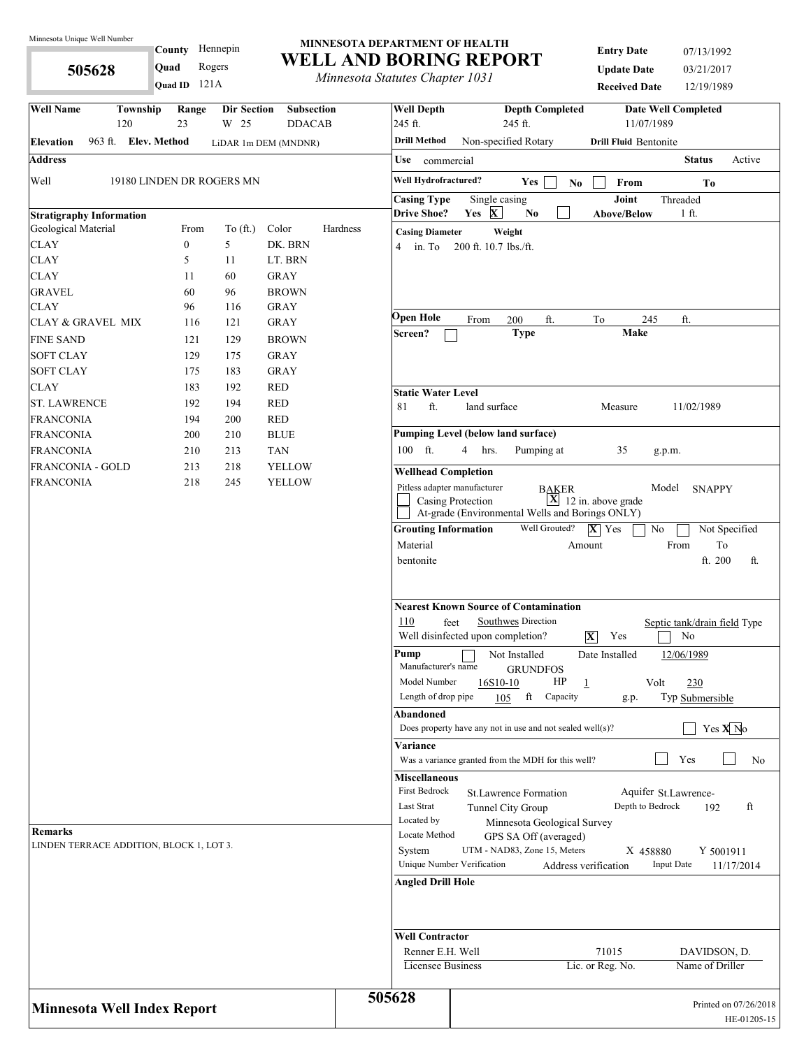**505628** 

#### County Hennepin 121A **Quad ID Quad** Rogers

#### **MINNESOTA DEPARTMENT OF HEALTH WELL AND BORING REPORT**

*Minnesota Statutes Chapter 1031*

| <b>Entry Date</b>    | 07/13/1992 |
|----------------------|------------|
| <b>Update Date</b>   | 03/21/2017 |
| <b>Received Date</b> | 12/19/1989 |

| <b>Well Name</b>                                           |  | Township                    | Range<br>23              | <b>Dir Section</b>        | <b>Subsection</b>    |          | <b>Well Depth</b><br>245 ft.                                                                                                                                                                                                                                                | <b>Depth Completed</b><br><b>Date Well Completed</b><br>11/07/1989                                                                                                                                                                                                                                             |  |  |  |  |  |
|------------------------------------------------------------|--|-----------------------------|--------------------------|---------------------------|----------------------|----------|-----------------------------------------------------------------------------------------------------------------------------------------------------------------------------------------------------------------------------------------------------------------------------|----------------------------------------------------------------------------------------------------------------------------------------------------------------------------------------------------------------------------------------------------------------------------------------------------------------|--|--|--|--|--|
|                                                            |  | 120<br>963 ft. Elev. Method |                          | W 25                      | <b>DDACAB</b>        |          | <b>Drill Method</b>                                                                                                                                                                                                                                                         | 245 ft.                                                                                                                                                                                                                                                                                                        |  |  |  |  |  |
| Elevation                                                  |  |                             |                          |                           | LiDAR 1m DEM (MNDNR) |          |                                                                                                                                                                                                                                                                             | Non-specified Rotary<br><b>Drill Fluid Bentonite</b>                                                                                                                                                                                                                                                           |  |  |  |  |  |
| <b>Address</b>                                             |  |                             |                          |                           |                      |          | Use<br>commercial                                                                                                                                                                                                                                                           | <b>Status</b><br>Active                                                                                                                                                                                                                                                                                        |  |  |  |  |  |
| Well                                                       |  |                             |                          | 19180 LINDEN DR ROGERS MN |                      |          | Well Hydrofractured?                                                                                                                                                                                                                                                        | Yes<br>From<br>N <sub>0</sub><br>T <sub>0</sub>                                                                                                                                                                                                                                                                |  |  |  |  |  |
|                                                            |  |                             |                          |                           |                      |          | <b>Casing Type</b>                                                                                                                                                                                                                                                          | Joint<br>Single casing<br>Threaded                                                                                                                                                                                                                                                                             |  |  |  |  |  |
| <b>Stratigraphy Information</b>                            |  |                             |                          |                           | Color                | Hardness | <b>Drive Shoe?</b>                                                                                                                                                                                                                                                          | Yes X<br>N <sub>0</sub><br><b>Above/Below</b><br>1 ft.                                                                                                                                                                                                                                                         |  |  |  |  |  |
| Geological Material<br><b>CLAY</b>                         |  |                             | From<br>$\boldsymbol{0}$ | To (ft.)<br>5             | DK. BRN              |          | <b>Casing Diameter</b>                                                                                                                                                                                                                                                      | Weight                                                                                                                                                                                                                                                                                                         |  |  |  |  |  |
| <b>CLAY</b>                                                |  |                             | 5                        | 11                        | LT. BRN              |          | 4<br>in. To                                                                                                                                                                                                                                                                 | 200 ft. 10.7 lbs./ft.                                                                                                                                                                                                                                                                                          |  |  |  |  |  |
| <b>CLAY</b>                                                |  |                             | 11                       | 60                        | <b>GRAY</b>          |          |                                                                                                                                                                                                                                                                             |                                                                                                                                                                                                                                                                                                                |  |  |  |  |  |
| <b>GRAVEL</b>                                              |  |                             | 60                       | 96                        | <b>BROWN</b>         |          |                                                                                                                                                                                                                                                                             |                                                                                                                                                                                                                                                                                                                |  |  |  |  |  |
| CLAY                                                       |  |                             | 96                       | 116                       | <b>GRAY</b>          |          |                                                                                                                                                                                                                                                                             |                                                                                                                                                                                                                                                                                                                |  |  |  |  |  |
| CLAY & GRAVEL MIX                                          |  |                             | 116                      | 121                       | <b>GRAY</b>          |          | Open Hole                                                                                                                                                                                                                                                                   | ft.<br>245<br>ft.<br>200<br>To<br>From                                                                                                                                                                                                                                                                         |  |  |  |  |  |
| <b>FINE SAND</b>                                           |  |                             | 121                      | 129                       | <b>BROWN</b>         |          | Screen?                                                                                                                                                                                                                                                                     | <b>Make</b><br><b>Type</b>                                                                                                                                                                                                                                                                                     |  |  |  |  |  |
| <b>SOFT CLAY</b>                                           |  |                             | 129                      | 175                       | <b>GRAY</b>          |          |                                                                                                                                                                                                                                                                             |                                                                                                                                                                                                                                                                                                                |  |  |  |  |  |
| <b>SOFT CLAY</b>                                           |  |                             | 175                      | 183                       | <b>GRAY</b>          |          |                                                                                                                                                                                                                                                                             |                                                                                                                                                                                                                                                                                                                |  |  |  |  |  |
| CLAY                                                       |  |                             | 183                      | 192                       | <b>RED</b>           |          | <b>Static Water Level</b>                                                                                                                                                                                                                                                   |                                                                                                                                                                                                                                                                                                                |  |  |  |  |  |
| <b>ST. LAWRENCE</b>                                        |  |                             | 192                      | 194                       | <b>RED</b>           |          | ft.<br>81                                                                                                                                                                                                                                                                   | land surface<br>11/02/1989<br>Measure                                                                                                                                                                                                                                                                          |  |  |  |  |  |
| <b>FRANCONIA</b>                                           |  |                             | 194                      | 200                       | <b>RED</b>           |          |                                                                                                                                                                                                                                                                             |                                                                                                                                                                                                                                                                                                                |  |  |  |  |  |
| FRANCONIA                                                  |  |                             | 200                      | 210                       | <b>BLUE</b>          |          |                                                                                                                                                                                                                                                                             | <b>Pumping Level (below land surface)</b>                                                                                                                                                                                                                                                                      |  |  |  |  |  |
| FRANCONIA                                                  |  |                             | 210                      | 213                       | <b>TAN</b>           |          | 100 ft.                                                                                                                                                                                                                                                                     | 35<br>Pumping at<br>4<br>hrs.<br>g.p.m.                                                                                                                                                                                                                                                                        |  |  |  |  |  |
| FRANCONIA - GOLD                                           |  |                             | 213                      | 218                       | <b>YELLOW</b>        |          | <b>Wellhead Completion</b>                                                                                                                                                                                                                                                  |                                                                                                                                                                                                                                                                                                                |  |  |  |  |  |
| <b>FRANCONIA</b>                                           |  |                             | 218                      | 245                       | <b>YELLOW</b>        |          |                                                                                                                                                                                                                                                                             | Pitless adapter manufacturer<br>Model<br><b>BAKER</b><br><b>SNAPPY</b><br>$\boxed{\mathbf{X}}$ 12 in. above grade<br>Casing Protection<br>At-grade (Environmental Wells and Borings ONLY)                                                                                                                      |  |  |  |  |  |
|                                                            |  |                             |                          |                           |                      |          | <b>Grouting Information</b><br>Material<br>bentonite                                                                                                                                                                                                                        | Well Grouted?<br>$ \overline{\mathbf{X}} $ Yes<br>No<br>Not Specified<br>From<br>To<br>Amount<br>ft. 200<br>ft.                                                                                                                                                                                                |  |  |  |  |  |
|                                                            |  |                             |                          |                           |                      |          | 110<br>Pump<br>Manufacturer's name<br>Model Number                                                                                                                                                                                                                          | <b>Nearest Known Source of Contamination</b><br>Southwes Direction<br>feet<br>Septic tank/drain field Type<br>Well disinfected upon completion?<br>$\overline{\mathbf{X}}$<br>Yes<br>No<br>Not Installed<br>Date Installed<br>12/06/1989<br><b>GRUNDFOS</b><br>HP<br>230<br>16S10-10<br>$\overline{1}$<br>Volt |  |  |  |  |  |
|                                                            |  |                             |                          |                           |                      |          | Length of drop pipe                                                                                                                                                                                                                                                         | Capacity<br>ft<br>Typ Submersible<br>105<br>g.p.                                                                                                                                                                                                                                                               |  |  |  |  |  |
|                                                            |  |                             |                          |                           |                      |          | Abandoned                                                                                                                                                                                                                                                                   |                                                                                                                                                                                                                                                                                                                |  |  |  |  |  |
|                                                            |  |                             |                          |                           |                      |          |                                                                                                                                                                                                                                                                             | Yes $X$ No<br>Does property have any not in use and not sealed well(s)?                                                                                                                                                                                                                                        |  |  |  |  |  |
|                                                            |  |                             |                          |                           |                      |          | Variance                                                                                                                                                                                                                                                                    |                                                                                                                                                                                                                                                                                                                |  |  |  |  |  |
|                                                            |  |                             |                          |                           |                      |          | Yes<br>Was a variance granted from the MDH for this well?<br>No<br><b>Miscellaneous</b><br>First Bedrock<br>Aquifer St.Lawrence-<br>St. Lawrence Formation<br>Last Strat<br>Depth to Bedrock<br>ft<br>192<br>Tunnel City Group<br>Located by<br>Minnesota Geological Survey |                                                                                                                                                                                                                                                                                                                |  |  |  |  |  |
| <b>Remarks</b><br>LINDEN TERRACE ADDITION, BLOCK 1, LOT 3. |  |                             |                          |                           |                      |          | Locate Method<br>GPS SA Off (averaged)<br>UTM - NAD83, Zone 15, Meters<br>System<br>Y 5001911<br>X 458880<br>Unique Number Verification<br><b>Input Date</b><br>Address verification<br>11/17/2014<br><b>Angled Drill Hole</b>                                              |                                                                                                                                                                                                                                                                                                                |  |  |  |  |  |
|                                                            |  |                             |                          |                           |                      |          | <b>Well Contractor</b><br>Renner E.H. Well<br>Licensee Business                                                                                                                                                                                                             | 71015<br>DAVIDSON, D.<br>Lic. or Reg. No.<br>Name of Driller                                                                                                                                                                                                                                                   |  |  |  |  |  |
| <b>Minnesota Well Index Report</b>                         |  |                             |                          |                           |                      |          | 505628                                                                                                                                                                                                                                                                      | Printed on 07/26/2018<br>HE-01205-15                                                                                                                                                                                                                                                                           |  |  |  |  |  |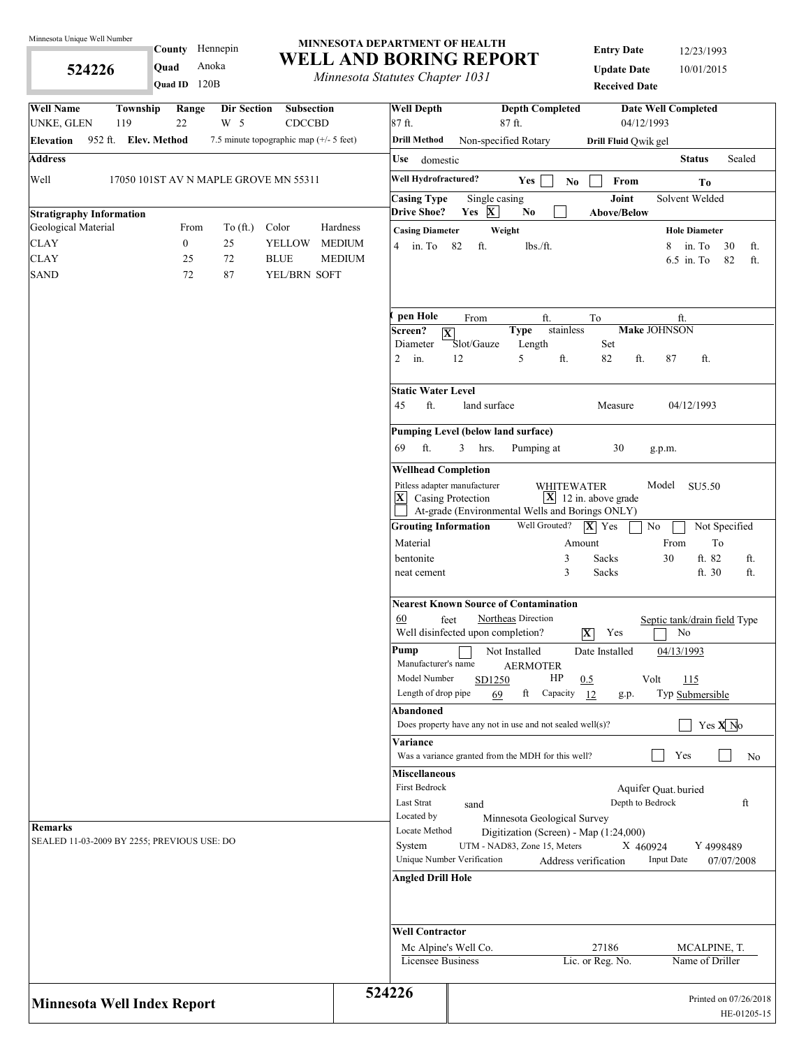**524226** 

County Hennepin

**Quad** Anoka

#### **MINNESOTA DEPARTMENT OF HEALTH WELL AND BORING REPORT**

*Minnesota Statutes Chapter 1031*

**Entry Date** 12/23/1993 **Update Date** 10/01/2015 **Received Date**

| Quad ID 120B                                                                                                                 | <i>Internessue Statutes Chapter 1051</i> |                                          |                                                                                                         | <b>Received Date</b>                    |                                    |                       |  |  |  |
|------------------------------------------------------------------------------------------------------------------------------|------------------------------------------|------------------------------------------|---------------------------------------------------------------------------------------------------------|-----------------------------------------|------------------------------------|-----------------------|--|--|--|
| <b>Well Name</b><br>Township<br>Range<br>Dir Section<br><b>Subsection</b><br>22<br>W 5<br><b>CDCCBD</b><br>UNKE, GLEN<br>119 | 87 ft.                                   | <b>Well Depth</b>                        | <b>Depth Completed</b><br>87 ft.                                                                        | 04/12/1993                              | <b>Date Well Completed</b>         |                       |  |  |  |
| 952 ft. Elev. Method<br>7.5 minute topographic map (+/- 5 feet)<br>Elevation                                                 |                                          | <b>Drill Method</b>                      | Non-specified Rotary                                                                                    | Drill Fluid Qwik gel                    |                                    |                       |  |  |  |
| <b>Address</b>                                                                                                               |                                          | Use domestic                             |                                                                                                         |                                         | <b>Status</b>                      | Sealed                |  |  |  |
| Well<br>17050 101ST AV N MAPLE GROVE MN 55311                                                                                |                                          | Well Hydrofractured?                     | Yes                                                                                                     | $\mathbf{No}$<br>From                   | To                                 |                       |  |  |  |
| <b>Stratigraphy Information</b>                                                                                              |                                          | <b>Casing Type</b><br><b>Drive Shoe?</b> | Single casing<br>Yes $X$<br>N <sub>0</sub>                                                              | Joint<br><b>Above/Below</b>             | Solvent Welded                     |                       |  |  |  |
| Geological Material<br>To $(\text{ft.})$<br>Color<br>From                                                                    | Hardness                                 | <b>Casing Diameter</b>                   | Weight                                                                                                  |                                         | <b>Hole Diameter</b>               |                       |  |  |  |
| <b>CLAY</b><br>$\boldsymbol{0}$<br>25<br><b>YELLOW</b>                                                                       | <b>MEDIUM</b>                            | $4 \quad \text{in. To}$<br>82            | ft.<br>lbs./ft.                                                                                         |                                         | 8<br>in. To                        | 30<br>ft.             |  |  |  |
| <b>CLAY</b><br>$72\,$<br>25<br><b>BLUE</b>                                                                                   | <b>MEDIUM</b>                            |                                          |                                                                                                         |                                         | 6.5 in. To                         | 82<br>ft.             |  |  |  |
| <b>SAND</b><br>87<br>YEL/BRN SOFT<br>72                                                                                      |                                          |                                          |                                                                                                         |                                         |                                    |                       |  |  |  |
|                                                                                                                              |                                          | pen Hole                                 | From<br>ft.                                                                                             | To                                      | ft.                                |                       |  |  |  |
|                                                                                                                              |                                          | Screen?<br>$ \mathbf{X} $                | <b>Type</b>                                                                                             | stainless                               | <b>Make JOHNSON</b>                |                       |  |  |  |
|                                                                                                                              | $\overline{2}$                           | Diameter<br>12<br>in.                    | Slot/Gauze<br>Length<br>5<br>ft.                                                                        | Set<br>ft.<br>82                        | 87<br>ft.                          |                       |  |  |  |
|                                                                                                                              | 45                                       | <b>Static Water Level</b><br>ft.         | land surface                                                                                            | Measure                                 | 04/12/1993                         |                       |  |  |  |
|                                                                                                                              |                                          |                                          | <b>Pumping Level (below land surface)</b>                                                               |                                         |                                    |                       |  |  |  |
|                                                                                                                              | 69                                       | ft.<br>3                                 | Pumping at<br>hrs.                                                                                      | 30                                      | g.p.m.                             |                       |  |  |  |
|                                                                                                                              |                                          | <b>Wellhead Completion</b>               |                                                                                                         |                                         |                                    |                       |  |  |  |
|                                                                                                                              |                                          | Pitless adapter manufacturer             |                                                                                                         | <b>WHITEWATER</b>                       | Model SU5.50                       |                       |  |  |  |
|                                                                                                                              |                                          | $ \mathbf{X} $ Casing Protection         | At-grade (Environmental Wells and Borings ONLY)                                                         | $\boxed{\mathbf{X}}$ 12 in. above grade |                                    |                       |  |  |  |
|                                                                                                                              |                                          | <b>Grouting Information</b>              | Well Grouted?                                                                                           | $ \mathbf{X} $ Yes<br>$\rm No$          | Not Specified                      |                       |  |  |  |
|                                                                                                                              |                                          | Material                                 |                                                                                                         | Amount                                  | From<br>To                         |                       |  |  |  |
|                                                                                                                              |                                          | bentonite<br>neat cement                 |                                                                                                         | 3<br>Sacks<br>3<br>Sacks                | ft. 82<br>30<br>ft. 30             | ft.<br>ft.            |  |  |  |
|                                                                                                                              |                                          |                                          |                                                                                                         |                                         |                                    |                       |  |  |  |
|                                                                                                                              | 60                                       | feet                                     | <b>Nearest Known Source of Contamination</b><br>Northeas Direction<br>Well disinfected upon completion? | $\overline{\mathbf{X}}$<br>Yes          | Septic tank/drain field Type<br>No |                       |  |  |  |
|                                                                                                                              | Pump                                     | Manufacturer's name                      | Not Installed<br><b>AERMOTER</b>                                                                        | Date Installed                          | 04/13/1993                         |                       |  |  |  |
|                                                                                                                              |                                          | Model Number                             | HP<br>SD1250                                                                                            | Volt<br>0.5                             | 115                                |                       |  |  |  |
|                                                                                                                              |                                          | Length of drop pipe                      | ft<br>Capacity<br>69                                                                                    | 12<br>g.p.                              | Typ Submersible                    |                       |  |  |  |
|                                                                                                                              |                                          | Abandoned                                | Does property have any not in use and not sealed well $(s)$ ?                                           |                                         | Yes $X$ No                         |                       |  |  |  |
|                                                                                                                              |                                          | <b>Variance</b>                          |                                                                                                         |                                         |                                    |                       |  |  |  |
|                                                                                                                              |                                          |                                          | Was a variance granted from the MDH for this well?                                                      |                                         | Yes                                | No                    |  |  |  |
|                                                                                                                              |                                          | <b>Miscellaneous</b><br>First Bedrock    |                                                                                                         |                                         | Aquifer Quat. buried               |                       |  |  |  |
|                                                                                                                              |                                          | Last Strat                               | sand                                                                                                    | Depth to Bedrock                        |                                    | ft                    |  |  |  |
|                                                                                                                              |                                          | Located by                               | Minnesota Geological Survey                                                                             |                                         |                                    |                       |  |  |  |
| <b>Remarks</b>                                                                                                               |                                          | Locate Method                            | Digitization (Screen) - Map (1:24,000)                                                                  |                                         |                                    |                       |  |  |  |
| SEALED 11-03-2009 BY 2255; PREVIOUS USE: DO                                                                                  |                                          | System                                   | UTM - NAD83, Zone 15, Meters                                                                            | X 460924                                | Y 4998489                          |                       |  |  |  |
|                                                                                                                              |                                          | Unique Number Verification               |                                                                                                         | Address verification                    | <b>Input Date</b>                  | 07/07/2008            |  |  |  |
|                                                                                                                              |                                          | Angled Drill Hole                        |                                                                                                         |                                         |                                    |                       |  |  |  |
|                                                                                                                              |                                          | <b>Well Contractor</b>                   |                                                                                                         |                                         |                                    |                       |  |  |  |
|                                                                                                                              |                                          | Mc Alpine's Well Co.                     |                                                                                                         | 27186                                   | MCALPINE, T.                       |                       |  |  |  |
|                                                                                                                              |                                          | Licensee Business                        |                                                                                                         | Lic. or Reg. No.                        | Name of Driller                    |                       |  |  |  |
| <b>Minnesota Well Index Report</b>                                                                                           | 524226                                   |                                          |                                                                                                         |                                         |                                    | Printed on 07/26/2018 |  |  |  |
|                                                                                                                              |                                          |                                          |                                                                                                         |                                         |                                    | HE-01205-15           |  |  |  |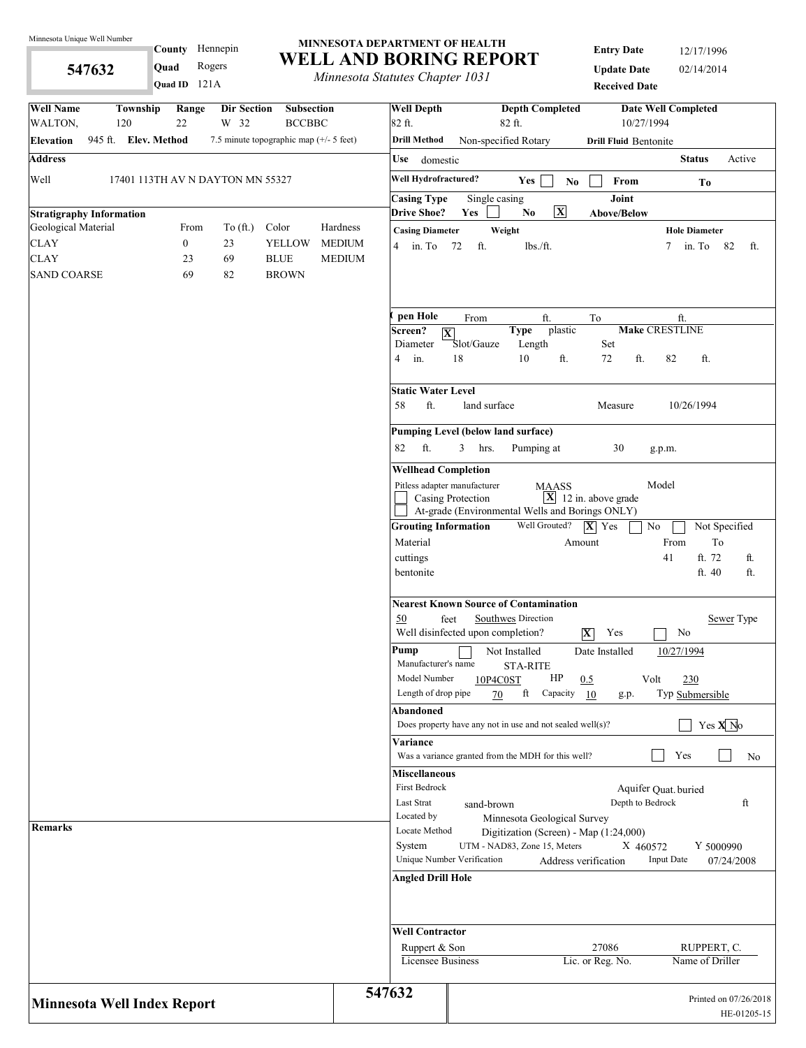**547632** 

County Hennepin

**Quad** Rogers

#### **MINNESOTA DEPARTMENT OF HEALTH WELL AND BORING REPORT**

*Minnesota Statutes Chapter 1031*

**Entry Date** 12/17/1996 **Update Date** 02/14/2014 **Received Date**

|                                    |  |                              | Quad ID 121A           |                                                 |                                         |                                | minicson saudics chapter 1051      |            |                                                                        | <b>Received Date</b>           |                            |                                      |
|------------------------------------|--|------------------------------|------------------------|-------------------------------------------------|-----------------------------------------|--------------------------------|------------------------------------|------------|------------------------------------------------------------------------|--------------------------------|----------------------------|--------------------------------------|
| <b>Well Name</b><br>WALTON,        |  | Township<br>120              | Range<br>22            | Dir Section<br>W 32                             | <b>Subsection</b><br><b>BCCBBC</b>      |                                | <b>Well Depth</b><br>82 ft.        |            | <b>Depth Completed</b><br>82 ft.                                       | 10/27/1994                     | <b>Date Well Completed</b> |                                      |
| <b>Elevation</b>                   |  | 945 ft. Elev. Method         |                        |                                                 | 7.5 minute topographic map (+/- 5 feet) |                                | <b>Drill Method</b>                |            | Non-specified Rotary                                                   | <b>Drill Fluid Bentonite</b>   |                            |                                      |
| <b>Address</b>                     |  |                              |                        |                                                 |                                         |                                | Use<br>domestic                    |            |                                                                        |                                | <b>Status</b>              | Active                               |
| Well                               |  |                              |                        | 17401 113TH AV N DAYTON MN 55327                |                                         |                                | Well Hydrofractured?               |            | Yes<br>No                                                              | From                           | T <sub>0</sub>             |                                      |
|                                    |  |                              |                        |                                                 |                                         |                                | <b>Casing Type</b>                 |            | Single casing                                                          | Joint                          |                            |                                      |
| <b>Stratigraphy Information</b>    |  |                              |                        |                                                 |                                         |                                | <b>Drive Shoe?</b>                 | Yes        | $\boxed{\mathbf{X}}$<br>$\mathbf{N}\mathbf{o}$                         | Above/Below                    |                            |                                      |
| Geological Material                |  |                              | From                   | To $(\text{ft.})$                               | Color                                   | Hardness                       | <b>Casing Diameter</b>             |            | Weight                                                                 |                                | <b>Hole Diameter</b>       |                                      |
| <b>CLAY</b><br><b>CLAY</b>         |  |                              | $\boldsymbol{0}$<br>23 | 23<br>69                                        | <b>YELLOW</b><br><b>BLUE</b>            | <b>MEDIUM</b><br><b>MEDIUM</b> | $4 \quad \text{in. To}$            | ft.<br>72  | lbs./ft.                                                               |                                | in. To<br>7                | 82<br>ft.                            |
| <b>SAND COARSE</b>                 |  |                              | 69                     | 82                                              | <b>BROWN</b>                            |                                |                                    |            |                                                                        |                                |                            |                                      |
|                                    |  |                              |                        |                                                 |                                         |                                |                                    |            |                                                                        |                                |                            |                                      |
|                                    |  |                              |                        |                                                 |                                         |                                | pen Hole                           | From       | ft.                                                                    | To                             | ft.                        |                                      |
|                                    |  |                              |                        |                                                 |                                         |                                | Screen?<br>$\overline{\mathbf{X}}$ |            | plastic<br><b>Type</b>                                                 |                                | <b>Make CRESTLINE</b>      |                                      |
|                                    |  |                              |                        |                                                 |                                         |                                | Diameter                           | Slot/Gauze | Length                                                                 | Set                            |                            |                                      |
|                                    |  |                              |                        |                                                 |                                         |                                | in.<br>4                           | 18         | 10<br>ft.                                                              | 72<br>ft.                      | 82<br>ft.                  |                                      |
|                                    |  |                              |                        |                                                 |                                         |                                | <b>Static Water Level</b>          |            |                                                                        |                                |                            |                                      |
|                                    |  |                              | ft.<br>58              |                                                 | land surface                            | Measure                        | 10/26/1994                         |            |                                                                        |                                |                            |                                      |
|                                    |  |                              |                        |                                                 |                                         |                                |                                    |            | <b>Pumping Level (below land surface)</b>                              |                                |                            |                                      |
|                                    |  |                              |                        |                                                 |                                         |                                | ft.<br>82                          | 3<br>hrs.  | Pumping at                                                             | 30                             | g.p.m.                     |                                      |
|                                    |  | <b>Wellhead Completion</b>   |                        |                                                 |                                         |                                |                                    |            |                                                                        |                                |                            |                                      |
|                                    |  | Pitless adapter manufacturer | Casing Protection      | <b>MAASS</b>                                    | $\boxed{\mathbf{X}}$ 12 in. above grade | Model                          |                                    |            |                                                                        |                                |                            |                                      |
|                                    |  |                              |                        | At-grade (Environmental Wells and Borings ONLY) |                                         |                                |                                    |            |                                                                        |                                |                            |                                      |
|                                    |  |                              |                        |                                                 |                                         |                                | <b>Grouting Information</b>        |            | Well Grouted?                                                          | $ \mathbf{X} $ Yes             | No                         | Not Specified                        |
|                                    |  |                              |                        |                                                 |                                         |                                | Material                           |            |                                                                        | Amount                         | From                       | To                                   |
|                                    |  |                              |                        |                                                 |                                         |                                | cuttings                           |            |                                                                        |                                | 41                         | ft. 72<br>ft.                        |
|                                    |  |                              |                        |                                                 |                                         |                                | bentonite                          |            |                                                                        |                                |                            | ft. 40<br>ft.                        |
|                                    |  |                              |                        |                                                 |                                         |                                |                                    |            | <b>Nearest Known Source of Contamination</b>                           |                                |                            |                                      |
|                                    |  |                              |                        |                                                 |                                         |                                | 50                                 | feet       | Southwes Direction                                                     |                                |                            | Sewer Type                           |
|                                    |  |                              |                        |                                                 |                                         |                                |                                    |            | Well disinfected upon completion?                                      | $\overline{\mathbf{X}}$<br>Yes | No                         |                                      |
|                                    |  |                              |                        |                                                 |                                         |                                | Pump<br>Manufacturer's name        |            | Not Installed                                                          | Date Installed                 | 10/27/1994                 |                                      |
|                                    |  |                              |                        |                                                 |                                         |                                | Model Number                       |            | <b>STA-RITE</b><br>HP<br>10P4C0ST                                      | 0.5                            | Volt<br>230                |                                      |
|                                    |  |                              |                        |                                                 |                                         |                                | Length of drop pipe                |            | ft<br>Capacity<br>70                                                   | 10<br>g.p.                     | Typ Submersible            |                                      |
|                                    |  |                              |                        |                                                 |                                         |                                | Abandoned                          |            |                                                                        |                                |                            |                                      |
|                                    |  |                              |                        |                                                 |                                         |                                |                                    |            | Does property have any not in use and not sealed well $(s)$ ?          |                                |                            | Yes $X$ <sup>No</sup>                |
|                                    |  |                              |                        |                                                 |                                         |                                | Variance                           |            | Was a variance granted from the MDH for this well?                     |                                | Yes                        | No                                   |
|                                    |  |                              |                        |                                                 |                                         |                                | <b>Miscellaneous</b>               |            |                                                                        |                                |                            |                                      |
|                                    |  |                              |                        |                                                 |                                         |                                | First Bedrock                      |            |                                                                        |                                | Aquifer Quat. buried       |                                      |
|                                    |  |                              |                        |                                                 |                                         |                                | Last Strat                         |            | sand-brown                                                             | Depth to Bedrock               |                            | ft                                   |
| <b>Remarks</b>                     |  |                              |                        |                                                 |                                         |                                | Located by<br>Locate Method        |            | Minnesota Geological Survey                                            |                                |                            |                                      |
|                                    |  |                              |                        |                                                 |                                         |                                | System                             |            | Digitization (Screen) - Map (1:24,000)<br>UTM - NAD83, Zone 15, Meters | X 460572                       |                            | Y 5000990                            |
|                                    |  |                              |                        |                                                 |                                         |                                | Unique Number Verification         |            |                                                                        | Address verification           | <b>Input Date</b>          | 07/24/2008                           |
|                                    |  |                              |                        |                                                 |                                         |                                | <b>Angled Drill Hole</b>           |            |                                                                        |                                |                            |                                      |
|                                    |  |                              |                        |                                                 |                                         |                                | <b>Well Contractor</b>             |            |                                                                        |                                |                            |                                      |
|                                    |  |                              |                        |                                                 |                                         |                                | Ruppert & Son                      |            |                                                                        | 27086                          |                            | RUPPERT, C.                          |
|                                    |  |                              |                        |                                                 |                                         |                                | <b>Licensee Business</b>           |            |                                                                        | Lic. or Reg. No.               | Name of Driller            |                                      |
|                                    |  |                              |                        |                                                 |                                         |                                | 547632                             |            |                                                                        |                                |                            |                                      |
| <b>Minnesota Well Index Report</b> |  |                              |                        |                                                 |                                         |                                |                                    |            |                                                                        |                                |                            | Printed on 07/26/2018<br>HE-01205-15 |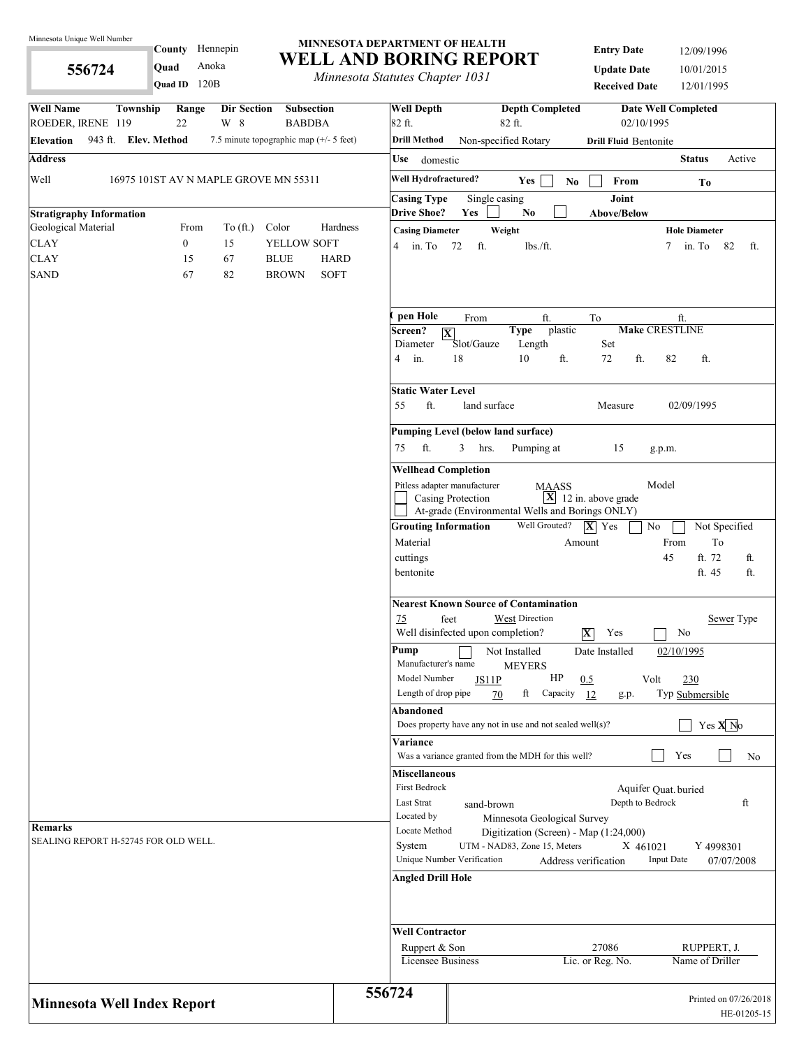**556724** 

County Hennepin

**Quad ID** 120B **Quad** Anoka

#### **MINNESOTA DEPARTMENT OF HEALTH WELL AND BORING REPORT**

*Minnesota Statutes Chapter 1031*

**Entry Date** 12/09/1996 **Update Date** 10/01/2015 **Received Date** 12/01/1995

| <b>Well Name</b><br>Township<br>Range<br>Dir Section<br><b>Subsection</b><br>ROEDER, IRENE 119<br>W 8<br>22<br><b>BABDBA</b> | 82 ft.         | <b>Well Depth</b>                                                                             | <b>Depth Completed</b><br>82 ft.                                       | 02/10/1995                      | <b>Date Well Completed</b>           |  |  |  |  |  |
|------------------------------------------------------------------------------------------------------------------------------|----------------|-----------------------------------------------------------------------------------------------|------------------------------------------------------------------------|---------------------------------|--------------------------------------|--|--|--|--|--|
| 943 ft. Elev. Method<br>7.5 minute topographic map (+/- 5 feet)<br><b>Elevation</b>                                          |                | <b>Drill Method</b>                                                                           | Non-specified Rotary                                                   | <b>Drill Fluid Bentonite</b>    |                                      |  |  |  |  |  |
| <b>Address</b>                                                                                                               | Use            | domestic                                                                                      |                                                                        |                                 | <b>Status</b><br>Active              |  |  |  |  |  |
| Well<br>16975 101ST AV N MAPLE GROVE MN 55311                                                                                |                | Well Hydrofractured?                                                                          | <b>Yes</b><br>N <sub>0</sub>                                           | From                            | To                                   |  |  |  |  |  |
|                                                                                                                              |                | <b>Casing Type</b>                                                                            | Single casing                                                          | Joint                           |                                      |  |  |  |  |  |
| <b>Stratigraphy Information</b>                                                                                              |                | <b>Drive Shoe?</b>                                                                            | Yes<br>N <sub>0</sub>                                                  | <b>Above/Below</b>              |                                      |  |  |  |  |  |
| Geological Material<br>From<br>To $(ft.)$<br>Color                                                                           | Hardness       | <b>Casing Diameter</b>                                                                        | Weight                                                                 |                                 | <b>Hole Diameter</b>                 |  |  |  |  |  |
| <b>CLAY</b><br>$\boldsymbol{0}$<br>15<br>YELLOW SOFT                                                                         | 4              | in. To<br>72                                                                                  | ft.<br>lbs./ft.                                                        |                                 | in. To<br>82<br>7<br>ft.             |  |  |  |  |  |
| 67<br><b>CLAY</b><br>15<br><b>BLUE</b>                                                                                       | <b>HARD</b>    |                                                                                               |                                                                        |                                 |                                      |  |  |  |  |  |
| <b>SAND</b><br><b>BROWN</b><br>67<br>82                                                                                      | <b>SOFT</b>    |                                                                                               |                                                                        |                                 |                                      |  |  |  |  |  |
|                                                                                                                              |                | pen Hole                                                                                      | ft.<br>From                                                            | To                              | ft.                                  |  |  |  |  |  |
|                                                                                                                              |                | Screen?<br>$\overline{\mathbf{X}}$<br>Diameter                                                | <b>Type</b><br>plastic<br>Length<br>Slot/Gauze                         | Set                             | <b>Make CRESTLINE</b>                |  |  |  |  |  |
|                                                                                                                              | $\overline{4}$ | 18<br>in.                                                                                     | 10<br>ft.                                                              | 72<br>ft.                       | 82<br>ft.                            |  |  |  |  |  |
|                                                                                                                              |                | <b>Static Water Level</b>                                                                     |                                                                        |                                 |                                      |  |  |  |  |  |
|                                                                                                                              |                | ft.<br>55<br>02/09/1995<br>land surface<br>Measure                                            |                                                                        |                                 |                                      |  |  |  |  |  |
|                                                                                                                              |                | Pumping Level (below land surface)                                                            |                                                                        |                                 |                                      |  |  |  |  |  |
|                                                                                                                              | 75             | ft.<br>3                                                                                      | hrs.<br>Pumping at                                                     | 15                              | g.p.m.                               |  |  |  |  |  |
|                                                                                                                              |                | <b>Wellhead Completion</b>                                                                    |                                                                        |                                 |                                      |  |  |  |  |  |
|                                                                                                                              |                | Pitless adapter manufacturer                                                                  | <b>MAASS</b>                                                           |                                 | Model                                |  |  |  |  |  |
|                                                                                                                              |                | Casing Protection                                                                             | At-grade (Environmental Wells and Borings ONLY)                        | $\mathbf{X}$ 12 in. above grade |                                      |  |  |  |  |  |
|                                                                                                                              |                | <b>Grouting Information</b>                                                                   | Well Grouted?                                                          | $ \mathbf{X} $ Yes              | No<br>Not Specified                  |  |  |  |  |  |
|                                                                                                                              |                | Material                                                                                      |                                                                        | Amount                          | From<br>To                           |  |  |  |  |  |
|                                                                                                                              |                | cuttings                                                                                      |                                                                        |                                 | ft. 72<br>45<br>ft.                  |  |  |  |  |  |
|                                                                                                                              |                | bentonite                                                                                     |                                                                        |                                 | ft.<br>ft. 45                        |  |  |  |  |  |
|                                                                                                                              |                |                                                                                               | <b>Nearest Known Source of Contamination</b>                           |                                 |                                      |  |  |  |  |  |
|                                                                                                                              | 75             | feet                                                                                          | <b>West Direction</b><br>Well disinfected upon completion?             | $ \mathbf{X} $<br>Yes           | Sewer Type<br>No                     |  |  |  |  |  |
|                                                                                                                              |                | Pump<br>Date Installed<br>02/10/1995<br>Not Installed<br>Manufacturer's name<br><b>MEYERS</b> |                                                                        |                                 |                                      |  |  |  |  |  |
|                                                                                                                              |                | Model Number<br>Length of drop pipe                                                           | HP<br>JS11P<br>ft                                                      | 0.5                             | 230<br>Volt                          |  |  |  |  |  |
|                                                                                                                              |                | Abandoned                                                                                     | 70<br>Capacity                                                         | 12<br>g.p.                      | Typ Submersible                      |  |  |  |  |  |
|                                                                                                                              |                |                                                                                               | Does property have any not in use and not sealed well(s)?              |                                 | Yes $X$ <sup>No</sup>                |  |  |  |  |  |
|                                                                                                                              |                | Variance                                                                                      | Was a variance granted from the MDH for this well?                     |                                 | Yes<br>No                            |  |  |  |  |  |
|                                                                                                                              |                | <b>Miscellaneous</b>                                                                          |                                                                        |                                 |                                      |  |  |  |  |  |
|                                                                                                                              |                | First Bedrock                                                                                 |                                                                        |                                 | Aquifer Quat. buried                 |  |  |  |  |  |
|                                                                                                                              |                | Last Strat                                                                                    | sand-brown                                                             | Depth to Bedrock                | ft                                   |  |  |  |  |  |
| <b>Remarks</b>                                                                                                               |                | Located by<br>Locate Method                                                                   | Minnesota Geological Survey                                            |                                 |                                      |  |  |  |  |  |
| SEALING REPORT H-52745 FOR OLD WELL.                                                                                         |                | System                                                                                        | Digitization (Screen) - Map (1:24,000)<br>UTM - NAD83, Zone 15, Meters | X 461021                        | Y 4998301                            |  |  |  |  |  |
|                                                                                                                              |                | Unique Number Verification                                                                    |                                                                        | Address verification            | <b>Input Date</b><br>07/07/2008      |  |  |  |  |  |
|                                                                                                                              |                | <b>Angled Drill Hole</b>                                                                      |                                                                        |                                 |                                      |  |  |  |  |  |
|                                                                                                                              |                |                                                                                               |                                                                        |                                 |                                      |  |  |  |  |  |
|                                                                                                                              |                | <b>Well Contractor</b>                                                                        |                                                                        |                                 |                                      |  |  |  |  |  |
|                                                                                                                              |                | Ruppert & Son<br>Licensee Business                                                            |                                                                        | 27086<br>Lic. or Reg. No.       | RUPPERT, J.<br>Name of Driller       |  |  |  |  |  |
|                                                                                                                              |                |                                                                                               |                                                                        |                                 |                                      |  |  |  |  |  |
| <b>Minnesota Well Index Report</b>                                                                                           | 556724         |                                                                                               |                                                                        |                                 | Printed on 07/26/2018<br>HE-01205-15 |  |  |  |  |  |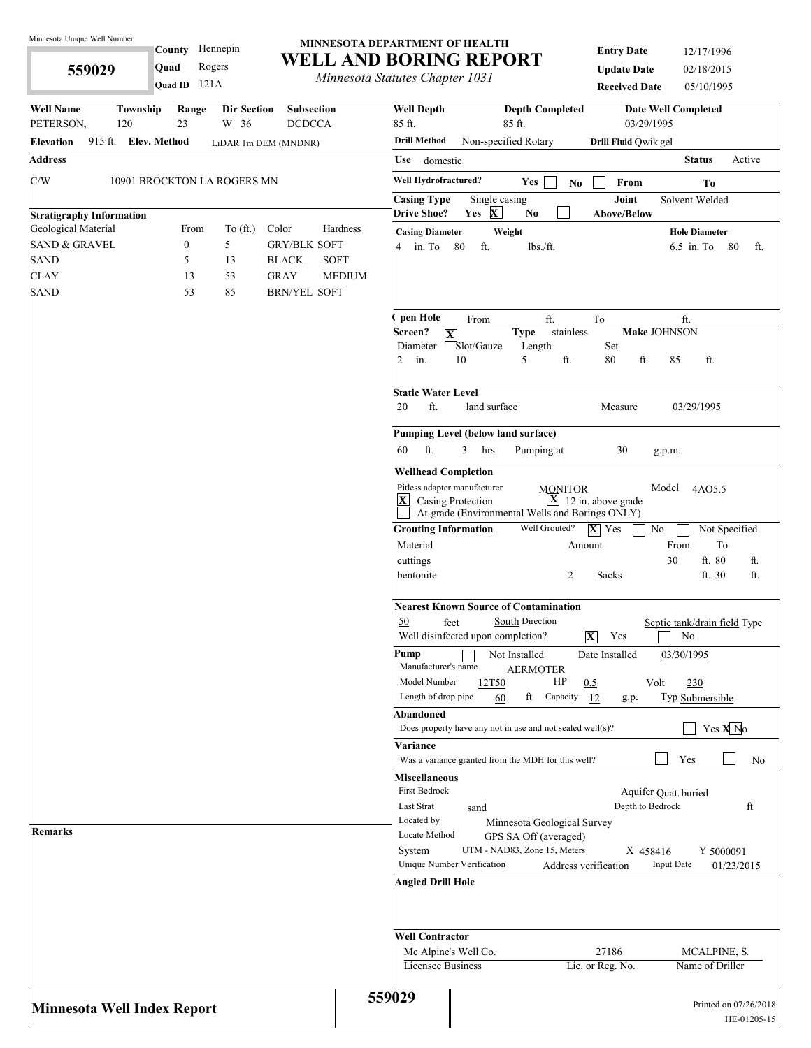**559029** 

### County Hennepin 121A **Quad ID Quad** Rogers

#### **MINNESOTA DEPARTMENT OF HEALTH WELL AND BORING REPORT**

*Minnesota Statutes Chapter 1031*

**Entry Date** 12/17/1996 **Update Date** 02/18/2015 **Received Date** 05/10/1995

| <b>Well Name</b><br>Township<br>Range<br><b>Dir Section</b><br>Subsection<br>PETERSON,<br>120<br>23<br>W 36<br><b>DCDCCA</b> | <b>Well Depth</b><br>85 ft.                 | <b>Depth Completed</b><br><b>Date Well Completed</b><br>03/29/1995<br>85 ft.                                                                                                         |
|------------------------------------------------------------------------------------------------------------------------------|---------------------------------------------|--------------------------------------------------------------------------------------------------------------------------------------------------------------------------------------|
| 915 ft. Elev. Method<br><b>Elevation</b><br>LiDAR 1m DEM (MNDNR)                                                             | <b>Drill Method</b>                         | Non-specified Rotary<br>Drill Fluid Qwik gel                                                                                                                                         |
| <b>Address</b>                                                                                                               | Use domestic                                | <b>Status</b><br>Active                                                                                                                                                              |
| C/W<br>10901 BROCKTON LA ROGERS MN                                                                                           | Well Hydrofractured?                        | Yes<br>No<br>From<br>To                                                                                                                                                              |
|                                                                                                                              | <b>Casing Type</b>                          | Joint<br>Single casing<br>Solvent Welded                                                                                                                                             |
| <b>Stratigraphy Information</b><br>Geological Material<br>To $(\text{ft.})$<br>Color<br>From                                 | <b>Drive Shoe?</b><br>Hardness              | Yes $X$<br>N <sub>0</sub><br><b>Above/Below</b>                                                                                                                                      |
| <b>SAND &amp; GRAVEL</b><br>5<br><b>GRY/BLK SOFT</b><br>$\boldsymbol{0}$                                                     | <b>Casing Diameter</b><br>in. To 80<br>4    | Weight<br><b>Hole Diameter</b><br>ft.<br>lbs./ft.<br>$6.5$ in. To<br>-80<br>ft.                                                                                                      |
| <b>SAND</b><br>5<br>13<br><b>BLACK</b>                                                                                       | <b>SOFT</b>                                 |                                                                                                                                                                                      |
| <b>CLAY</b><br>53<br><b>GRAY</b><br>13                                                                                       | <b>MEDIUM</b>                               |                                                                                                                                                                                      |
| <b>SAND</b><br>53<br>85<br><b>BRN/YEL SOFT</b>                                                                               |                                             |                                                                                                                                                                                      |
|                                                                                                                              | pen Hole                                    |                                                                                                                                                                                      |
|                                                                                                                              | Screen?                                     | From<br>ft.<br>To<br>ft.<br>stainless<br>Make JOHNSON<br><b>Type</b><br>$ \mathbf{X} $                                                                                               |
|                                                                                                                              | Diameter                                    | Slot/Gauze<br>Length<br>Set                                                                                                                                                          |
|                                                                                                                              | $\overline{2}$<br>in.                       | 10<br>5<br>ft.<br>ft.<br>80<br>85<br>ft.                                                                                                                                             |
|                                                                                                                              | <b>Static Water Level</b>                   |                                                                                                                                                                                      |
|                                                                                                                              | ft.<br>20                                   | land surface<br>Measure<br>03/29/1995                                                                                                                                                |
|                                                                                                                              |                                             | <b>Pumping Level (below land surface)</b>                                                                                                                                            |
|                                                                                                                              | ft.<br>60                                   | Pumping at<br>30<br>3<br>hrs.<br>g.p.m.                                                                                                                                              |
|                                                                                                                              | <b>Wellhead Completion</b>                  |                                                                                                                                                                                      |
|                                                                                                                              |                                             | Pitless adapter manufacturer<br>Model<br><b>MONITOR</b><br>4AO5.5                                                                                                                    |
|                                                                                                                              | $ \mathbf{X} $                              | $\mathbf{X}$ 12 in. above grade<br>Casing Protection                                                                                                                                 |
|                                                                                                                              |                                             | At-grade (Environmental Wells and Borings ONLY)                                                                                                                                      |
|                                                                                                                              | <b>Grouting Information</b><br>Material     | Well Grouted?<br>$ \mathbf{X} $ Yes<br>No<br>Not Specified<br>From<br>To<br>Amount                                                                                                   |
|                                                                                                                              | cuttings                                    | 30<br>ft. 80<br>ft.                                                                                                                                                                  |
|                                                                                                                              | bentonite                                   | 2<br>Sacks<br>ft. 30<br>ft.                                                                                                                                                          |
|                                                                                                                              | 50                                          | <b>Nearest Known Source of Contamination</b><br>South Direction<br>feet<br>Septic tank/drain field Type<br>Well disinfected upon completion?<br>$\overline{\mathbf{X}}$<br>Yes<br>No |
|                                                                                                                              | Pump<br>Manufacturer's name<br>Model Number | Not Installed<br>Date Installed<br>03/30/1995<br><b>AERMOTER</b><br>HP<br>0.5<br>12T50<br>Volt<br>230                                                                                |
|                                                                                                                              | Length of drop pipe                         | ft<br>Capacity<br>Typ Submersible<br>12<br>60<br>g.p.                                                                                                                                |
|                                                                                                                              | Abandoned                                   |                                                                                                                                                                                      |
|                                                                                                                              |                                             | Yes $X$ <sup>No</sup><br>Does property have any not in use and not sealed well(s)?                                                                                                   |
|                                                                                                                              | Variance                                    | Yes                                                                                                                                                                                  |
|                                                                                                                              | <b>Miscellaneous</b>                        | Was a variance granted from the MDH for this well?<br>No                                                                                                                             |
|                                                                                                                              | First Bedrock                               | Aquifer Quat. buried                                                                                                                                                                 |
|                                                                                                                              | Last Strat                                  | Depth to Bedrock<br>ft<br>sand                                                                                                                                                       |
| <b>Remarks</b>                                                                                                               | Located by                                  | Minnesota Geological Survey                                                                                                                                                          |
|                                                                                                                              | Locate Method                               | GPS SA Off (averaged)<br>UTM - NAD83, Zone 15, Meters                                                                                                                                |
|                                                                                                                              | System                                      | X 458416<br>Y 5000091<br>Unique Number Verification<br><b>Input Date</b><br>Address verification<br>01/23/2015                                                                       |
|                                                                                                                              | <b>Angled Drill Hole</b>                    |                                                                                                                                                                                      |
|                                                                                                                              |                                             |                                                                                                                                                                                      |
|                                                                                                                              | <b>Well Contractor</b>                      |                                                                                                                                                                                      |
|                                                                                                                              |                                             | 27186<br>Mc Alpine's Well Co.<br>MCALPINE, S.                                                                                                                                        |
|                                                                                                                              | Licensee Business                           | Lic. or Reg. No.<br>Name of Driller                                                                                                                                                  |
| <b>Minnesota Well Index Report</b>                                                                                           | 559029                                      | Printed on 07/26/2018<br>HE-01205-15                                                                                                                                                 |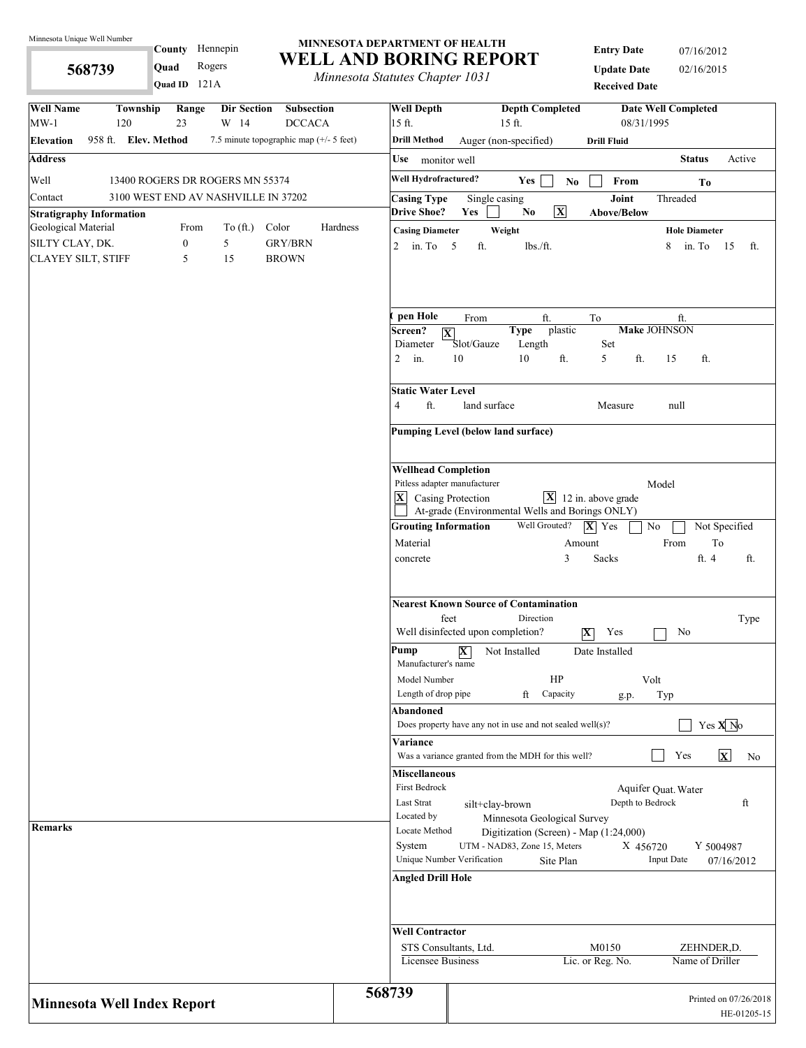**568739** 

County Hennepin

**Quad** Rogers

#### **MINNESOTA DEPARTMENT OF HEALTH WELL AND BORING REPORT**

*Minnesota Statutes Chapter 1031*

**Entry Date** 07/16/2012 **Update Date** 02/16/2015 **Received Data** 

| Quad ID 121A                                                                                                              | minicson saudics chapter 1051                       | <b>Received Date</b>                                                                                                                                             |
|---------------------------------------------------------------------------------------------------------------------------|-----------------------------------------------------|------------------------------------------------------------------------------------------------------------------------------------------------------------------|
| <b>Well Name</b><br>Township<br>Range<br><b>Dir Section</b><br>Subsection<br>$MW-1$<br>23<br>W 14<br>120<br><b>DCCACA</b> | <b>Well Depth</b><br>15 ft.                         | <b>Depth Completed</b><br><b>Date Well Completed</b><br>08/31/1995<br>$15$ ft.                                                                                   |
| 958 ft. Elev. Method<br>7.5 minute topographic map (+/- 5 feet)<br><b>Elevation</b>                                       | <b>Drill Method</b>                                 | Auger (non-specified)<br><b>Drill Fluid</b>                                                                                                                      |
| <b>Address</b>                                                                                                            | Use monitor well                                    | <b>Status</b><br>Active                                                                                                                                          |
| Well<br>13400 ROGERS DR ROGERS MN 55374                                                                                   | Well Hydrofractured?                                | Yes<br>From<br>$\mathbf{No}$<br>To                                                                                                                               |
| 3100 WEST END AV NASHVILLE IN 37202<br>Contact<br><b>Stratigraphy Information</b>                                         | <b>Casing Type</b><br><b>Drive Shoe?</b>            | Joint<br>Threaded<br>Single casing<br>$\overline{\mathbf{X}}$<br>Yes<br>N <sub>0</sub><br><b>Above/Below</b>                                                     |
| Geological Material<br>Color<br>From<br>To $(\text{ft.})$                                                                 | Hardness<br><b>Casing Diameter</b>                  | Weight<br><b>Hole Diameter</b>                                                                                                                                   |
| $\boldsymbol{0}$<br>5<br><b>GRY/BRN</b><br>SILTY CLAY, DK.<br><b>BROWN</b><br>CLAYEY SILT, STIFF<br>5<br>15               | 2 in. To $5$                                        | ft.<br>lbs./ft.<br>8<br>in. To<br>15<br>ft.                                                                                                                      |
|                                                                                                                           | pen Hole<br>Screen?                                 | From<br>ft.<br>To<br>ft.<br><b>Make JOHNSON</b><br>plastic<br><b>Type</b>                                                                                        |
|                                                                                                                           | Diameter<br>$2$ in.                                 | $ \mathbf{X} $<br>Slot/Gauze<br>Length<br>Set<br>10<br>ft.<br>ft.<br>10<br>5<br>15<br>ft.                                                                        |
|                                                                                                                           | <b>Static Water Level</b><br>ft.<br>4               | land surface<br>Measure<br>null                                                                                                                                  |
|                                                                                                                           |                                                     | Pumping Level (below land surface)                                                                                                                               |
|                                                                                                                           | <b>Wellhead Completion</b>                          | Pitless adapter manufacturer<br>Model<br>$\mathbf{X}$<br>$\mathbf{X}$ Casing Protection<br>12 in. above grade<br>At-grade (Environmental Wells and Borings ONLY) |
|                                                                                                                           | <b>Grouting Information</b><br>Material<br>concrete | Well Grouted?<br>$ \mathbf{X} $ Yes<br>No<br>Not Specified<br>To<br>From<br>Amount<br>ft. 4<br>3<br>Sacks<br>ft.                                                 |
|                                                                                                                           |                                                     | <b>Nearest Known Source of Contamination</b>                                                                                                                     |
|                                                                                                                           |                                                     | feet<br>Direction<br>Type<br>Well disinfected upon completion?<br>$ \overline{\textbf{X}} $<br>Yes<br>No                                                         |
|                                                                                                                           | Pump<br>Manufacturer's name<br>Model Number         | X<br>Not Installed<br>Date Installed<br>HP<br>Volt                                                                                                               |
|                                                                                                                           | Length of drop pipe                                 | ft<br>Capacity<br>Typ<br>g.p.                                                                                                                                    |
|                                                                                                                           | Abandoned                                           | Yes $X$ <sup>No</sup><br>Does property have any not in use and not sealed well $(s)$ ?                                                                           |
|                                                                                                                           | Variance                                            | $\mathbf{x}$<br>Yes<br>Was a variance granted from the MDH for this well?<br>No                                                                                  |
|                                                                                                                           | <b>Miscellaneous</b><br>First Bedrock               |                                                                                                                                                                  |
|                                                                                                                           | Last Strat<br>Located by                            | Aquifer Quat. Water<br>Depth to Bedrock<br>ft<br>silt+clay-brown                                                                                                 |
| <b>Remarks</b>                                                                                                            | Locate Method<br>System                             | Minnesota Geological Survey<br>Digitization (Screen) - Map (1:24,000)<br>UTM - NAD83, Zone 15, Meters<br>Y 5004987<br>X 456720<br>Unique Number Verification     |
|                                                                                                                           | <b>Angled Drill Hole</b>                            | <b>Input Date</b><br>Site Plan<br>07/16/2012                                                                                                                     |
|                                                                                                                           | <b>Well Contractor</b>                              | M0150<br>STS Consultants, Ltd.<br>ZEHNDER, D.                                                                                                                    |
|                                                                                                                           | Licensee Business                                   | Lic. or Reg. No.<br>Name of Driller                                                                                                                              |
| <b>Minnesota Well Index Report</b>                                                                                        | 568739                                              | Printed on 07/26/2018<br>HE-01205-15                                                                                                                             |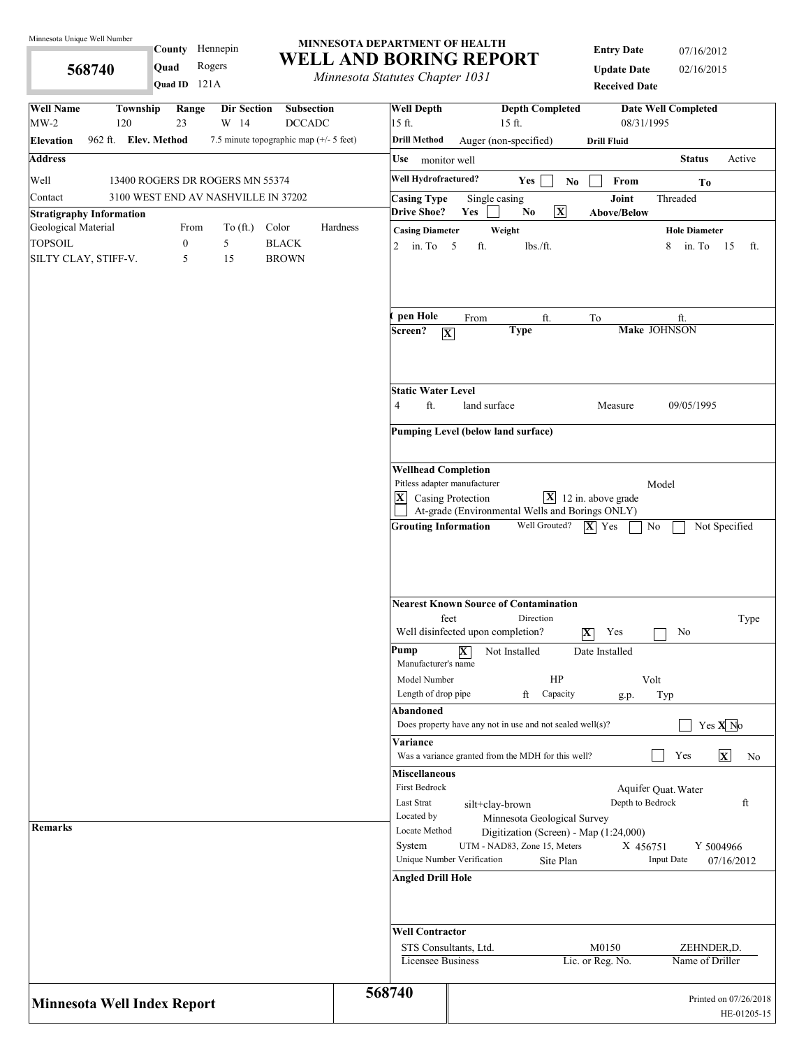**568740** 

County Hennepin

**Quad** Rogers

#### **MINNESOTA DEPARTMENT OF HEALTH WELL AND BORING REPORT**

*Minnesota Statutes Chapter 1031*

**Entry Date** 07/16/2012 **Update Date** 02/16/2015

| Quad ID 121A                                                                                                       |          | municsona siannes chapier 1051                                                            |                         |                                                                        | <b>Received Date</b>                    |                         |                             |                            |                       |                                      |  |
|--------------------------------------------------------------------------------------------------------------------|----------|-------------------------------------------------------------------------------------------|-------------------------|------------------------------------------------------------------------|-----------------------------------------|-------------------------|-----------------------------|----------------------------|-----------------------|--------------------------------------|--|
| <b>Well Name</b><br>Township<br>Range<br>Dir Section<br>Subsection<br>$MW-2$<br>120<br>23<br>W 14<br><b>DCCADC</b> |          | <b>Well Depth</b><br>15 ft.                                                               |                         | 15 ft.                                                                 | <b>Depth Completed</b>                  |                         | 08/31/1995                  | <b>Date Well Completed</b> |                       |                                      |  |
| 962 ft. Elev. Method<br>7.5 minute topographic map (+/- 5 feet)<br><b>Elevation</b>                                |          | <b>Drill Method</b>                                                                       |                         | Auger (non-specified)                                                  |                                         | <b>Drill Fluid</b>      |                             |                            |                       |                                      |  |
| <b>Address</b>                                                                                                     |          | Use monitor well                                                                          |                         |                                                                        |                                         |                         |                             | <b>Status</b>              |                       | Active                               |  |
|                                                                                                                    |          | Well Hydrofractured?                                                                      |                         |                                                                        |                                         |                         |                             |                            |                       |                                      |  |
| Well<br>13400 ROGERS DR ROGERS MN 55374                                                                            |          |                                                                                           |                         | Yes                                                                    | $\mathbf{N}\mathbf{o}$                  |                         | From                        |                            | To                    |                                      |  |
| 3100 WEST END AV NASHVILLE IN 37202<br>Contact<br><b>Stratigraphy Information</b>                                  |          | <b>Casing Type</b><br><b>Drive Shoe?</b>                                                  | Yes                     | Single casing<br>No.                                                   | $\overline{\mathbf{X}}$                 |                         | Joint<br><b>Above/Below</b> | Threaded                   |                       |                                      |  |
| Geological Material<br>Color<br>From<br>To $(\text{ft.})$                                                          | Hardness | <b>Casing Diameter</b>                                                                    |                         | Weight                                                                 |                                         |                         |                             | <b>Hole Diameter</b>       |                       |                                      |  |
| <b>TOPSOIL</b><br>$\boldsymbol{0}$<br>5<br><b>BLACK</b>                                                            |          | 2 in. To $5$                                                                              | ft.                     | lbs./ft.                                                               |                                         |                         |                             | 8                          | in. To 15             | ft.                                  |  |
| SILTY CLAY, STIFF-V.<br><b>BROWN</b><br>5<br>15                                                                    |          |                                                                                           |                         |                                                                        |                                         |                         |                             |                            |                       |                                      |  |
|                                                                                                                    |          | pen Hole                                                                                  | From                    |                                                                        | ft.                                     | To                      |                             | ft.                        |                       |                                      |  |
|                                                                                                                    |          | Screen?<br>$\boxed{\mathbf{X}}$                                                           |                         | <b>Type</b>                                                            |                                         |                         |                             | Make JOHNSON               |                       |                                      |  |
|                                                                                                                    |          | <b>Static Water Level</b><br>ft.<br>$\overline{4}$                                        | land surface            |                                                                        |                                         |                         | Measure                     | 09/05/1995                 |                       |                                      |  |
|                                                                                                                    |          |                                                                                           |                         |                                                                        |                                         |                         |                             |                            |                       |                                      |  |
|                                                                                                                    |          | Pumping Level (below land surface)                                                        |                         |                                                                        |                                         |                         |                             |                            |                       |                                      |  |
|                                                                                                                    |          | <b>Wellhead Completion</b>                                                                |                         |                                                                        |                                         |                         |                             |                            |                       |                                      |  |
|                                                                                                                    |          | Pitless adapter manufacturer                                                              |                         |                                                                        |                                         |                         |                             | Model                      |                       |                                      |  |
|                                                                                                                    |          | $ \mathbf{X} $<br>Casing Protection                                                       |                         | At-grade (Environmental Wells and Borings ONLY)                        | $\boxed{\mathbf{X}}$ 12 in. above grade |                         |                             |                            |                       |                                      |  |
|                                                                                                                    |          | <b>Grouting Information</b>                                                               |                         |                                                                        | Well Grouted?                           | $ \mathbf{X} $ Yes      |                             | No                         | Not Specified         |                                      |  |
|                                                                                                                    |          | <b>Nearest Known Source of Contamination</b><br>feet<br>Well disinfected upon completion? |                         | Direction                                                              |                                         | $\overline{\mathbf{X}}$ | Yes                         | No                         |                       | Type                                 |  |
|                                                                                                                    |          | Pump<br>Manufacturer's name                                                               | $\overline{\mathbf{X}}$ | Not Installed                                                          | HP                                      | Date Installed          |                             |                            |                       |                                      |  |
|                                                                                                                    |          | Model Number<br>Length of drop pipe                                                       |                         | ft                                                                     | Capacity                                |                         | g.p.                        | Volt<br>Typ                |                       |                                      |  |
|                                                                                                                    |          | Abandoned                                                                                 |                         |                                                                        |                                         |                         |                             |                            |                       |                                      |  |
|                                                                                                                    |          | Does property have any not in use and not sealed well(s)?                                 |                         |                                                                        |                                         |                         |                             |                            | Yes $X$ <sup>No</sup> |                                      |  |
|                                                                                                                    |          | Variance<br>Was a variance granted from the MDH for this well?                            |                         |                                                                        |                                         |                         |                             | Yes                        | $\mathbf{x}$          | No                                   |  |
|                                                                                                                    |          | <b>Miscellaneous</b>                                                                      |                         |                                                                        |                                         |                         |                             |                            |                       |                                      |  |
|                                                                                                                    |          | First Bedrock                                                                             |                         |                                                                        |                                         |                         |                             | Aquifer Quat. Water        |                       |                                      |  |
|                                                                                                                    |          | Last Strat                                                                                |                         | silt+clay-brown                                                        |                                         |                         | Depth to Bedrock            |                            |                       | ft                                   |  |
| Remarks                                                                                                            |          | Located by<br>Locate Method                                                               |                         | Minnesota Geological Survey                                            |                                         |                         |                             |                            |                       |                                      |  |
|                                                                                                                    |          | System                                                                                    |                         | Digitization (Screen) - Map (1:24,000)<br>UTM - NAD83, Zone 15, Meters |                                         |                         | X 456751                    |                            | Y 5004966             |                                      |  |
|                                                                                                                    |          | Unique Number Verification                                                                |                         |                                                                        | Site Plan                               |                         |                             | <b>Input Date</b>          |                       | 07/16/2012                           |  |
|                                                                                                                    |          | <b>Angled Drill Hole</b>                                                                  |                         |                                                                        |                                         |                         |                             |                            |                       |                                      |  |
|                                                                                                                    |          | <b>Well Contractor</b>                                                                    |                         |                                                                        |                                         |                         |                             |                            |                       |                                      |  |
|                                                                                                                    |          | STS Consultants, Ltd.                                                                     |                         |                                                                        |                                         | M0150                   |                             |                            | ZEHNDER,D.            |                                      |  |
|                                                                                                                    |          | Licensee Business                                                                         |                         |                                                                        |                                         | Lic. or Reg. No.        |                             |                            | Name of Driller       |                                      |  |
| <b>Minnesota Well Index Report</b>                                                                                 | 568740   |                                                                                           |                         |                                                                        |                                         |                         |                             |                            |                       | Printed on 07/26/2018<br>HE-01205-15 |  |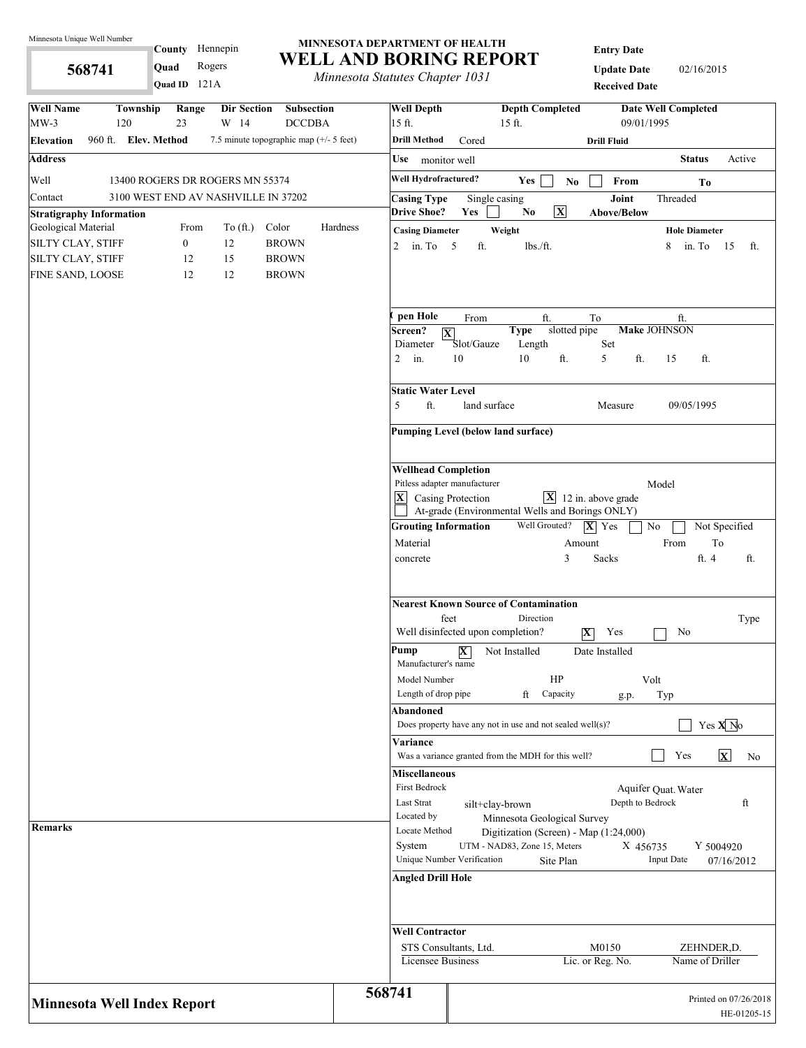**568741** 

# County Hennepin **Quad** Rogers

121A **Quad ID**

#### **MINNESOTA DEPARTMENT OF HEALTH WELL AND BORING REPORT**

*Minnesota Statutes Chapter 1031*

**Entry Date**

**Update Date** 02/16/2015 **Received Date**

| <b>Well Name</b><br>Township<br>Range<br>Dir Section<br><b>Subsection</b><br>$MW-3$<br>23<br>W 14<br>120<br><b>DCCDBA</b> | <b>Well Depth</b><br>15 ft. |                                             |                                                                                   | <b>Depth Completed</b><br>15 ft. |                         |                                                 | <b>Date Well Completed</b><br>09/01/1995 |                               |                                      |
|---------------------------------------------------------------------------------------------------------------------------|-----------------------------|---------------------------------------------|-----------------------------------------------------------------------------------|----------------------------------|-------------------------|-------------------------------------------------|------------------------------------------|-------------------------------|--------------------------------------|
| 960 ft. Elev. Method<br>7.5 minute topographic map $(+/- 5$ feet)<br><b>Elevation</b>                                     | <b>Drill Method</b>         |                                             | Cored                                                                             |                                  |                         | <b>Drill Fluid</b>                              |                                          |                               |                                      |
| <b>Address</b>                                                                                                            |                             | Use monitor well                            |                                                                                   |                                  |                         |                                                 |                                          | <b>Status</b>                 | Active                               |
| Well<br>13400 ROGERS DR ROGERS MN 55374                                                                                   |                             | Well Hydrofractured?                        |                                                                                   | Yes                              |                         | From                                            |                                          |                               |                                      |
| 3100 WEST END AV NASHVILLE IN 37202<br>Contact                                                                            |                             | <b>Casing Type</b>                          | Single casing                                                                     |                                  | $\mathbf{N}\mathbf{o}$  | Joint                                           | Threaded                                 | To                            |                                      |
| <b>Stratigraphy Information</b>                                                                                           | <b>Drive Shoe?</b>          |                                             | Yes                                                                               | No                               | $\overline{\mathbf{X}}$ | <b>Above/Below</b>                              |                                          |                               |                                      |
| Geological Material<br>From<br>To $(\text{ft.})$<br>Color                                                                 | Hardness                    | <b>Casing Diameter</b>                      |                                                                                   | Weight                           |                         |                                                 |                                          | <b>Hole Diameter</b>          |                                      |
| $\mathbf{0}$<br>12<br>SILTY CLAY, STIFF<br><b>BROWN</b>                                                                   |                             | 2 in. To $5$                                | ft.                                                                               | lbs./ft.                         |                         |                                                 | 8                                        | in. To 15                     | ft.                                  |
| 12<br>15<br>SILTY CLAY, STIFF<br><b>BROWN</b>                                                                             |                             |                                             |                                                                                   |                                  |                         |                                                 |                                          |                               |                                      |
| 12<br>FINE SAND, LOOSE<br>12<br><b>BROWN</b>                                                                              |                             |                                             |                                                                                   |                                  |                         |                                                 |                                          |                               |                                      |
|                                                                                                                           | pen Hole                    |                                             | From                                                                              | ft.                              |                         | To                                              |                                          | ft.                           |                                      |
|                                                                                                                           | Screen?                     | $ \overline{\mathbf{X}} $                   |                                                                                   | <b>Type</b>                      | slotted pipe            |                                                 | <b>Make JOHNSON</b>                      |                               |                                      |
|                                                                                                                           | Diameter<br>$2$ in.         |                                             | Slot/Gauze<br>10                                                                  | Length<br>10                     | ft.                     | Set<br>5<br>ft.                                 | 15                                       | ft.                           |                                      |
|                                                                                                                           |                             | <b>Static Water Level</b>                   |                                                                                   |                                  |                         |                                                 |                                          |                               |                                      |
|                                                                                                                           | 5                           | ft.                                         | land surface                                                                      |                                  |                         | Measure                                         |                                          | 09/05/1995                    |                                      |
|                                                                                                                           |                             |                                             | Pumping Level (below land surface)                                                |                                  |                         |                                                 |                                          |                               |                                      |
|                                                                                                                           |                             | <b>Wellhead Completion</b>                  |                                                                                   |                                  |                         |                                                 |                                          |                               |                                      |
|                                                                                                                           | $ \mathbf{X} $              |                                             | Pitless adapter manufacturer                                                      |                                  |                         | $\boxed{\mathbf{X}}$ 12 in. above grade         | Model                                    |                               |                                      |
|                                                                                                                           |                             | Casing Protection                           |                                                                                   |                                  |                         | At-grade (Environmental Wells and Borings ONLY) |                                          |                               |                                      |
|                                                                                                                           |                             | <b>Grouting Information</b>                 |                                                                                   | Well Grouted?                    |                         | $ \mathbf{X} $ Yes                              | No                                       |                               | Not Specified                        |
|                                                                                                                           | Material                    |                                             |                                                                                   |                                  | Amount                  |                                                 | From                                     |                               | $\operatorname{To}$                  |
|                                                                                                                           | concrete                    |                                             |                                                                                   |                                  | 3                       | Sacks                                           |                                          | ft. 4                         | ft.                                  |
|                                                                                                                           |                             | feet                                        | <b>Nearest Known Source of Contamination</b><br>Well disinfected upon completion? | Direction                        | $ \mathbf{X} $          | Yes                                             |                                          | No                            | Type                                 |
|                                                                                                                           | Pump                        | Manufacturer's name<br>Model Number         | $\overline{\mathbf{X}}$                                                           | Not Installed                    | HP                      | Date Installed                                  | Volt                                     |                               |                                      |
|                                                                                                                           |                             | Length of drop pipe                         |                                                                                   | ft                               | Capacity                | g.p.                                            | Typ                                      |                               |                                      |
|                                                                                                                           | <b>Abandoned</b>            |                                             |                                                                                   |                                  |                         |                                                 |                                          |                               |                                      |
|                                                                                                                           | Variance                    |                                             | Does property have any not in use and not sealed well(s)?                         |                                  |                         |                                                 |                                          |                               | Yes $X$ <sup>No</sup>                |
|                                                                                                                           |                             |                                             | Was a variance granted from the MDH for this well?                                |                                  |                         |                                                 |                                          | Yes                           | $\mathbf{x}$<br>No                   |
|                                                                                                                           |                             | <b>Miscellaneous</b><br>First Bedrock       |                                                                                   |                                  |                         |                                                 | Aquifer Quat. Water                      |                               |                                      |
|                                                                                                                           | Last Strat                  |                                             | silt+clay-brown                                                                   |                                  |                         |                                                 | Depth to Bedrock                         |                               | ft                                   |
|                                                                                                                           | Located by                  |                                             |                                                                                   | Minnesota Geological Survey      |                         |                                                 |                                          |                               |                                      |
| <b>Remarks</b>                                                                                                            |                             | Locate Method                               |                                                                                   |                                  |                         | Digitization (Screen) - Map (1:24,000)          |                                          |                               |                                      |
|                                                                                                                           | System                      |                                             | Unique Number Verification                                                        | UTM - NAD83, Zone 15, Meters     | Site Plan               |                                                 | X 456735<br><b>Input Date</b>            |                               | Y 5004920<br>07/16/2012              |
|                                                                                                                           |                             | <b>Angled Drill Hole</b>                    |                                                                                   |                                  |                         |                                                 |                                          |                               |                                      |
|                                                                                                                           |                             |                                             |                                                                                   |                                  |                         |                                                 |                                          |                               |                                      |
|                                                                                                                           |                             | <b>Well Contractor</b><br>Licensee Business | STS Consultants, Ltd.                                                             |                                  |                         | M0150<br>Lic. or Reg. No.                       |                                          | ZEHNDER,D.<br>Name of Driller |                                      |
| <b>Minnesota Well Index Report</b>                                                                                        | 568741                      |                                             |                                                                                   |                                  |                         |                                                 |                                          |                               | Printed on 07/26/2018<br>HE-01205-15 |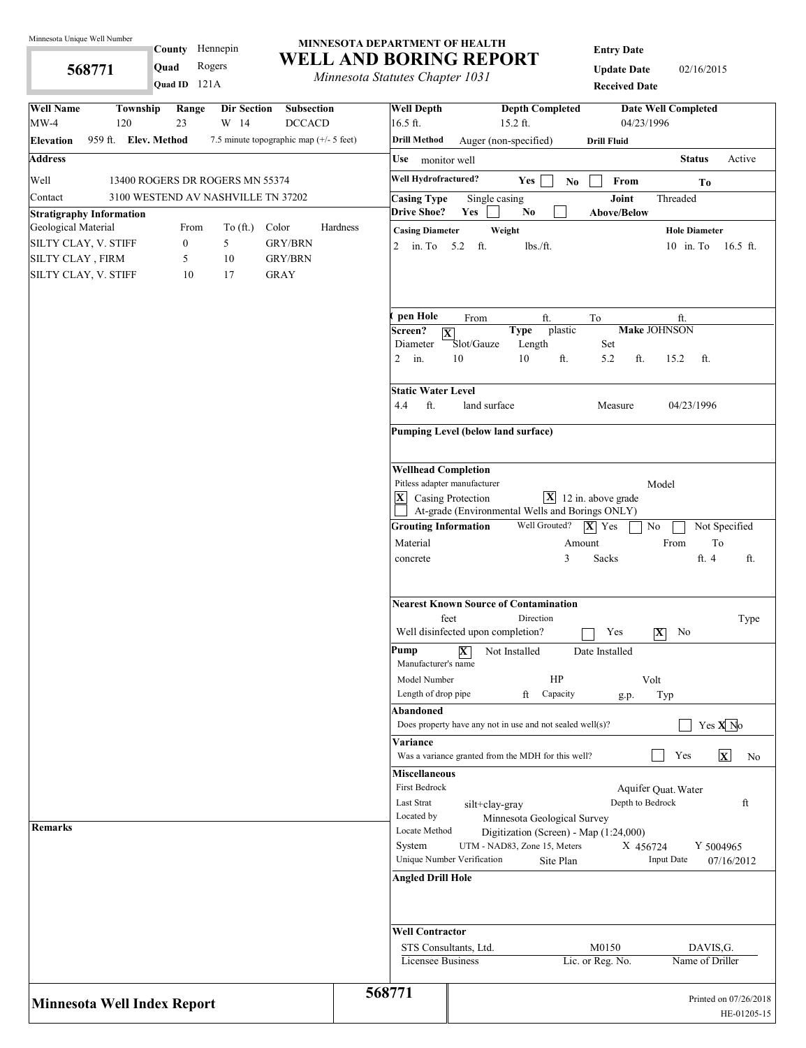**568771** 

County Hennepin

**Quad** Rogers

#### **MINNESOTA DEPARTMENT OF HEALTH WELL AND BORING REPORT**

*Minnesota Statutes Chapter 1031*

**Entry Date**

**Update Date** 02/16/2015 **Received Date**

| Quad ID $121A$                                                                                                     | <i>Internessue Statutes Chapter 1051</i> |                                              |                                                                                   | <b>Received Date</b>        |                                        |                            |                                      |  |  |
|--------------------------------------------------------------------------------------------------------------------|------------------------------------------|----------------------------------------------|-----------------------------------------------------------------------------------|-----------------------------|----------------------------------------|----------------------------|--------------------------------------|--|--|
| <b>Well Name</b><br>Township<br>Range<br>Dir Section<br>Subsection<br>$MW-4$<br>120<br>23<br>W 14<br><b>DCCACD</b> | $16.5$ ft.                               | <b>Well Depth</b>                            | $15.2$ ft.                                                                        | <b>Depth Completed</b>      | 04/23/1996                             | <b>Date Well Completed</b> |                                      |  |  |
| 959 ft. Elev. Method<br>7.5 minute topographic map (+/- 5 feet)<br><b>Elevation</b>                                |                                          | <b>Drill Method</b>                          | Auger (non-specified)                                                             |                             | <b>Drill Fluid</b>                     |                            |                                      |  |  |
| <b>Address</b>                                                                                                     |                                          | Use monitor well                             |                                                                                   |                             |                                        | <b>Status</b>              | Active                               |  |  |
| Well<br>13400 ROGERS DR ROGERS MN 55374                                                                            |                                          | Well Hydrofractured?                         | Yes                                                                               | $\mathbf{N}\mathbf{o}$      | From                                   | To                         |                                      |  |  |
| 3100 WESTEND AV NASHVILLE TN 37202<br>Contact                                                                      |                                          | <b>Casing Type</b><br><b>Drive Shoe?</b>     | Single casing<br>Yes<br>No                                                        |                             | Joint<br><b>Above/Below</b>            | Threaded                   |                                      |  |  |
| <b>Stratigraphy Information</b><br>Geological Material<br>To $(\text{ft.})$<br>Color<br>From                       | Hardness                                 | <b>Casing Diameter</b>                       | Weight                                                                            |                             |                                        | <b>Hole Diameter</b>       |                                      |  |  |
| $\boldsymbol{0}$<br>5<br><b>GRY/BRN</b><br>SILTY CLAY, V. STIFF                                                    | 2                                        | in. To 5.2 ft.                               |                                                                                   | $lbs$ ./ft.                 |                                        |                            | 10 in. To 16.5 ft.                   |  |  |
| SILTY CLAY, FIRM<br><b>GRY/BRN</b><br>5<br>10                                                                      |                                          |                                              |                                                                                   |                             |                                        |                            |                                      |  |  |
| SILTY CLAY, V. STIFF<br><b>GRAY</b><br>10<br>17                                                                    |                                          |                                              |                                                                                   |                             |                                        |                            |                                      |  |  |
|                                                                                                                    |                                          | pen Hole                                     | From                                                                              | ft.                         | To                                     | ft.                        |                                      |  |  |
|                                                                                                                    |                                          | Screen?<br>$ \mathbf{X} $                    | <b>Type</b>                                                                       | plastic                     |                                        | <b>Make JOHNSON</b>        |                                      |  |  |
|                                                                                                                    | $\overline{2}$                           | Diameter<br>in.                              | Slot/Gauze<br>10<br>10                                                            | Length<br>ft.               | Set<br>ft.<br>5.2                      | 15.2<br>ft.                |                                      |  |  |
|                                                                                                                    | 4.4                                      | <b>Static Water Level</b><br>ft.             | land surface                                                                      |                             | Measure                                | 04/23/1996                 |                                      |  |  |
|                                                                                                                    |                                          |                                              | Pumping Level (below land surface)                                                |                             |                                        |                            |                                      |  |  |
|                                                                                                                    |                                          |                                              |                                                                                   |                             |                                        |                            |                                      |  |  |
|                                                                                                                    |                                          | <b>Wellhead Completion</b>                   |                                                                                   |                             |                                        |                            |                                      |  |  |
|                                                                                                                    | $ \mathbf{X} $                           | Casing Protection                            | Pitless adapter manufacturer                                                      |                             | $\mathbf{X}$ 12 in. above grade        | Model                      |                                      |  |  |
|                                                                                                                    |                                          |                                              | At-grade (Environmental Wells and Borings ONLY)                                   |                             |                                        |                            |                                      |  |  |
|                                                                                                                    |                                          | <b>Grouting Information</b>                  |                                                                                   | Well Grouted?               | $ \mathbf{X} $ Yes                     | $\rm No$                   | Not Specified                        |  |  |
|                                                                                                                    |                                          | Material                                     |                                                                                   | Amount                      |                                        | From                       | To                                   |  |  |
|                                                                                                                    |                                          | concrete                                     |                                                                                   | 3                           | Sacks                                  | ft. 4                      | ft.                                  |  |  |
|                                                                                                                    |                                          | feet                                         | <b>Nearest Known Source of Contamination</b><br>Well disinfected upon completion? | Direction                   | Yes                                    | $ \mathbf{X} $<br>No       | Type                                 |  |  |
|                                                                                                                    | Pump                                     | Manufacturer's name                          | $\overline{\mathbf{X}}$<br>Not Installed                                          |                             | Date Installed                         |                            |                                      |  |  |
|                                                                                                                    |                                          | Model Number                                 |                                                                                   | HP                          |                                        | Volt                       |                                      |  |  |
|                                                                                                                    |                                          | Length of drop pipe<br>Abandoned             | ft                                                                                | Capacity                    | g.p.                                   | Typ                        |                                      |  |  |
|                                                                                                                    |                                          |                                              | Does property have any not in use and not sealed well $(s)$ ?                     |                             |                                        |                            | Yes $X$ <sup>No</sup>                |  |  |
|                                                                                                                    |                                          | Variance                                     |                                                                                   |                             |                                        |                            |                                      |  |  |
|                                                                                                                    |                                          |                                              | Was a variance granted from the MDH for this well?                                |                             |                                        | Yes                        | $\mathbf{x}$<br>No                   |  |  |
|                                                                                                                    |                                          | <b>Miscellaneous</b><br><b>First Bedrock</b> |                                                                                   |                             |                                        |                            |                                      |  |  |
|                                                                                                                    |                                          | Last Strat                                   | silt+clay-gray                                                                    |                             | Depth to Bedrock                       | Aquifer Quat. Water        | ft                                   |  |  |
|                                                                                                                    |                                          | Located by                                   |                                                                                   | Minnesota Geological Survey |                                        |                            |                                      |  |  |
| Remarks                                                                                                            |                                          | Locate Method                                |                                                                                   |                             | Digitization (Screen) - Map (1:24,000) |                            |                                      |  |  |
|                                                                                                                    |                                          | System                                       | UTM - NAD83, Zone 15, Meters<br>Unique Number Verification                        | Site Plan                   | X 456724                               | <b>Input Date</b>          | Y 5004965<br>07/16/2012              |  |  |
|                                                                                                                    |                                          | <b>Angled Drill Hole</b>                     |                                                                                   |                             |                                        |                            |                                      |  |  |
|                                                                                                                    |                                          |                                              |                                                                                   |                             |                                        |                            |                                      |  |  |
|                                                                                                                    |                                          | <b>Well Contractor</b>                       |                                                                                   |                             |                                        |                            |                                      |  |  |
|                                                                                                                    |                                          | STS Consultants, Ltd.<br>Licensee Business   |                                                                                   |                             | M0150<br>Lic. or Reg. No.              | Name of Driller            | DAVIS, G.                            |  |  |
| <b>Minnesota Well Index Report</b>                                                                                 | 568771                                   |                                              |                                                                                   |                             |                                        |                            | Printed on 07/26/2018<br>HE-01205-15 |  |  |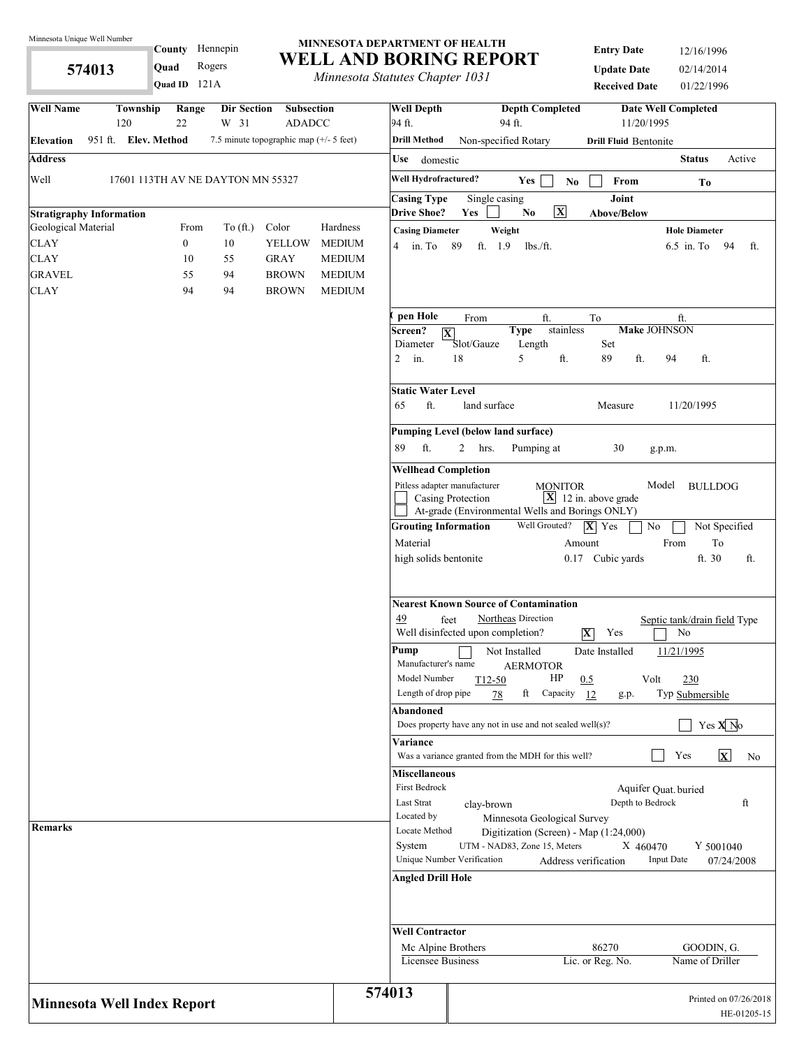**574013** 

# County Hennepin **Quad** Rogers

121A **Quad ID**

#### **MINNESOTA DEPARTMENT OF HEALTH WELL AND BORING REPORT**

*Minnesota Statutes Chapter 1031*

**Entry Date** 12/16/1996 **Update Date** 02/14/2014 **Received Date** 01/22/1996

| <b>Well Name</b>                   | Township<br>120      | Range<br>22      | Dir Section<br>W 31               | <b>Subsection</b><br><b>ADADCC</b>      |                                | <b>Well Depth</b><br>94 ft. | <b>Depth Completed</b><br>94 ft.                                           | 11/20/1995                              | <b>Date Well Completed</b>           |
|------------------------------------|----------------------|------------------|-----------------------------------|-----------------------------------------|--------------------------------|-----------------------------|----------------------------------------------------------------------------|-----------------------------------------|--------------------------------------|
| <b>Elevation</b>                   | 951 ft. Elev. Method |                  |                                   | 7.5 minute topographic map (+/- 5 feet) |                                | <b>Drill Method</b>         | Non-specified Rotary                                                       | <b>Drill Fluid Bentonite</b>            |                                      |
| <b>Address</b>                     |                      |                  |                                   |                                         |                                | Use<br>domestic             |                                                                            |                                         | <b>Status</b><br>Active              |
| Well                               |                      |                  | 17601 113TH AV NE DAYTON MN 55327 |                                         |                                | Well Hydrofractured?        | Yes<br>N <sub>0</sub>                                                      | From                                    | To                                   |
|                                    |                      |                  |                                   |                                         |                                | <b>Casing Type</b>          | Single casing                                                              | Joint                                   |                                      |
| <b>Stratigraphy Information</b>    |                      |                  |                                   |                                         |                                | <b>Drive Shoe?</b>          | $\overline{\mathbf{X}}$<br>Yes<br>N <sub>0</sub>                           | <b>Above/Below</b>                      |                                      |
| Geological Material                |                      | From             | To $(\text{ft.})$                 | Color                                   | Hardness                       | <b>Casing Diameter</b>      | Weight                                                                     |                                         | <b>Hole Diameter</b>                 |
| <b>CLAY</b>                        |                      | $\boldsymbol{0}$ | 10                                | <b>YELLOW</b>                           | <b>MEDIUM</b>                  | $4 \quad$ in. To            | 89<br>ft. 1.9<br>$lbs$ ./ft.                                               |                                         | $6.5$ in. To<br>94<br>ft.            |
| <b>CLAY</b>                        |                      | 10               | 55                                | <b>GRAY</b>                             | <b>MEDIUM</b>                  |                             |                                                                            |                                         |                                      |
| <b>GRAVEL</b><br><b>CLAY</b>       |                      | 55<br>94         | 94<br>94                          | <b>BROWN</b><br><b>BROWN</b>            | <b>MEDIUM</b><br><b>MEDIUM</b> |                             |                                                                            |                                         |                                      |
|                                    |                      |                  |                                   |                                         |                                |                             |                                                                            |                                         |                                      |
|                                    |                      |                  |                                   |                                         |                                | pen Hole                    | ft.<br>From                                                                | To                                      | ft.                                  |
|                                    |                      |                  |                                   |                                         |                                | Screen?<br>Diameter         | stainless<br><b>Type</b><br>$\overline{\mathbf{X}}$<br>Slot/Gauze          | <b>Make JOHNSON</b><br>Set              |                                      |
|                                    |                      |                  |                                   |                                         |                                | $\overline{2}$<br>in.       | Length<br>5<br>18<br>ft.                                                   | 89<br>ft.                               | 94<br>ft.                            |
|                                    |                      |                  |                                   |                                         |                                | Static Water Level          |                                                                            |                                         |                                      |
|                                    |                      |                  |                                   |                                         |                                | ft.<br>65                   | land surface                                                               | Measure                                 | 11/20/1995                           |
|                                    |                      |                  |                                   |                                         |                                |                             | Pumping Level (below land surface)                                         |                                         |                                      |
|                                    |                      |                  |                                   |                                         |                                | 89<br>ft.                   | 2<br>hrs.<br>Pumping at                                                    | 30                                      | g.p.m.                               |
|                                    |                      |                  |                                   |                                         |                                | <b>Wellhead Completion</b>  |                                                                            |                                         |                                      |
|                                    |                      |                  |                                   |                                         |                                |                             | Pitless adapter manufacturer<br><b>MONITOR</b>                             |                                         | Model<br><b>BULLDOG</b>              |
|                                    |                      |                  |                                   |                                         |                                |                             | Casing Protection<br>At-grade (Environmental Wells and Borings ONLY)       | $\boxed{\mathbf{X}}$ 12 in. above grade |                                      |
|                                    |                      |                  |                                   |                                         |                                | <b>Grouting Information</b> | Well Grouted?                                                              | $ \mathbf{X} $ Yes<br>No                | Not Specified                        |
|                                    |                      |                  |                                   |                                         |                                | Material                    |                                                                            | Amount                                  | To<br>From                           |
|                                    |                      |                  |                                   |                                         |                                | high solids bentonite       |                                                                            | 0.17 Cubic yards                        | ft. 30<br>ft.                        |
|                                    |                      |                  |                                   |                                         |                                |                             |                                                                            |                                         |                                      |
|                                    |                      |                  |                                   |                                         |                                | 49                          | <b>Nearest Known Source of Contamination</b><br>Northeas Direction<br>feet |                                         |                                      |
|                                    |                      |                  |                                   |                                         |                                |                             | Well disinfected upon completion?                                          | $ \mathbf{X} $<br>Yes                   | Septic tank/drain field Type<br>No   |
|                                    |                      |                  |                                   |                                         |                                | Pump<br>Manufacturer's name | Not Installed                                                              | Date Installed                          | 11/21/1995                           |
|                                    |                      |                  |                                   |                                         |                                | Model Number                | <b>AERMOTOR</b><br>HP<br>T <sub>12</sub> -50                               | 0.5<br>Volt                             | 230                                  |
|                                    |                      |                  |                                   |                                         |                                | Length of drop pipe         | ft<br>Capacity<br>78                                                       | 12<br>g.p.                              | Typ Submersible                      |
|                                    |                      |                  |                                   |                                         |                                | Abandoned                   |                                                                            |                                         |                                      |
|                                    |                      |                  |                                   |                                         |                                |                             | Does property have any not in use and not sealed well(s)?                  |                                         | Yes $X$ <sup>No</sup>                |
|                                    |                      |                  |                                   |                                         |                                | Variance                    |                                                                            |                                         | $\mathbf{x}$<br>Yes                  |
|                                    |                      |                  |                                   |                                         |                                | <b>Miscellaneous</b>        | Was a variance granted from the MDH for this well?                         |                                         | No                                   |
|                                    |                      |                  |                                   |                                         |                                | First Bedrock               |                                                                            |                                         | Aquifer Quat. buried                 |
|                                    |                      |                  |                                   |                                         |                                | Last Strat                  | clay-brown                                                                 | Depth to Bedrock                        | ft                                   |
|                                    |                      |                  |                                   |                                         |                                | Located by                  | Minnesota Geological Survey                                                |                                         |                                      |
| <b>Remarks</b>                     |                      |                  |                                   |                                         |                                | Locate Method               | Digitization (Screen) - Map (1:24,000)                                     |                                         |                                      |
|                                    |                      |                  |                                   |                                         |                                | System                      | UTM - NAD83, Zone 15, Meters                                               | X 460470                                | Y 5001040                            |
|                                    |                      |                  |                                   |                                         |                                |                             | Unique Number Verification                                                 | Address verification                    | <b>Input Date</b><br>07/24/2008      |
|                                    |                      |                  |                                   |                                         |                                | <b>Angled Drill Hole</b>    |                                                                            |                                         |                                      |
|                                    |                      |                  |                                   |                                         |                                | <b>Well Contractor</b>      |                                                                            |                                         |                                      |
|                                    |                      |                  |                                   |                                         |                                | Mc Alpine Brothers          |                                                                            | 86270                                   | GOODIN, G.                           |
|                                    |                      |                  |                                   |                                         |                                | Licensee Business           |                                                                            | Lic. or Reg. No.                        | Name of Driller                      |
|                                    |                      |                  |                                   |                                         |                                | 574013                      |                                                                            |                                         |                                      |
| <b>Minnesota Well Index Report</b> |                      |                  |                                   |                                         |                                |                             |                                                                            |                                         | Printed on 07/26/2018<br>HE-01205-15 |
|                                    |                      |                  |                                   |                                         |                                |                             |                                                                            |                                         |                                      |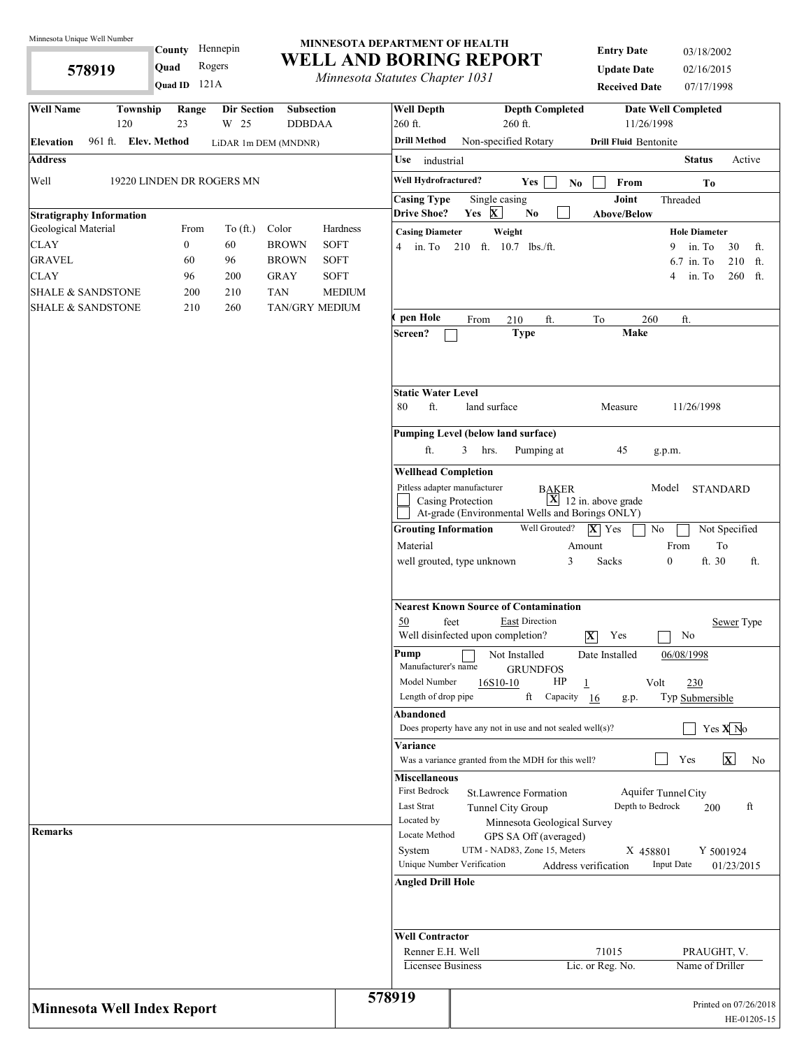**578919** 

# 121A **Quad ID County** Hennepin

#### **MINNESOTA DEPARTMENT OF HEALTH WELL AND BORING REPORT**

**Quad** Rogers **WELL AND BORTNG RET**<br> *Minnesota Statutes Chapter 1031* 

| <b>Entry Date</b>    | 03/18/2002 |
|----------------------|------------|
| <b>Update Date</b>   | 02/16/2015 |
| <b>Received Date</b> | 07/17/1998 |

| <b>Well Name</b><br>Township<br><b>Dir Section</b><br>Range<br><b>Subsection</b><br><b>DDBDAA</b><br>120<br>23<br>W 25 |               | <b>Well Depth</b><br>260 ft.                                       |                          | <b>Depth Completed</b><br>260 ft.                               |                                               | <b>Date Well Completed</b><br>11/26/1998 |                                      |                                      |
|------------------------------------------------------------------------------------------------------------------------|---------------|--------------------------------------------------------------------|--------------------------|-----------------------------------------------------------------|-----------------------------------------------|------------------------------------------|--------------------------------------|--------------------------------------|
| 961 ft. Elev. Method<br><b>Elevation</b><br>LiDAR 1m DEM (MNDNR)                                                       |               | <b>Drill Method</b>                                                | Non-specified Rotary     |                                                                 |                                               | <b>Drill Fluid Bentonite</b>             |                                      |                                      |
| <b>Address</b>                                                                                                         |               | Use<br>industrial                                                  |                          |                                                                 |                                               |                                          | <b>Status</b>                        | Active                               |
| Well<br>19220 LINDEN DR ROGERS MN                                                                                      |               | Well Hydrofractured?                                               |                          |                                                                 |                                               |                                          |                                      |                                      |
|                                                                                                                        |               |                                                                    |                          | <b>Yes</b><br>No                                                | From                                          |                                          | To                                   |                                      |
| <b>Stratigraphy Information</b>                                                                                        |               | <b>Casing Type</b><br><b>Drive Shoe?</b>                           | Single casing<br>Yes $X$ | N <sub>0</sub>                                                  | Joint<br><b>Above/Below</b>                   |                                          | Threaded                             |                                      |
| To $(ft.)$<br>Color<br>Geological Material<br>From                                                                     | Hardness      | <b>Casing Diameter</b>                                             | Weight                   |                                                                 |                                               |                                          | <b>Hole Diameter</b>                 |                                      |
| $\boldsymbol{0}$<br><b>BROWN</b><br><b>CLAY</b><br>60                                                                  | <b>SOFT</b>   | in. To<br>4                                                        | 210 ft. 10.7 lbs./ft.    |                                                                 |                                               | 9                                        | in. To                               | 30<br>ft.                            |
| <b>GRAVEL</b><br>60<br>96<br><b>BROWN</b>                                                                              | <b>SOFT</b>   |                                                                    |                          |                                                                 |                                               |                                          | 6.7 in. To                           | 210<br>ft.                           |
| <b>CLAY</b><br>96<br>200<br><b>GRAY</b>                                                                                | SOFT          |                                                                    |                          |                                                                 |                                               | 4                                        | in. To                               | 260<br>ft.                           |
| <b>TAN</b><br><b>SHALE &amp; SANDSTONE</b><br>200<br>210                                                               | <b>MEDIUM</b> |                                                                    |                          |                                                                 |                                               |                                          |                                      |                                      |
| TAN/GRY MEDIUM<br><b>SHALE &amp; SANDSTONE</b><br>210<br>260                                                           |               | pen Hole                                                           |                          |                                                                 |                                               |                                          |                                      |                                      |
|                                                                                                                        |               | Screen?                                                            | From                     | ft.<br>210<br><b>Type</b>                                       | To                                            | 260<br>Make                              | ft.                                  |                                      |
|                                                                                                                        |               | <b>Static Water Level</b><br>ft.<br>80                             | land surface             |                                                                 | Measure                                       |                                          | 11/26/1998                           |                                      |
|                                                                                                                        |               | <b>Pumping Level (below land surface)</b>                          |                          |                                                                 |                                               |                                          |                                      |                                      |
|                                                                                                                        |               | ft.                                                                | 3<br>hrs.                | Pumping at                                                      | 45                                            | g.p.m.                                   |                                      |                                      |
|                                                                                                                        |               | <b>Wellhead Completion</b>                                         |                          |                                                                 |                                               |                                          |                                      |                                      |
|                                                                                                                        |               | Pitless adapter manufacturer                                       | Casing Protection        | <b>BAKER</b><br>At-grade (Environmental Wells and Borings ONLY) | $\mathbf{X}$ 12 in. above grade               | Model                                    | <b>STANDARD</b>                      |                                      |
|                                                                                                                        |               | <b>Grouting Information</b>                                        |                          | Well Grouted?                                                   | $ \mathbf{X} $ Yes                            | No                                       |                                      | Not Specified                        |
|                                                                                                                        |               | Material                                                           |                          |                                                                 | Amount                                        |                                          | From                                 | To                                   |
|                                                                                                                        |               | well grouted, type unknown                                         |                          | 3                                                               | Sacks                                         | $\boldsymbol{0}$                         | ft. 30                               | ft.                                  |
|                                                                                                                        |               | 50<br>feet<br>Well disinfected upon completion?                    |                          | <b>Nearest Known Source of Contamination</b><br>East Direction  | Yes<br>X                                      |                                          | No                                   | Sewer Type                           |
|                                                                                                                        |               | Pump<br>Manufacturer's name<br>Model Number<br>Length of drop pipe | 16S10-10                 | Not Installed<br><b>GRUNDFOS</b><br>HP<br>ft<br>Capacity        | Date Installed<br>$\mathbf{1}$<br>-16<br>g.p. | Volt                                     | 06/08/1998<br>230<br>Typ Submersible |                                      |
|                                                                                                                        |               | Abandoned                                                          |                          |                                                                 |                                               |                                          |                                      |                                      |
|                                                                                                                        |               |                                                                    |                          | Does property have any not in use and not sealed well(s)?       |                                               |                                          |                                      | Yes $X$ <sup>No</sup>                |
|                                                                                                                        |               | Variance                                                           |                          | Was a variance granted from the MDH for this well?              |                                               |                                          | Yes                                  | $\overline{\mathbf{x}}$<br>No        |
|                                                                                                                        |               | <b>Miscellaneous</b><br>First Bedrock<br>Last Strat<br>Located by  | Tunnel City Group        | St.Lawrence Formation<br>Minnesota Geological Survey            |                                               | Aquifer Tunnel City<br>Depth to Bedrock  | 200                                  | ft                                   |
| <b>Remarks</b>                                                                                                         |               | Locate Method<br>System<br>Unique Number Verification              |                          | GPS SA Off (averaged)<br>UTM - NAD83, Zone 15, Meters           | Address verification                          | X 458801<br><b>Input Date</b>            |                                      | Y 5001924<br>01/23/2015              |
|                                                                                                                        |               | <b>Angled Drill Hole</b>                                           |                          |                                                                 |                                               |                                          |                                      |                                      |
|                                                                                                                        |               | <b>Well Contractor</b><br>Renner E.H. Well                         |                          |                                                                 | 71015                                         |                                          | PRAUGHT, V.                          |                                      |
|                                                                                                                        |               | Licensee Business                                                  |                          |                                                                 | Lic. or Reg. No.                              |                                          | Name of Driller                      |                                      |
| <b>Minnesota Well Index Report</b>                                                                                     | 578919        |                                                                    |                          |                                                                 |                                               |                                          |                                      | Printed on 07/26/2018<br>HE-01205-15 |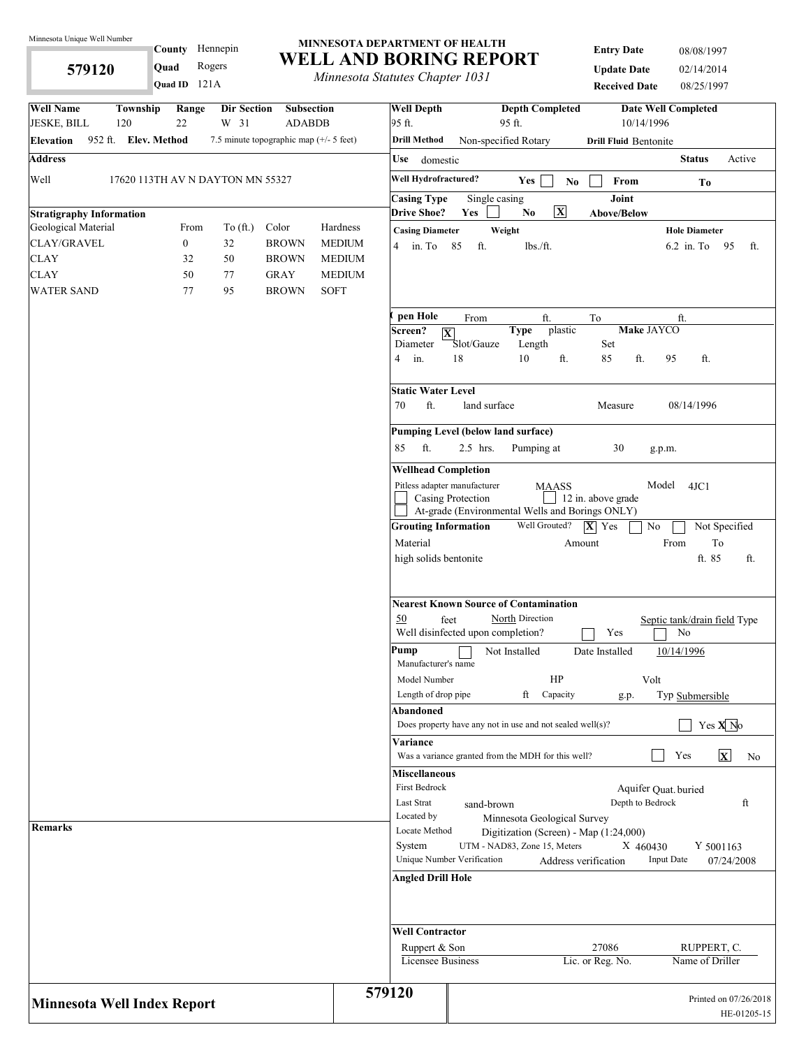**579120** 

**County** Hennepin

#### **MINNESOTA DEPARTMENT OF HEALTH WELL AND BORING REPORT**

**Quad** Rogers **WELL AND BORTNG RET**<br>*Minnesota Statutes Chapter 1031* 

**Entry Date** 08/08/1997 **Update Date** 02/14/2014 **Received Date** 08/25/1997

|                                                        |                      | Quad ID 121A     |                                  |                                         | <i>Internessua Statutes Chapter 1051</i> |                                              |                   |                                                                        | <b>Received Date</b>             | 08/25/1997                         |                                      |
|--------------------------------------------------------|----------------------|------------------|----------------------------------|-----------------------------------------|------------------------------------------|----------------------------------------------|-------------------|------------------------------------------------------------------------|----------------------------------|------------------------------------|--------------------------------------|
| <b>Well Name</b>                                       | Township             | Range            | <b>Dir Section</b>               | Subsection                              |                                          | <b>Well Depth</b>                            |                   | <b>Depth Completed</b>                                                 |                                  | <b>Date Well Completed</b>         |                                      |
| <b>JESKE, BILL</b>                                     | 120                  | 22               | W 31                             | <b>ADABDB</b>                           |                                          | 95 ft.                                       |                   | 95 ft.                                                                 | 10/14/1996                       |                                    |                                      |
| <b>Elevation</b>                                       | 952 ft. Elev. Method |                  |                                  | 7.5 minute topographic map (+/- 5 feet) |                                          | <b>Drill Method</b>                          |                   | Non-specified Rotary                                                   | <b>Drill Fluid Bentonite</b>     |                                    |                                      |
| <b>Address</b>                                         |                      |                  |                                  |                                         |                                          | Use<br>domestic                              |                   |                                                                        |                                  | <b>Status</b>                      | Active                               |
| Well                                                   |                      |                  | 17620 113TH AV N DAYTON MN 55327 |                                         |                                          | Well Hydrofractured?                         |                   | Yes<br>No                                                              | From                             | To                                 |                                      |
|                                                        |                      |                  |                                  |                                         |                                          | <b>Casing Type</b>                           |                   | Single casing<br>$\boxed{\mathbf{X}}$                                  | Joint                            |                                    |                                      |
| <b>Stratigraphy Information</b><br>Geological Material |                      | From             | To $(\text{ft.})$                | Color                                   | Hardness                                 | <b>Drive Shoe?</b><br><b>Casing Diameter</b> | Yes               | $\mathbf{N}\mathbf{o}$<br>Weight                                       | Above/Below                      | <b>Hole Diameter</b>               |                                      |
| CLAY/GRAVEL                                            |                      | $\boldsymbol{0}$ | 32                               | <b>BROWN</b>                            | <b>MEDIUM</b>                            | 4 in. To 85                                  | ft.               | lbs./ft.                                                               |                                  | $6.2$ in. To                       | - 95<br>ft.                          |
| <b>CLAY</b>                                            |                      | 32               | 50                               | <b>BROWN</b>                            | <b>MEDIUM</b>                            |                                              |                   |                                                                        |                                  |                                    |                                      |
| <b>CLAY</b>                                            |                      | 50               | 77                               | <b>GRAY</b>                             | <b>MEDIUM</b>                            |                                              |                   |                                                                        |                                  |                                    |                                      |
| <b>WATER SAND</b>                                      |                      | 77               | 95                               | <b>BROWN</b>                            | <b>SOFT</b>                              |                                              |                   |                                                                        |                                  |                                    |                                      |
|                                                        |                      |                  |                                  |                                         |                                          | pen Hole                                     | From              | ft.                                                                    | To                               | ft.                                |                                      |
|                                                        |                      |                  |                                  |                                         |                                          | Screen?<br>$ \mathbf{X} $                    |                   | plastic<br><b>Type</b>                                                 | <b>Make JAYCO</b>                |                                    |                                      |
|                                                        |                      |                  |                                  |                                         |                                          | Diameter                                     | Slot/Gauze        | Length                                                                 | Set                              |                                    |                                      |
|                                                        |                      |                  |                                  |                                         |                                          | 4<br>in.                                     | 18                | 10<br>ft.                                                              | ft.<br>85                        | ft.<br>95                          |                                      |
|                                                        |                      |                  |                                  |                                         |                                          | <b>Static Water Level</b>                    |                   |                                                                        |                                  |                                    |                                      |
|                                                        |                      |                  |                                  |                                         |                                          | ft.<br>70                                    | land surface      |                                                                        | Measure                          | 08/14/1996                         |                                      |
|                                                        |                      |                  |                                  |                                         |                                          |                                              |                   | <b>Pumping Level (below land surface)</b>                              |                                  |                                    |                                      |
|                                                        |                      |                  |                                  |                                         |                                          | ft.<br>85                                    | 2.5 hrs.          | Pumping at                                                             | 30                               | g.p.m.                             |                                      |
|                                                        |                      |                  |                                  |                                         |                                          | <b>Wellhead Completion</b>                   |                   |                                                                        |                                  |                                    |                                      |
|                                                        |                      |                  |                                  |                                         |                                          | Pitless adapter manufacturer                 | Casing Protection | <b>MAASS</b>                                                           | 12 in. above grade               | Model 4JC1                         |                                      |
|                                                        |                      |                  |                                  |                                         |                                          |                                              |                   | At-grade (Environmental Wells and Borings ONLY)                        |                                  |                                    |                                      |
|                                                        |                      |                  |                                  |                                         |                                          | <b>Grouting Information</b>                  |                   | Well Grouted?                                                          | $ \mathbf{X} $ Yes<br>No         |                                    | Not Specified                        |
|                                                        |                      |                  |                                  |                                         |                                          | Material                                     |                   |                                                                        | Amount                           | From                               | To                                   |
|                                                        |                      |                  |                                  |                                         |                                          | high solids bentonite                        |                   |                                                                        |                                  | ft. 85                             | ft.                                  |
|                                                        |                      |                  |                                  |                                         |                                          | 50<br>Well disinfected upon completion?      | feet              | <b>Nearest Known Source of Contamination</b><br>North Direction        | Yes                              | Septic tank/drain field Type<br>No |                                      |
|                                                        |                      |                  |                                  |                                         |                                          | Pump<br>Manufacturer's name                  |                   | Not Installed                                                          | Date Installed                   | 10/14/1996                         |                                      |
|                                                        |                      |                  |                                  |                                         |                                          | Model Number                                 |                   | HP                                                                     | Volt                             |                                    |                                      |
|                                                        |                      |                  |                                  |                                         |                                          | Length of drop pipe                          |                   | ft<br>Capacity                                                         | g.p.                             | Typ Submersible                    |                                      |
|                                                        |                      |                  |                                  |                                         |                                          | Abandoned                                    |                   |                                                                        |                                  |                                    |                                      |
|                                                        |                      |                  |                                  |                                         |                                          |                                              |                   | Does property have any not in use and not sealed well $(s)$ ?          |                                  |                                    | Yes X No                             |
|                                                        |                      |                  |                                  |                                         |                                          | Variance                                     |                   | Was a variance granted from the MDH for this well?                     |                                  | Yes                                | $\mathbf{x}$<br>No                   |
|                                                        |                      |                  |                                  |                                         |                                          | <b>Miscellaneous</b>                         |                   |                                                                        |                                  |                                    |                                      |
|                                                        |                      |                  |                                  |                                         |                                          | First Bedrock                                |                   |                                                                        | Aquifer Quat. buried             |                                    |                                      |
|                                                        |                      |                  |                                  |                                         |                                          | Last Strat                                   | sand-brown        |                                                                        | Depth to Bedrock                 |                                    | ft                                   |
| <b>Remarks</b>                                         |                      |                  |                                  |                                         |                                          | Located by                                   |                   | Minnesota Geological Survey                                            |                                  |                                    |                                      |
|                                                        |                      |                  |                                  |                                         |                                          | Locate Method                                |                   | Digitization (Screen) - Map (1:24,000)<br>UTM - NAD83, Zone 15, Meters |                                  |                                    |                                      |
|                                                        |                      |                  |                                  |                                         |                                          | System<br>Unique Number Verification         |                   |                                                                        | X 460430<br>Address verification | <b>Input Date</b>                  | Y 5001163<br>07/24/2008              |
|                                                        |                      |                  |                                  |                                         |                                          | <b>Angled Drill Hole</b>                     |                   |                                                                        |                                  |                                    |                                      |
|                                                        |                      |                  |                                  |                                         |                                          | <b>Well Contractor</b>                       |                   |                                                                        |                                  |                                    |                                      |
|                                                        |                      |                  |                                  |                                         |                                          | Ruppert & Son                                |                   |                                                                        | 27086                            | RUPPERT, C.                        |                                      |
|                                                        |                      |                  |                                  |                                         |                                          | Licensee Business                            |                   |                                                                        | Lic. or Reg. No.                 | Name of Driller                    |                                      |
| <b>Minnesota Well Index Report</b>                     |                      |                  |                                  |                                         |                                          | 579120                                       |                   |                                                                        |                                  |                                    | Printed on 07/26/2018<br>HE-01205-15 |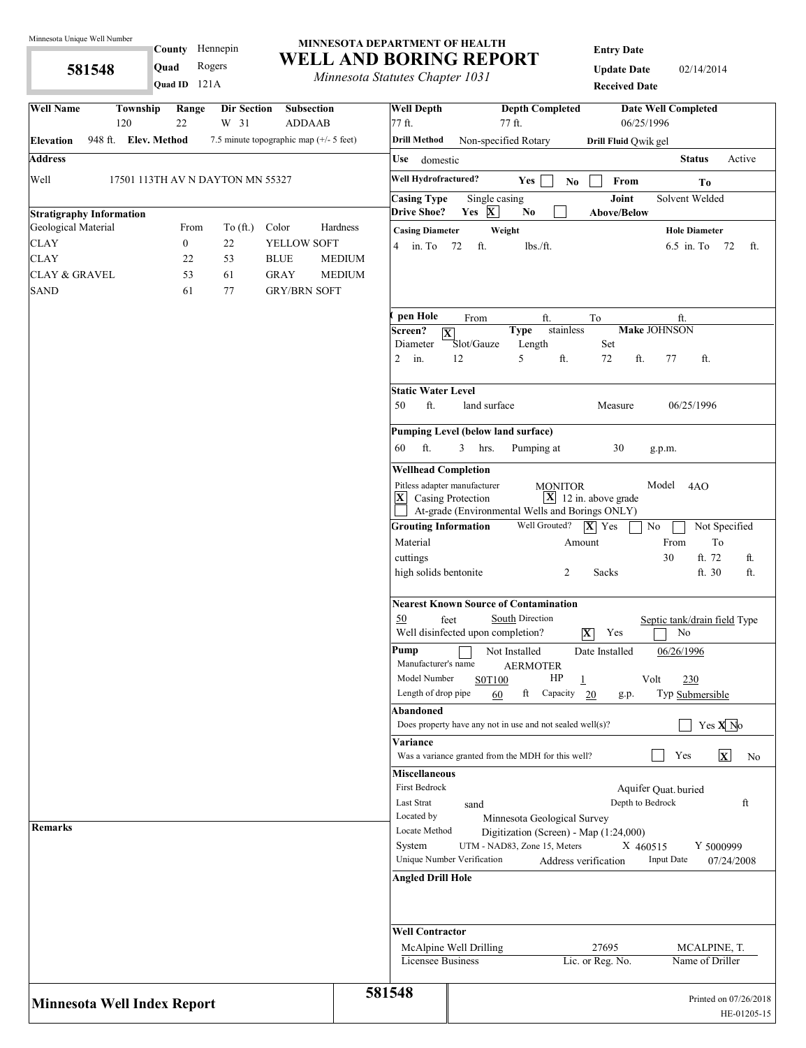**581548** 

# **County** Hennepin **Quad** Rogers **Quad ID**

#### **MINNESOTA DEPARTMENT OF HEALTH WELL AND BORING REPORT**

*Minnesota Statutes Chapter 1031* 

**Entry Date**

**Update Date** 02/14/2014 **Received Date**

| <b>Well Name</b>                                       | <b>Township</b><br>120           | Range<br>22      | <b>Dir Section</b><br>W 31 | <b>Subsection</b><br><b>ADDAAB</b>        |               | <b>Well Depth</b><br>77 ft.                | <b>Depth Completed</b><br><b>Date Well Completed</b><br>06/25/1996<br>77 ft.                                                                                                         |
|--------------------------------------------------------|----------------------------------|------------------|----------------------------|-------------------------------------------|---------------|--------------------------------------------|--------------------------------------------------------------------------------------------------------------------------------------------------------------------------------------|
| Elevation                                              | 948 ft. Elev. Method             |                  |                            | 7.5 minute topographic map $(+/- 5$ feet) |               | <b>Drill Method</b>                        | Non-specified Rotary<br>Drill Fluid Qwik gel                                                                                                                                         |
| <b>Address</b>                                         |                                  |                  |                            |                                           |               | Use domestic                               | <b>Status</b><br>Active                                                                                                                                                              |
| Well                                                   | 17501 113TH AV N DAYTON MN 55327 |                  |                            |                                           |               | Well Hydrofractured?                       | Yes<br>From<br>N <sub>0</sub><br>To                                                                                                                                                  |
|                                                        |                                  |                  |                            |                                           |               | <b>Casing Type</b>                         | Joint<br>Solvent Welded<br>Single casing                                                                                                                                             |
| <b>Stratigraphy Information</b><br>Geological Material |                                  | From             | To $(\text{ft.})$          | Color                                     | Hardness      | <b>Drive Shoe?</b>                         | Yes $X$<br>N <sub>0</sub><br><b>Above/Below</b>                                                                                                                                      |
| <b>CLAY</b>                                            |                                  | $\boldsymbol{0}$ | 22                         | YELLOW SOFT                               |               | <b>Casing Diameter</b><br>$4 \quad$ in. To | Weight<br><b>Hole Diameter</b><br>ft.<br>72<br>lbs./ft.<br>$6.5$ in. To<br>- 72<br>ft.                                                                                               |
| <b>CLAY</b>                                            |                                  | 22               | 53                         | <b>BLUE</b>                               | <b>MEDIUM</b> |                                            |                                                                                                                                                                                      |
| <b>CLAY &amp; GRAVEL</b>                               |                                  | 53               | 61                         | <b>GRAY</b>                               | <b>MEDIUM</b> |                                            |                                                                                                                                                                                      |
| <b>SAND</b>                                            |                                  | 61               | 77                         | <b>GRY/BRN SOFT</b>                       |               |                                            |                                                                                                                                                                                      |
|                                                        |                                  |                  |                            |                                           |               |                                            |                                                                                                                                                                                      |
|                                                        |                                  |                  |                            |                                           |               | pen Hole<br>Screen?                        | From<br>ft.<br>To<br>ft.<br>stainless<br>Make JOHNSON<br><b>Type</b><br>$ \overline{\mathbf{X}} $                                                                                    |
|                                                        |                                  |                  |                            |                                           |               | Diameter                                   | Set<br>Slot/Gauze<br>Length                                                                                                                                                          |
|                                                        |                                  |                  |                            |                                           |               | $\overline{2}$<br>in.                      | 5<br>12<br>ft.<br>ft.<br>72<br>77<br>ft.                                                                                                                                             |
|                                                        |                                  |                  |                            |                                           |               | <b>Static Water Level</b>                  |                                                                                                                                                                                      |
|                                                        |                                  |                  |                            |                                           |               | ft.<br>50                                  | land surface<br>06/25/1996<br>Measure                                                                                                                                                |
|                                                        |                                  |                  |                            |                                           |               |                                            | <b>Pumping Level (below land surface)</b>                                                                                                                                            |
|                                                        |                                  |                  |                            |                                           |               | ft.<br>60                                  | 3<br>Pumping at<br>30<br>hrs.<br>g.p.m.                                                                                                                                              |
|                                                        |                                  |                  |                            |                                           |               |                                            |                                                                                                                                                                                      |
|                                                        |                                  |                  |                            |                                           |               | <b>Wellhead Completion</b>                 |                                                                                                                                                                                      |
|                                                        |                                  |                  |                            |                                           |               | $ \mathbf{x} $                             | Pitless adapter manufacturer<br>Model<br><b>MONITOR</b><br>4AO<br>$\mathbf{X}$ 12 in. above grade<br>Casing Protection<br>At-grade (Environmental Wells and Borings ONLY)            |
|                                                        |                                  |                  |                            |                                           |               | <b>Grouting Information</b>                | Well Grouted?<br>$ \mathbf{X} $ Yes<br>No<br>Not Specified                                                                                                                           |
|                                                        |                                  |                  |                            |                                           |               | Material                                   | From<br>To<br>Amount                                                                                                                                                                 |
|                                                        |                                  |                  |                            |                                           |               | cuttings                                   | 30<br>ft. 72<br>ft.                                                                                                                                                                  |
|                                                        |                                  |                  |                            |                                           |               | high solids bentonite                      | Sacks<br>ft. 30<br>ft.<br>2                                                                                                                                                          |
|                                                        |                                  |                  |                            |                                           |               | 50                                         | <b>Nearest Known Source of Contamination</b><br>South Direction<br>feet<br>Septic tank/drain field Type<br>Well disinfected upon completion?<br>$\overline{\mathbf{X}}$<br>Yes<br>No |
|                                                        |                                  |                  |                            |                                           |               | Pump<br>Manufacturer's name                | Not Installed<br>Date Installed<br>06/26/1996<br><b>AERMOTER</b>                                                                                                                     |
|                                                        |                                  |                  |                            |                                           |               | Model Number<br>Length of drop pipe        | HP<br>S0T100<br>$\overline{1}$<br>Volt<br>230<br>ft<br>Capacity<br>Typ Submersible<br>60<br>20                                                                                       |
|                                                        |                                  |                  |                            |                                           |               | Abandoned                                  | g.p.                                                                                                                                                                                 |
|                                                        |                                  |                  |                            |                                           |               |                                            | Yes $X$ <sup>No</sup><br>Does property have any not in use and not sealed well(s)?                                                                                                   |
|                                                        |                                  |                  |                            |                                           |               | Variance                                   | $\mathbf{x}$<br>Yes<br>Was a variance granted from the MDH for this well?<br>No                                                                                                      |
|                                                        |                                  |                  |                            |                                           |               | <b>Miscellaneous</b>                       |                                                                                                                                                                                      |
|                                                        |                                  |                  |                            |                                           |               | First Bedrock                              | Aquifer Quat. buried                                                                                                                                                                 |
|                                                        |                                  |                  |                            |                                           |               | Last Strat                                 | Depth to Bedrock<br>ft<br>sand                                                                                                                                                       |
|                                                        |                                  |                  |                            |                                           |               | Located by                                 | Minnesota Geological Survey                                                                                                                                                          |
| <b>Remarks</b>                                         |                                  |                  |                            |                                           |               | Locate Method                              | Digitization (Screen) - Map (1:24,000)                                                                                                                                               |
|                                                        |                                  |                  |                            |                                           |               | System                                     | UTM - NAD83, Zone 15, Meters<br>X 460515<br>Y 5000999<br>Unique Number Verification<br><b>Input Date</b><br>Address verification<br>07/24/2008                                       |
|                                                        |                                  |                  |                            |                                           |               | <b>Angled Drill Hole</b>                   |                                                                                                                                                                                      |
|                                                        |                                  |                  |                            |                                           |               |                                            |                                                                                                                                                                                      |
|                                                        |                                  |                  |                            |                                           |               | <b>Well Contractor</b>                     |                                                                                                                                                                                      |
|                                                        |                                  |                  |                            |                                           |               | Licensee Business                          | 27695<br>McAlpine Well Drilling<br>MCALPINE, T.<br>Name of Driller                                                                                                                   |
|                                                        |                                  |                  |                            |                                           |               |                                            | Lic. or Reg. No.                                                                                                                                                                     |
| <b>Minnesota Well Index Report</b>                     |                                  |                  |                            |                                           |               | 581548                                     | Printed on 07/26/2018<br>HE-01205-15                                                                                                                                                 |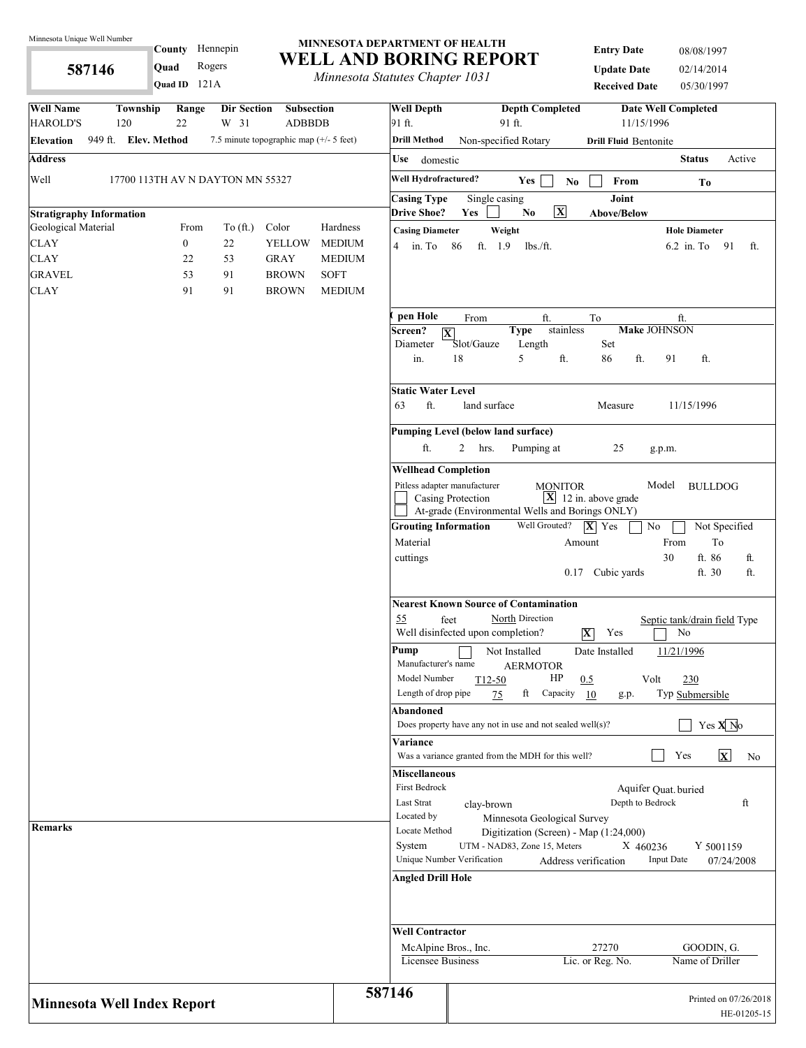**587146** 

121A **Quad ID**

**County** Hennepin

### **MINNESOTA DEPARTMENT OF HEALTH WELL AND BORING REPORT**

**Quad** Rogers **WELL AIND BUKING KEI**<br> *Minnesota Statutes Chapter 1031* 

| <b>Entry Date</b>    | 08/08/1997 |
|----------------------|------------|
| <b>Update Date</b>   | 02/14/2014 |
| <b>Received Date</b> | 05/30/1997 |

| <b>Well Name</b><br><b>HAROLD'S</b>                    | Township<br>120                  | Range<br>22      | Dir Section<br>W 31         | Subsection<br><b>ADBBDB</b>             |               | <b>Well Depth</b><br>91 ft.                                        | 91 ft.                                                                                    | <b>Depth Completed</b>                                                                         | 11/15/1996                              | <b>Date Well Completed</b>                   |
|--------------------------------------------------------|----------------------------------|------------------|-----------------------------|-----------------------------------------|---------------|--------------------------------------------------------------------|-------------------------------------------------------------------------------------------|------------------------------------------------------------------------------------------------|-----------------------------------------|----------------------------------------------|
| <b>Elevation</b>                                       | 949 ft. Elev. Method             |                  |                             | 7.5 minute topographic map (+/- 5 feet) |               | <b>Drill Method</b>                                                | Non-specified Rotary                                                                      |                                                                                                | <b>Drill Fluid Bentonite</b>            |                                              |
| <b>Address</b>                                         |                                  |                  |                             |                                         |               | <b>Use</b>                                                         |                                                                                           |                                                                                                |                                         | <b>Status</b><br>Active                      |
|                                                        |                                  |                  |                             |                                         |               | domestic                                                           |                                                                                           |                                                                                                |                                         |                                              |
| Well                                                   | 17700 113TH AV N DAYTON MN 55327 |                  |                             |                                         |               | Well Hydrofractured?                                               |                                                                                           | Yes<br>No.                                                                                     | From                                    | To                                           |
|                                                        |                                  |                  |                             |                                         |               | <b>Casing Type</b><br><b>Drive Shoe?</b>                           | Single casing<br>Yes                                                                      | $\overline{\mathbf{X}}$<br>No                                                                  | Joint<br><b>Above/Below</b>             |                                              |
| <b>Stratigraphy Information</b><br>Geological Material |                                  | From             | To $(\hat{\mathfrak{m}})$ . | Color                                   | Hardness      | <b>Casing Diameter</b>                                             | Weight                                                                                    |                                                                                                |                                         | <b>Hole Diameter</b>                         |
| <b>CLAY</b>                                            |                                  | $\boldsymbol{0}$ | 22                          | YELLOW                                  | <b>MEDIUM</b> | $4 \quad \text{in. To}$                                            | ft. 1.9<br>86                                                                             | $lbs$ ./ft.                                                                                    |                                         | 6.2 in. To 91<br>ft.                         |
| <b>CLAY</b>                                            |                                  | 22               | 53                          | <b>GRAY</b>                             | MEDIUM        |                                                                    |                                                                                           |                                                                                                |                                         |                                              |
| <b>GRAVEL</b>                                          |                                  | 53               | 91                          | <b>BROWN</b>                            | <b>SOFT</b>   |                                                                    |                                                                                           |                                                                                                |                                         |                                              |
| <b>CLAY</b>                                            |                                  | 91               | 91                          | <b>BROWN</b>                            | <b>MEDIUM</b> |                                                                    |                                                                                           |                                                                                                |                                         |                                              |
|                                                        |                                  |                  |                             |                                         |               | pen Hole<br>Screen?<br>$ \mathbf{X} $<br>Diameter<br>in.           | From<br>Slot/Gauze<br>18                                                                  | ft.<br><b>Type</b><br>stainless<br>Length<br>5<br>ft.                                          | To<br>Set<br>86<br>ft.                  | ft.<br>Make JOHNSON<br>91<br>ft.             |
|                                                        |                                  |                  |                             |                                         |               |                                                                    |                                                                                           |                                                                                                |                                         |                                              |
|                                                        |                                  |                  |                             |                                         |               | <b>Static Water Level</b><br>ft.<br>63                             | land surface                                                                              |                                                                                                | Measure                                 | 11/15/1996                                   |
|                                                        |                                  |                  |                             |                                         |               |                                                                    | Pumping Level (below land surface)                                                        |                                                                                                |                                         |                                              |
|                                                        |                                  |                  |                             |                                         |               | ft.                                                                | $\overline{2}$<br>hrs.                                                                    | Pumping at                                                                                     | 25                                      | g.p.m.                                       |
|                                                        |                                  |                  |                             |                                         |               | <b>Wellhead Completion</b>                                         |                                                                                           |                                                                                                |                                         |                                              |
|                                                        |                                  |                  |                             |                                         |               | Pitless adapter manufacturer                                       | Casing Protection<br>At-grade (Environmental Wells and Borings ONLY)                      | <b>MONITOR</b>                                                                                 | $\boxed{\mathbf{X}}$ 12 in. above grade | Model<br><b>BULLDOG</b>                      |
|                                                        |                                  |                  |                             |                                         |               | <b>Grouting Information</b>                                        |                                                                                           | Well Grouted?                                                                                  | $ \mathbf{X} $ Yes<br>No                | Not Specified                                |
|                                                        |                                  |                  |                             |                                         |               | Material                                                           |                                                                                           | Amount                                                                                         |                                         | To<br>From                                   |
|                                                        |                                  |                  |                             |                                         |               | cuttings                                                           |                                                                                           | 0.17                                                                                           | Cubic yards                             | 30<br>ft. 86<br>ft.<br>ft.<br>ft. 30         |
|                                                        |                                  |                  |                             |                                         |               | 55                                                                 | <b>Nearest Known Source of Contamination</b><br>feet<br>Well disinfected upon completion? | North Direction                                                                                | $ \mathbf{X} $<br>Yes                   | Septic tank/drain field Type<br>No           |
|                                                        |                                  |                  |                             |                                         |               | Pump<br>Manufacturer's name<br>Model Number<br>Length of drop pipe | Not Installed<br>$T12-50$<br>75                                                           | <b>AERMOTOR</b><br>HP<br>ft Capacity 10                                                        | Date Installed<br>0.5<br>Volt<br>g.p.   | 11/21/1996<br>230<br>Typ Submersible         |
|                                                        |                                  |                  |                             |                                         |               | Abandoned                                                          | Does property have any not in use and not sealed well $(s)$ ?                             |                                                                                                |                                         | Yes $X$ <sup>No</sup>                        |
|                                                        |                                  |                  |                             |                                         |               | Variance                                                           | Was a variance granted from the MDH for this well?                                        |                                                                                                |                                         | $\mathbf{x}$<br>Yes<br>No                    |
|                                                        |                                  |                  |                             |                                         |               | <b>Miscellaneous</b><br>First Bedrock<br>Last Strat<br>Located by  | clay-brown                                                                                | Minnesota Geological Survey                                                                    | Depth to Bedrock                        | Aquifer Quat. buried<br>ft                   |
| <b>Remarks</b>                                         |                                  |                  |                             |                                         |               | Locate Method<br>System                                            | Unique Number Verification                                                                | Digitization (Screen) - Map (1:24,000)<br>UTM - NAD83, Zone 15, Meters<br>Address verification | X 460236                                | Y 5001159<br><b>Input Date</b><br>07/24/2008 |
|                                                        |                                  |                  |                             |                                         |               | <b>Angled Drill Hole</b>                                           |                                                                                           |                                                                                                |                                         |                                              |
|                                                        |                                  |                  |                             |                                         |               | <b>Well Contractor</b>                                             |                                                                                           |                                                                                                |                                         |                                              |
|                                                        |                                  |                  |                             |                                         |               | McAlpine Bros., Inc.                                               |                                                                                           |                                                                                                | 27270                                   | GOODIN, G.                                   |
|                                                        |                                  |                  |                             |                                         |               | Licensee Business                                                  |                                                                                           |                                                                                                | Lic. or Reg. No.                        | Name of Driller                              |
| <b>Minnesota Well Index Report</b>                     |                                  |                  |                             |                                         |               | 587146                                                             |                                                                                           |                                                                                                |                                         | Printed on 07/26/2018<br>HE-01205-15         |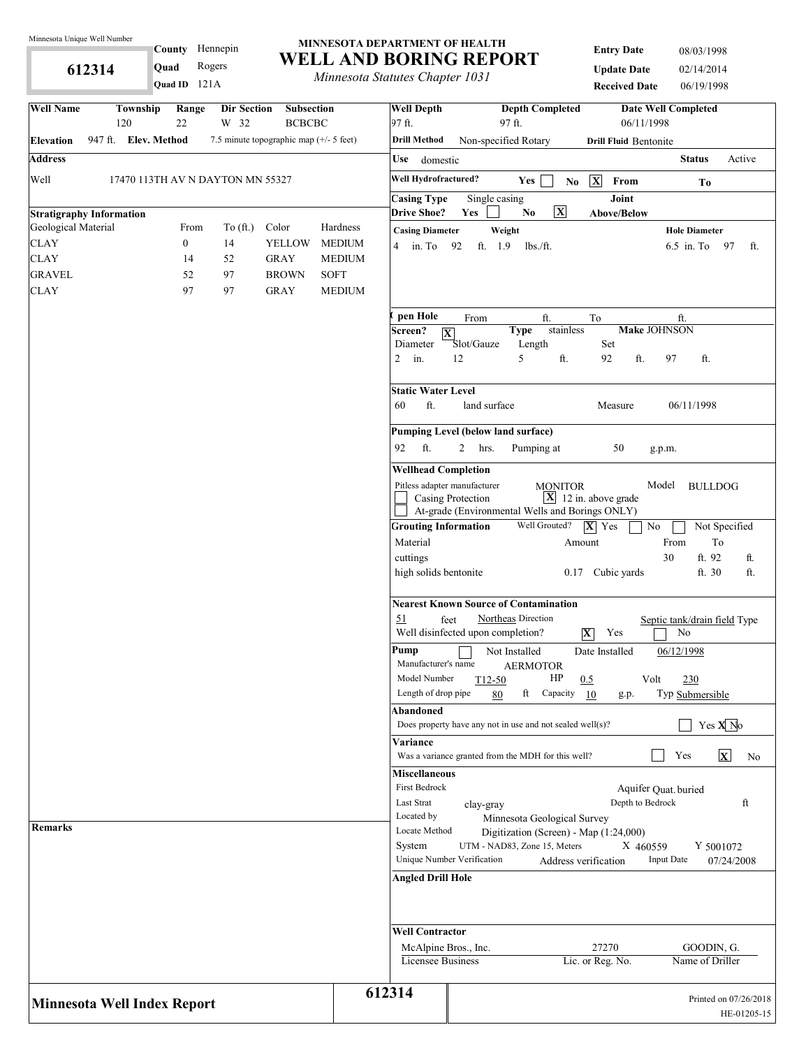**612314** 

# **MINNESOTA DEPARTMENT OF HEALTH County** Hennepin

121A **Quad ID**

**WELL AND BORING REPORT Quad** Rogers **WELL AND BORTNG RET**<br>*Minnesota Statutes Chapter 1031* 

**Entry Date** 08/03/1998 **Update Date** 02/14/2014 **Received Date** 06/19/1998

| <b>Well Name</b><br>Township<br>Dir Section<br>Range<br>22<br>W 32<br>120                  | <b>Subsection</b><br><b>BCBCBC</b> | <b>Well Depth</b><br>97 ft.                |                                           | <b>Depth Completed</b><br>97 ft.                                       | 06/11/1998                                                           | <b>Date Well Completed</b>         |
|--------------------------------------------------------------------------------------------|------------------------------------|--------------------------------------------|-------------------------------------------|------------------------------------------------------------------------|----------------------------------------------------------------------|------------------------------------|
| 947 ft. Elev. Method<br>7.5 minute topographic map $(+/- 5$ feet)<br><b>Elevation</b>      |                                    | <b>Drill Method</b>                        | Non-specified Rotary                      |                                                                        | <b>Drill Fluid Bentonite</b>                                         |                                    |
| <b>Address</b>                                                                             |                                    | Use<br>domestic                            |                                           |                                                                        |                                                                      | <b>Status</b><br>Active            |
|                                                                                            |                                    |                                            |                                           |                                                                        |                                                                      |                                    |
| Well<br>17470 113TH AV N DAYTON MN 55327                                                   |                                    | Well Hydrofractured?                       |                                           | <b>Yes</b><br>N <sub>0</sub>                                           | $\overline{\mathbf{X}}$<br>$\ensuremath{\textnormal{\textbf{From}}}$ | To                                 |
|                                                                                            |                                    | <b>Casing Type</b><br><b>Drive Shoe?</b>   | Single casing<br>Yes                      | $\overline{\mathbf{X}}$<br>N <sub>0</sub>                              | Joint<br><b>Above/Below</b>                                          |                                    |
| <b>Stratigraphy Information</b><br>Geological Material<br>From<br>To $(\hat{ft})$<br>Color | Hardness                           |                                            |                                           |                                                                        |                                                                      | <b>Hole Diameter</b>               |
| <b>CLAY</b><br>$\boldsymbol{0}$<br>14<br>YELLOW                                            | <b>MEDIUM</b>                      | <b>Casing Diameter</b><br>$4 \quad$ in. To | Weight<br>ft. 1.9<br>92                   | $lbs$ ./ft.                                                            |                                                                      | $6.5$ in. To<br>97<br>ft.          |
| <b>CLAY</b><br>52<br>14<br><b>GRAY</b>                                                     | <b>MEDIUM</b>                      |                                            |                                           |                                                                        |                                                                      |                                    |
| <b>GRAVEL</b><br>97<br>52<br><b>BROWN</b>                                                  | <b>SOFT</b>                        |                                            |                                           |                                                                        |                                                                      |                                    |
| <b>CLAY</b><br>97<br>97<br><b>GRAY</b>                                                     | <b>MEDIUM</b>                      |                                            |                                           |                                                                        |                                                                      |                                    |
|                                                                                            |                                    |                                            |                                           |                                                                        |                                                                      |                                    |
|                                                                                            |                                    | pen Hole<br>Screen?                        | From                                      | ft.<br><b>Type</b><br>stainless                                        | To                                                                   | ft.<br><b>Make JOHNSON</b>         |
|                                                                                            |                                    | $\overline{\mathbf{X}}$<br>Diameter        | Slot/Gauze                                | Length                                                                 | Set                                                                  |                                    |
|                                                                                            |                                    | $\overline{2}$<br>in.                      | 12                                        | 5<br>ft.                                                               | 92<br>ft.                                                            | 97<br>ft.                          |
|                                                                                            |                                    | <b>Static Water Level</b>                  |                                           |                                                                        |                                                                      |                                    |
|                                                                                            |                                    | ft.<br>60                                  | land surface                              |                                                                        | Measure                                                              | 06/11/1998                         |
|                                                                                            |                                    |                                            | Pumping Level (below land surface)        |                                                                        |                                                                      |                                    |
|                                                                                            |                                    | ft.<br>92                                  | $\overline{2}$<br>hrs.                    | Pumping at                                                             | 50                                                                   | g.p.m.                             |
|                                                                                            |                                    | <b>Wellhead Completion</b>                 |                                           |                                                                        |                                                                      |                                    |
|                                                                                            |                                    |                                            | Pitless adapter manufacturer              | <b>MONITOR</b>                                                         |                                                                      | Model<br><b>BULLDOG</b>            |
|                                                                                            |                                    |                                            | Casing Protection                         | At-grade (Environmental Wells and Borings ONLY)                        | $\boxed{\mathbf{X}}$ 12 in. above grade                              |                                    |
|                                                                                            |                                    | <b>Grouting Information</b>                |                                           | Well Grouted?                                                          | $ \mathbf{X} $ Yes                                                   | No<br>Not Specified                |
|                                                                                            |                                    | Material                                   |                                           |                                                                        | Amount                                                               | From<br>To                         |
|                                                                                            |                                    | cuttings                                   |                                           |                                                                        |                                                                      | ft. 92<br>30<br>ft.                |
|                                                                                            |                                    | high solids bentonite                      |                                           |                                                                        | 0.17 Cubic yards                                                     | ft.<br>ft. 30                      |
|                                                                                            |                                    |                                            |                                           | <b>Nearest Known Source of Contamination</b>                           |                                                                      |                                    |
|                                                                                            |                                    | 51                                         | feet<br>Well disinfected upon completion? | Northeas Direction                                                     | $ \mathbf{X} $<br>Yes                                                | Septic tank/drain field Type<br>No |
|                                                                                            |                                    | Pump                                       |                                           | Not Installed                                                          | Date Installed                                                       | 06/12/1998                         |
|                                                                                            |                                    | Manufacturer's name<br>Model Number        |                                           | <b>AERMOTOR</b><br>HP                                                  |                                                                      |                                    |
|                                                                                            |                                    | Length of drop pipe                        | $T12-50$<br>80                            | ft<br>Capacity 10                                                      | 0.5<br>Volt<br>g.p.                                                  | 230<br>Typ Submersible             |
|                                                                                            |                                    | Abandoned                                  |                                           |                                                                        |                                                                      |                                    |
|                                                                                            |                                    |                                            |                                           | Does property have any not in use and not sealed well(s)?              |                                                                      | Yes $X$ <sup>No</sup>              |
|                                                                                            |                                    | Variance                                   |                                           |                                                                        |                                                                      |                                    |
|                                                                                            |                                    |                                            |                                           | Was a variance granted from the MDH for this well?                     |                                                                      | $\mathbf{x}$<br>Yes<br>No          |
|                                                                                            |                                    | <b>Miscellaneous</b>                       |                                           |                                                                        |                                                                      |                                    |
|                                                                                            |                                    | First Bedrock                              |                                           |                                                                        |                                                                      | Aquifer Quat. buried               |
|                                                                                            |                                    | Last Strat                                 | clay-gray                                 |                                                                        | Depth to Bedrock                                                     | ft                                 |
| <b>Remarks</b>                                                                             |                                    | Located by<br>Locate Method                |                                           | Minnesota Geological Survey                                            |                                                                      |                                    |
|                                                                                            |                                    | System                                     |                                           | Digitization (Screen) - Map (1:24,000)<br>UTM - NAD83, Zone 15, Meters | X 460559                                                             | Y 5001072                          |
|                                                                                            |                                    |                                            | Unique Number Verification                |                                                                        | Address verification                                                 | <b>Input Date</b><br>07/24/2008    |
|                                                                                            |                                    | <b>Angled Drill Hole</b>                   |                                           |                                                                        |                                                                      |                                    |
|                                                                                            |                                    |                                            |                                           |                                                                        |                                                                      |                                    |
|                                                                                            |                                    | <b>Well Contractor</b>                     |                                           |                                                                        |                                                                      |                                    |
|                                                                                            |                                    | McAlpine Bros., Inc.                       |                                           |                                                                        | 27270                                                                | GOODIN, G.                         |
|                                                                                            |                                    | Licensee Business                          |                                           |                                                                        | Lic. or Reg. No.                                                     | Name of Driller                    |
| <b>Minnesota Well Index Report</b>                                                         |                                    | 612314                                     |                                           |                                                                        |                                                                      | Printed on 07/26/2018              |
|                                                                                            |                                    |                                            |                                           |                                                                        |                                                                      | HE-01205-15                        |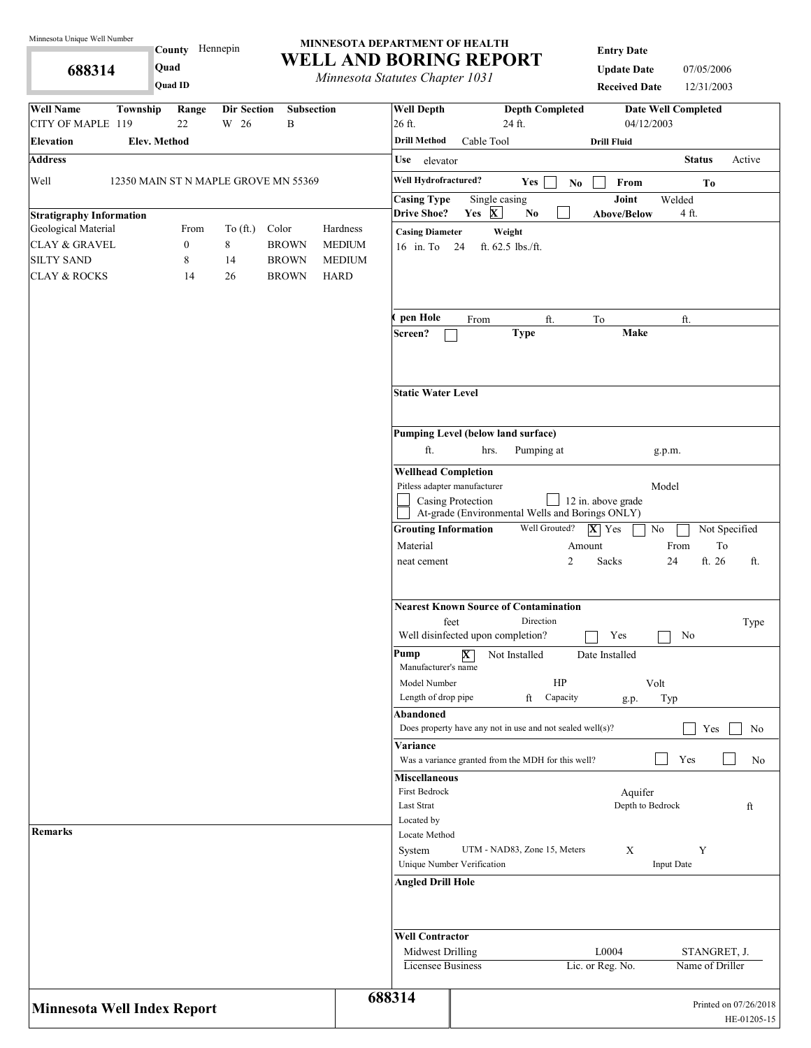**688314** 

**County** Hennepin **Quad**

**Quad ID**

#### **MINNESOTA DEPARTMENT OF HEALTH WELL AND BORING REPORT**

*Minnesota Statutes Chapter 1031*

**Entry Date**

**Update Date** 07/05/2006 **Received Date** 12/31/2003

| <b>Well Name</b><br>Township<br>Range<br><b>Dir Section</b><br><b>Subsection</b><br>22<br>W 26<br>B<br>CITY OF MAPLE 119 | <b>Well Depth</b><br><b>Depth Completed</b><br>26 ft.<br>24 ft.         | <b>Date Well Completed</b><br>04/12/2003                              |
|--------------------------------------------------------------------------------------------------------------------------|-------------------------------------------------------------------------|-----------------------------------------------------------------------|
| Elev. Method<br><b>Elevation</b>                                                                                         | <b>Drill Method</b><br>Cable Tool                                       | <b>Drill Fluid</b>                                                    |
| <b>Address</b>                                                                                                           | Use<br>elevator                                                         | Active<br><b>Status</b>                                               |
| Well<br>12350 MAIN ST N MAPLE GROVE MN 55369                                                                             | Well Hydrofractured?<br>Yes                                             | From<br>No<br>To                                                      |
|                                                                                                                          | <b>Casing Type</b><br>Single casing                                     | Joint<br>Welded                                                       |
| <b>Stratigraphy Information</b>                                                                                          | <b>Drive Shoe?</b><br>Yes X<br>No                                       | Above/Below<br>4 ft.                                                  |
| Geological Material<br>${\bf Color}$<br>Hardness<br>From<br>To $(\text{ft.})$                                            | <b>Casing Diameter</b><br>Weight                                        |                                                                       |
| $\,8\,$<br>$\boldsymbol{0}$<br><b>CLAY &amp; GRAVEL</b><br><b>BROWN</b><br><b>MEDIUM</b>                                 | 16 in. To 24<br>ft. 62.5 lbs./ft.                                       |                                                                       |
| <b>SILTY SAND</b><br>8<br>14<br><b>BROWN</b><br><b>MEDIUM</b>                                                            |                                                                         |                                                                       |
| <b>BROWN</b><br><b>CLAY &amp; ROCKS</b><br>14<br>26<br><b>HARD</b>                                                       |                                                                         |                                                                       |
|                                                                                                                          | pen Hole<br>ft.<br>From                                                 | To<br>ft.                                                             |
|                                                                                                                          | <b>Type</b><br>Screen?                                                  | Make                                                                  |
|                                                                                                                          | <b>Static Water Level</b>                                               |                                                                       |
|                                                                                                                          | Pumping Level (below land surface)                                      |                                                                       |
|                                                                                                                          | ft.<br>Pumping at<br>hrs.                                               | g.p.m.                                                                |
|                                                                                                                          | <b>Wellhead Completion</b>                                              |                                                                       |
|                                                                                                                          | Pitless adapter manufacturer                                            | Model                                                                 |
|                                                                                                                          | Casing Protection                                                       | $\Box$ 12 in. above grade                                             |
|                                                                                                                          | At-grade (Environmental Wells and Borings ONLY)                         |                                                                       |
|                                                                                                                          | Well Grouted?<br><b>Grouting Information</b>                            | $ \mathbf{X} $ Yes<br>No<br>Not Specified                             |
|                                                                                                                          | Material<br>2<br>neat cement                                            | $\operatorname{To}$<br>From<br>Amount<br>ft. 26<br>Sacks<br>24<br>ft. |
|                                                                                                                          | <b>Nearest Known Source of Contamination</b>                            |                                                                       |
|                                                                                                                          | feet<br>Direction<br>Well disinfected upon completion?                  | Type<br>Yes<br>No                                                     |
|                                                                                                                          | Pump<br>$\overline{\textbf{X}}$<br>Not Installed<br>Manufacturer's name | Date Installed                                                        |
|                                                                                                                          | HP<br>Model Number<br>Length of drop pipe<br>ft<br>Capacity             | Volt<br>Typ                                                           |
|                                                                                                                          | Abandoned                                                               | g.p.                                                                  |
|                                                                                                                          | Does property have any not in use and not sealed well(s)?               | Yes<br>No                                                             |
|                                                                                                                          | Variance<br>Was a variance granted from the MDH for this well?          | Yes<br>No                                                             |
|                                                                                                                          | <b>Miscellaneous</b>                                                    |                                                                       |
|                                                                                                                          | First Bedrock                                                           | Aquifer                                                               |
|                                                                                                                          | Last Strat                                                              | Depth to Bedrock<br>ft                                                |
| Remarks                                                                                                                  | Located by                                                              |                                                                       |
|                                                                                                                          | Locate Method<br>UTM - NAD83, Zone 15, Meters<br>System                 | X<br>Y                                                                |
|                                                                                                                          | Unique Number Verification                                              | <b>Input Date</b>                                                     |
|                                                                                                                          | <b>Angled Drill Hole</b>                                                |                                                                       |
|                                                                                                                          | <b>Well Contractor</b>                                                  |                                                                       |
|                                                                                                                          | Midwest Drilling                                                        | L0004<br>STANGRET, J.                                                 |
|                                                                                                                          | <b>Licensee Business</b>                                                | Lic. or Reg. No.<br>Name of Driller                                   |
| <b>Minnesota Well Index Report</b>                                                                                       | 688314                                                                  | Printed on 07/26/2018<br>HE-01205-15                                  |